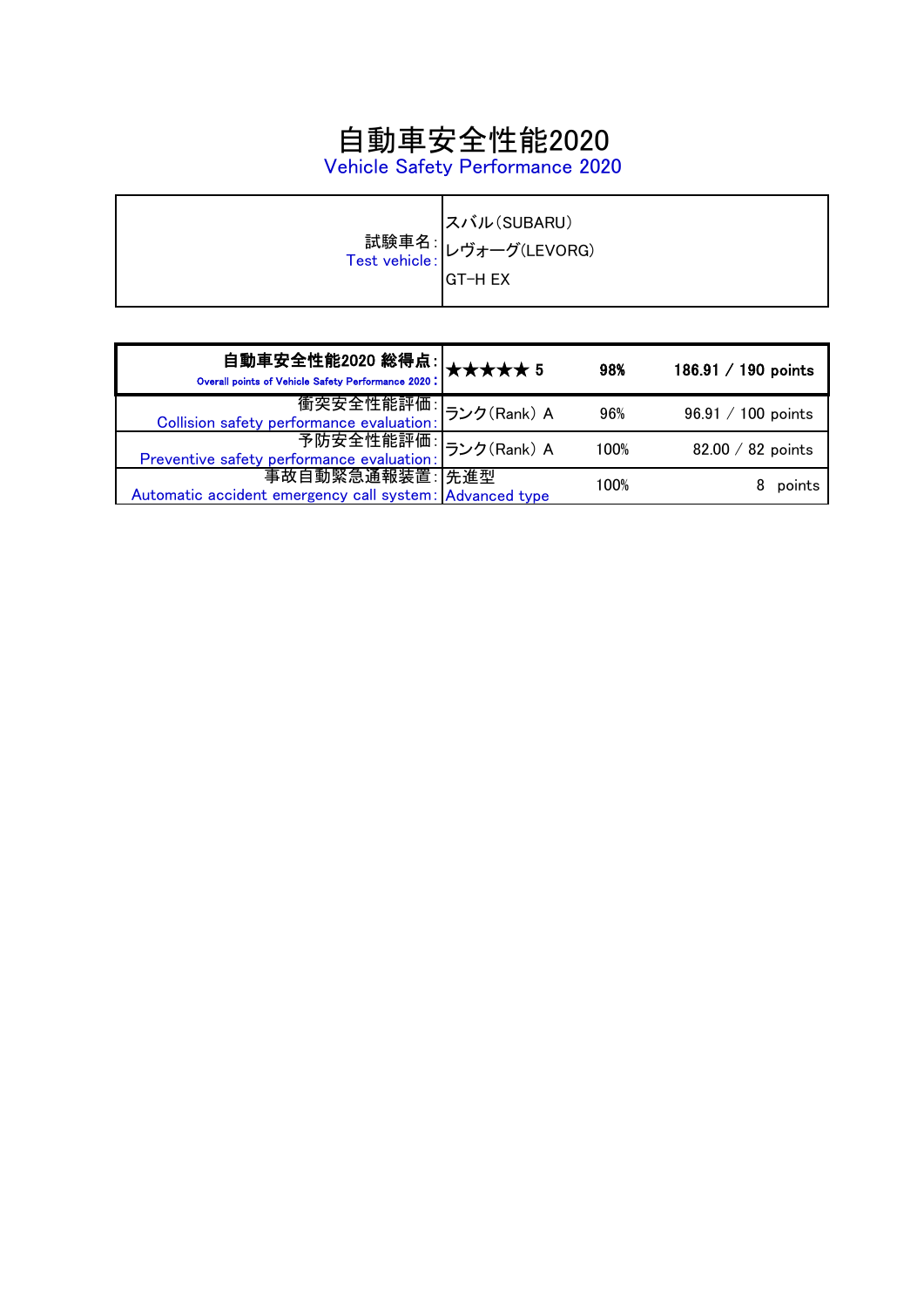# 自動車安全性能2020

Vehicle Safety Performance 2020

|  | スバル(SUBARU)<br>試験車名: レヴォーグ(LEVORG)<br>Test vehicle: レヴォーグ(LEVORG)<br>IGT-H EX |
|--|-------------------------------------------------------------------------------|
|--|-------------------------------------------------------------------------------|

| 自動車安全性能2020 総得点:<br><sub>Overall points of Vehicle Safety Performance 2020</sub> : ★★★★★ 5 |             | 98%  | 186.91 $/$ 190 points |
|--------------------------------------------------------------------------------------------|-------------|------|-----------------------|
| 衝突安全性能評価:<br>Collision safety performance evaluation:                                      | ランク(Rank) A | 96%  | $96.91 / 100$ points  |
| 予防安全性能評価<br>Preventive safety performance evaluation:                                      | ランク(Rank) A | 100% | 82.00 / 82 points     |
| 事故自動緊急通報装置: 先進型<br>Automatic accident emergency call system: Advanced type                 |             | 100% | points                |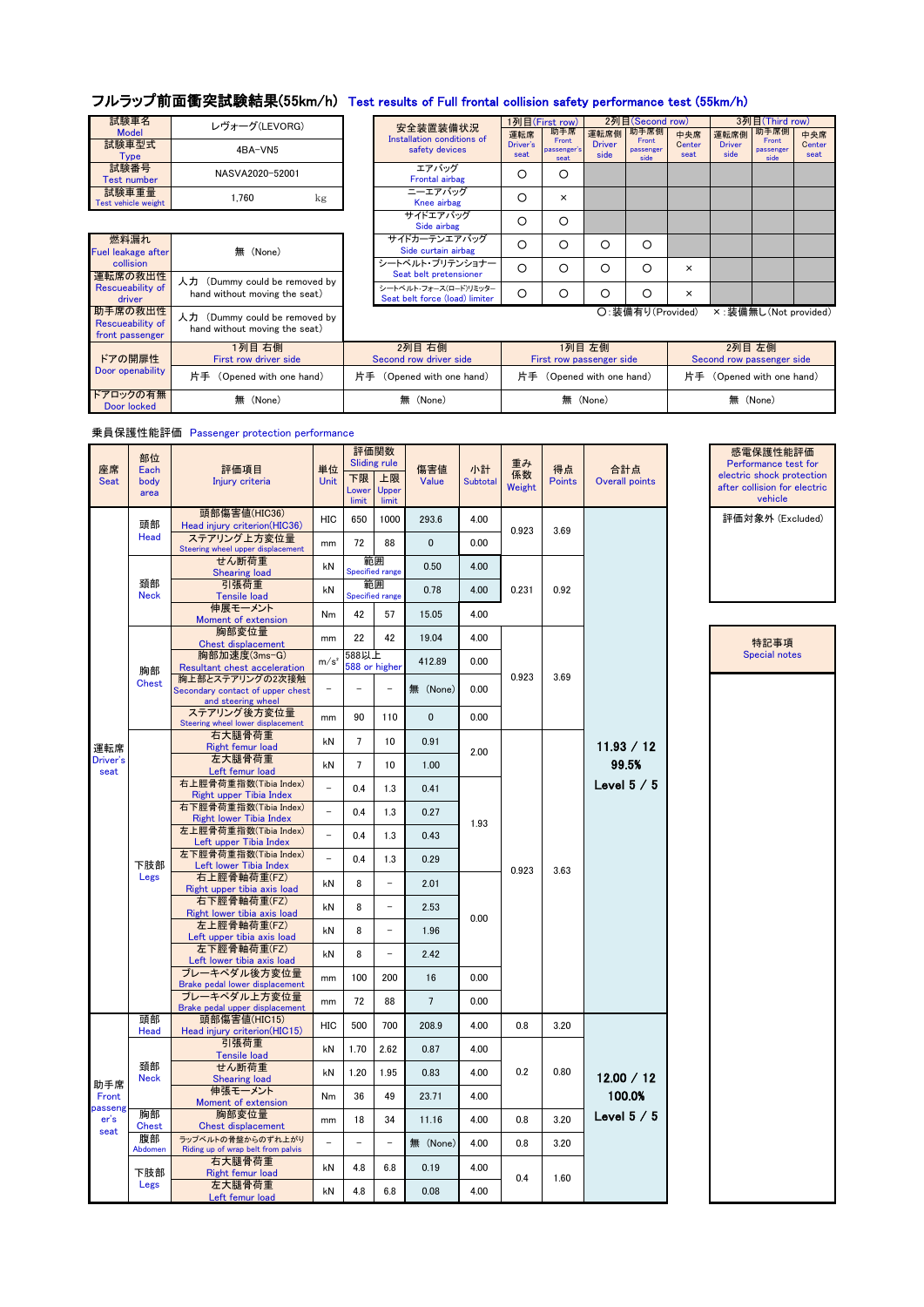## フルラップ前面衝突試験結果(55km/h) Test results of Full frontal collision safety performance test (55km/h)

| 試験車名<br><b>Model</b>         | レヴォーグ(LEVORG)   | 安全装置装備<br><b>Installation condit</b> |
|------------------------------|-----------------|--------------------------------------|
| 試験車型式<br>Tvpe                | 4BA-VN5         | safety devic                         |
| 試験番号<br><b>Test number</b>   | NASVA2020-52001 | エアバッグ<br><b>Frontal airba</b>        |
| 試験車重量<br>Test vehicle weight | 1.760<br>kg     | ニーエアバッ<br>Knee airba                 |

| 試験車名                | レヴォーグ(LEVORG)                 |  | 安全装置装備状況                       |                  | 1列目(First row)       |               | 2列目(Second row)    |          |                       | 3列目(Third row)     |   |  |
|---------------------|-------------------------------|--|--------------------------------|------------------|----------------------|---------------|--------------------|----------|-----------------------|--------------------|---|--|
| <b>Model</b>        |                               |  | Installation conditions of     | 運転席              | 助手席                  | 運転席側          | 助手席側               | 中央席      | 運転席側                  | 助手席側               | 4 |  |
| 試験車型式               | 4BA-VN5                       |  | safety devices                 | Driver's<br>seat | Front<br>passenger's | <b>Driver</b> | Front<br>passenger | Center   | <b>Driver</b><br>side | Front<br>passenger |   |  |
| <b>Type</b>         |                               |  |                                |                  | seat                 | side          | side               | seat     |                       | side               |   |  |
| 試験番号                | NASVA2020-52001               |  | エアバッグ                          |                  | О                    |               |                    |          |                       |                    |   |  |
| <b>Test number</b>  |                               |  | Frontal airbag                 |                  |                      |               |                    |          |                       |                    |   |  |
| 試験車重量               | 1.760                         |  | ニーエアバッグ                        | $\circ$          | $\times$             |               |                    |          |                       |                    |   |  |
| Test vehicle weight | kg                            |  | Knee airbag                    |                  |                      |               |                    |          |                       |                    |   |  |
|                     |                               |  | サイドエアバッグ                       | O                | O                    |               |                    |          |                       |                    |   |  |
|                     |                               |  | Side airbag                    |                  |                      |               |                    |          |                       |                    |   |  |
| 燃料漏れ                |                               |  | サイドカーテンエアバッグ                   | ∩                | Ω                    | О             | $\circ$            |          |                       |                    |   |  |
| Fuel leakage after  | 無 (None)                      |  | Side curtain airbag            |                  |                      |               |                    |          |                       |                    |   |  |
| collision           |                               |  | シートベルト・プリテンショナー                | ∩                | Ω                    | O             | $\circ$            | $\times$ |                       |                    |   |  |
| 運転席の救出性             |                               |  | Seat belt pretensioner         |                  |                      |               |                    |          |                       |                    |   |  |
| Rescueability of    | 人力 (Dummy could be removed by |  | シートベルト・フォース(ロード)リミッター          |                  |                      |               |                    |          |                       |                    |   |  |
| driver              | hand without moving the seat) |  | Seat belt force (load) limiter | $\circ$          | Ω                    | O             | $\circ$            | $\times$ |                       |                    |   |  |
| 助手席の救出性             |                               |  |                                |                  |                      |               | ○:装備有り(Provided)   |          |                       | × :装備無し(Not prov   |   |  |
| Recrueshility of    | 人力 (Dummy could be removed by |  |                                |                  |                      |               |                    |          |                       |                    |   |  |

○:装備有り(Provided) ×:装備無し(Not provided)

中央席 Center seat

| 助手席の救出性  <br>Rescueability of<br>front passenger | 人力<br>(Dummy could be removed by<br>hand without moving the seat) |                                  | 〇:装備有り(Provided)                   | × : 装備無し(Not provided)              |
|--------------------------------------------------|-------------------------------------------------------------------|----------------------------------|------------------------------------|-------------------------------------|
| ドアの開扉性                                           | 1列目 右側<br>First row driver side                                   | 2列目 右側<br>Second row driver side | 1列目 左側<br>First row passenger side | 2列目 左側<br>Second row passenger side |
| Door openability                                 | 片手 (Opened with one hand)                                         | 片手 (Opened with one hand)        | 片手 (Opened with one hand)          | 片手 (Opened with one hand)           |
| ドアロックの有無<br>Door locked                          | 無 (None)                                                          | 無 (None)                         | 無 (None)                           | 無 (None)                            |

乗員保護性能評価 Passenger protection performance

| 座席<br><b>Seat</b> | 部位<br>Each<br>body | 評価項目<br>Injury criteria                                                   | 単位<br><b>Unit</b> | 下限             | 評価関数<br><b>Sliding rule</b><br>上限 | 傷害値<br>Value   | 小計<br><b>Subtotal</b> | 重み<br>係数 | 得点<br><b>Points</b> | 合計点<br>Overall points | 感電保護性能評価<br>Performance test for<br>electric shock protection |  |
|-------------------|--------------------|---------------------------------------------------------------------------|-------------------|----------------|-----------------------------------|----------------|-----------------------|----------|---------------------|-----------------------|---------------------------------------------------------------|--|
|                   | area               |                                                                           |                   | Lower<br>limit | Upper<br>limit                    |                |                       | Weight   |                     |                       | after collision for electric<br>vehicle                       |  |
|                   | 頭部                 | 頭部傷害値(HIC36)<br>Head injury criterion(HIC36)                              | <b>HIC</b>        | 650            | 1000                              | 293.6          | 4.00                  | 0.923    | 3.69                |                       | 評価対象外 (Excluded)                                              |  |
|                   | Head               | ステアリング上方変位量<br>Steering wheel upper displacement                          | mm                | 72             | 88                                | $\mathbf 0$    | 0.00                  |          |                     |                       |                                                               |  |
|                   |                    | せん断荷重<br><b>Shearing load</b>                                             | kN                |                | 範囲<br>Specified range             | 0.50           | 4.00                  |          |                     |                       |                                                               |  |
|                   | 頚部<br><b>Neck</b>  | 引張荷重<br><b>Tensile load</b>                                               | kN                |                | 範囲<br><b>Specified range</b>      | 0.78           | 4.00                  | 0.231    | 0.92                |                       |                                                               |  |
|                   |                    | 伸展モーメント<br>Moment of extension                                            | Nm                | 42             | 57                                | 15.05          | 4.00                  |          |                     |                       |                                                               |  |
|                   |                    | 胸部変位量<br>Chest displacement                                               | mm                | 22             | 42                                | 19.04          | 4.00                  |          |                     |                       | 特記事項                                                          |  |
|                   |                    | 胸部加速度(3ms-G)<br>Resultant chest acceleration                              | m/s <sup>2</sup>  | 588以上          | 588 or higher                     | 412.89         | 0.00                  |          |                     |                       | <b>Special notes</b>                                          |  |
|                   | 胸部<br><b>Chest</b> | 胸上部とステアリングの2次接触<br>Secondary contact of upper chest<br>and steering wheel |                   |                |                                   | 無 (None)       | 0.00                  | 0.923    | 3.69                |                       |                                                               |  |
|                   |                    | ステアリング後方変位量<br>Steering wheel lower displacement                          | mm                | 90             | 110                               | $\mathbf 0$    | 0.00                  |          |                     |                       |                                                               |  |
| 運転席               |                    | 右大腿骨荷重<br><b>Right femur load</b>                                         | kN                | $\overline{7}$ | 10                                | 0.91           |                       |          |                     | 11.93 / 12            |                                                               |  |
| Driver's          |                    | 左大腿骨荷重<br>Left femur load                                                 | kN                | $\overline{7}$ | 10                                | 1.00           | 2.00                  |          |                     | 99.5%                 |                                                               |  |
| seat              |                    | 右上脛骨荷重指数(Tibia Index)<br>Right upper Tibia Index                          |                   | 0.4            | 1.3                               | 0.41           |                       |          |                     | Level $5/5$           |                                                               |  |
|                   |                    | 右下脛骨荷重指数(Tibia Index)<br><b>Right lower Tibia Index</b>                   |                   | 0.4            | 1.3                               | 0.27           |                       |          |                     |                       |                                                               |  |
|                   |                    | 左上脛骨荷重指数(Tibia Index)<br>Left upper Tibia Index                           | $\equiv$          | 0.4            | 1.3                               | 0.43           | 1.93                  |          |                     |                       |                                                               |  |
|                   | 下肢部                | 左下脛骨荷重指数(Tibia Index)<br>Left lower Tibia Index                           |                   | 0.4            | 1.3                               | 0.29           |                       |          |                     |                       |                                                               |  |
|                   | Legs               | 右上脛骨軸荷重(FZ)<br>Right upper tibia axis load                                | kN                | 8              | $\qquad \qquad -$                 | 2.01           |                       | 0.923    | 3.63                |                       |                                                               |  |
|                   |                    | 右下脛骨軸荷重(FZ)                                                               | kN                | 8              | $\overline{\phantom{0}}$          | 2.53           |                       |          |                     |                       |                                                               |  |
|                   |                    | Right lower tibia axis load<br>左上脛骨軸荷重(FZ)                                | kN                | 8              |                                   | 1.96           | 0.00                  |          |                     |                       |                                                               |  |
|                   |                    | Left upper tibia axis load<br>左下脛骨軸荷重(FZ)                                 | kN                | 8              | $\frac{1}{2}$                     | 2.42           |                       |          |                     |                       |                                                               |  |
|                   |                    | Left lower tibia axis load<br>ブレーキペダル後方変位量                                | mm                | 100            | 200                               | 16             | 0.00                  |          |                     |                       |                                                               |  |
|                   |                    | Brake pedal lower displacement<br>ブレーキペダル上方変位量                            | mm                | 72             | 88                                | $\overline{7}$ | 0.00                  |          |                     |                       |                                                               |  |
|                   | 頭部                 | Brake pedal upper displacement<br>頭部傷害値(HIC15)                            | HIC               | 500            | 700                               | 208.9          | 4.00                  | 0.8      | 3.20                |                       |                                                               |  |
|                   | Head               | Head injury criterion(HIC15)<br>引張荷重                                      | kN                | 1.70           | 2.62                              | 0.87           | 4.00                  |          |                     |                       |                                                               |  |
|                   | 頚部<br><b>Neck</b>  | <b>Tensile load</b><br>せん断荷重                                              | kN                | 1.20           | 1.95                              | 0.83           | 4.00                  | 0.2      | 0.80                | 12.00 / 12            |                                                               |  |
| 助手席<br>Front      |                    | <b>Shearing load</b><br>伸張モーメント<br>Moment of extension                    | Nm                | 36             | 49                                | 23.71          | 4.00                  |          |                     | 100.0%                |                                                               |  |
| passeng<br>er's   | 胸部                 | 胸部変位量                                                                     | mm                | 18             | 34                                | 11.16          | 4.00                  | 0.8      | 3.20                | Level $5/5$           |                                                               |  |
| seat              | <b>Chest</b><br>腹部 | <b>Chest displacement</b><br>ラップベルトの骨盤からのずれ上がり                            | $\overline{a}$    | $\overline{a}$ | $\equiv$                          | 無 (None)       | 4.00                  | 0.8      | 3.20                |                       |                                                               |  |
|                   | Abdomen            | Riding up of wrap belt from palvis<br>右大腿骨荷重                              | kN                | 4.8            | 6.8                               | 0.19           | 4.00                  |          |                     |                       |                                                               |  |
|                   | 下肢部<br>Legs        | Right femur load<br>左大腿骨荷重                                                | kN                | 4.8            | 6.8                               | 0.08           | 4.00                  | 0.4      | 1.60                |                       |                                                               |  |
|                   |                    | Left femur load                                                           |                   |                |                                   |                |                       |          |                     |                       |                                                               |  |

安全装置装備状況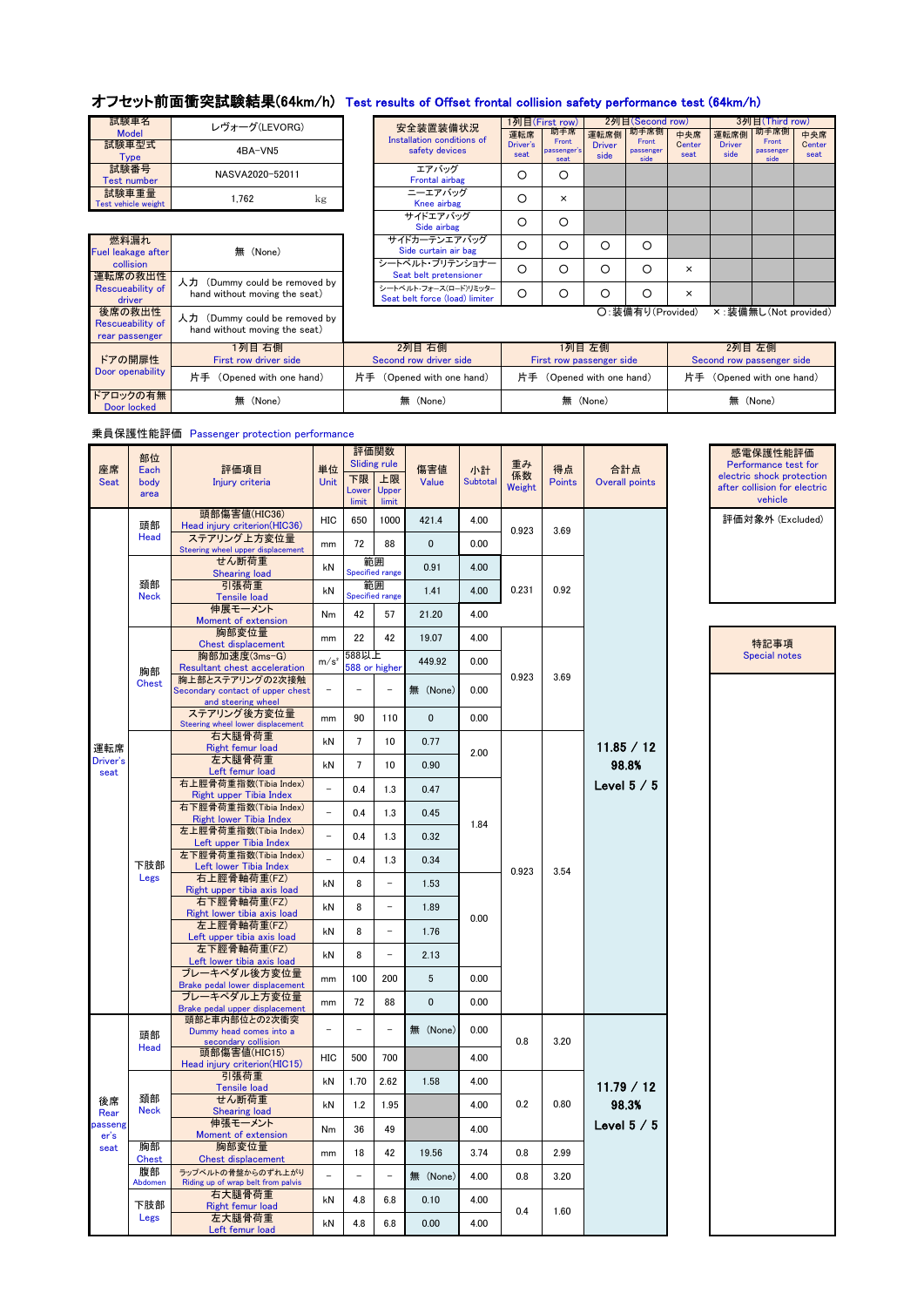## オフセット前面衝突試験結果(64km/h) Test results of Offset frontal collision safety performance test (64km/h)

| 試験車名<br><b>Model</b>         | レヴォーグ(LEVORG)   | 安全装置装備状況<br>Installation conditions |
|------------------------------|-----------------|-------------------------------------|
| 試験車型式<br>Tvpe                | 4BA-VN5         | safety devices                      |
| 試験番号<br><b>Test number</b>   | NASVA2020-52011 | エアバッグ<br>Frontal airbag             |
| 試験車重量<br>Test vehicle weight | 1.762<br>kg     | ニーエアバッグ<br>Knee airbag              |

燃料漏れ

| ォーグ(LEVORG)                                    |  | 安全装置装備状況                                                |                  | 1列目(First row)               |                       | 2列目(Second row)            |                | 3列目(Third row)        |                            |                  |
|------------------------------------------------|--|---------------------------------------------------------|------------------|------------------------------|-----------------------|----------------------------|----------------|-----------------------|----------------------------|------------------|
|                                                |  | Installation conditions of                              | 運転席              | 助手席                          | 運転席側                  | 助手席側                       | 中央席            | 運転席側                  | 助手席側                       | 中央席              |
| 4BA-VN5                                        |  | safety devices                                          | Driver's<br>seat | Front<br>passenger's<br>seat | <b>Driver</b><br>side | Front<br>passenger<br>side | Center<br>seat | <b>Driver</b><br>side | Front<br>passenger<br>side | Center<br>seat   |
| SVA2020-52011                                  |  | エアバッグ<br>Frontal airbag                                 | O                | ◯                            |                       |                            |                |                       |                            |                  |
| 1.762<br>kg                                    |  | ニーエアバッグ<br>Knee airbag                                  | O                | ×                            |                       |                            |                |                       |                            |                  |
|                                                |  | サイドエアバッグ<br>Side airbag                                 | O                | Ω                            |                       |                            |                |                       |                            |                  |
| 無 (None)                                       |  | サイドカーテンエアバッグ<br>Side curtain air bag                    | O                | ∩                            | O                     | Ω                          |                |                       |                            |                  |
|                                                |  | シートベルト・プリテンショナー<br>Seat belt pretensioner               | $\circ$          | Ω                            | O                     | ∩                          | $\times$       |                       |                            |                  |
| my could be removed by<br>out moving the seat) |  | シートベルト・フォース(ロード)リミッター<br>Seat belt force (load) limiter | $\circ$          | Ω                            | O                     | O                          | $\times$       |                       |                            |                  |
|                                                |  |                                                         |                  |                              |                       | ∩· 生借有り(Provided)          |                | × · 準備無I              |                            | $(Mot$ provided) |

Fuel leakage after collision Seat belt pretensioner<br>
The Seat belt pretensioner Seat belt pretensioner<br>
Rescues by hand without moving the seat)<br>
Seat belt force (log(l limiter and moving the seat)<br>
Seat belt force (log(l limiter and moving the seat) Rescueability of <u>driver</u><br>後席の救出性<br>Rescueability of<br>rear passenger 人力 (Dummy could be removed by hand without moving the seat) ドアの開扉性  $\overline{D}$ 1列目 右側 First row driver side ドアロックの有無

○:装備有り(Provided) ×:装備無し(Not provided)

| $\sim$                 |                                 |                                  |                                    |                                     |  |
|------------------------|---------------------------------|----------------------------------|------------------------------------|-------------------------------------|--|
| ドアの開扉性                 | 1列目 右側<br>First row driver side | 2列目 右側<br>Second row driver side | 1列目 左側<br>First row passenger side | 2列目 左側<br>Second row passenger side |  |
| oor openability        | (Opened with one hand)          | 片手<br>(Opened with one hand)     | 片手 (Opened with one hand)          | 片手<br>(Opened with one hand)        |  |
| アロックの有無<br>Door locked | (None)<br>無                     | (None)<br>無                      | 無 (None)                           | 無 (None)                            |  |

| 乗員保護性能評価 Passenger protection performance |  |  |
|-------------------------------------------|--|--|
|-------------------------------------------|--|--|

| 座席<br><b>Seat</b>      | 部位<br>Each<br>body | 評価項目<br>Injury criteria                                                   | 単位<br><b>Unit</b> | 下限<br>Lower     | 評価関数<br><b>Sliding rule</b><br>上限<br>Upper | 傷害値<br>Value | 小計<br>Subtotal | 重み<br>係数<br>Weight | 得点<br>Points | 合計点<br>Overall points |  | 感電保護性能評価<br>Performance test for<br>electric shock protectior<br>after collision for electric |
|------------------------|--------------------|---------------------------------------------------------------------------|-------------------|-----------------|--------------------------------------------|--------------|----------------|--------------------|--------------|-----------------------|--|-----------------------------------------------------------------------------------------------|
|                        | area<br>頭部         | 頭部傷害値(HIC36)<br>Head injury criterion(HIC36)                              | HIC               | limit<br>650    | limit<br>1000                              | 421.4        | 4.00           |                    |              |                       |  | vehicle<br>評価対象外 (Excluded)                                                                   |
|                        | Head               | ステアリング上方変位量<br>Steering wheel upper displacement                          | mm                | 72              | 88                                         | 0            | 0.00           | 0.923              | 3.69         |                       |  |                                                                                               |
|                        |                    | せん断荷重<br><b>Shearing load</b>                                             | kN                |                 | 範囲<br><b>Specified range</b>               | 0.91         | 4.00           |                    |              |                       |  |                                                                                               |
|                        | 頚部<br><b>Neck</b>  | 引張荷重<br>Tensile load                                                      | kN                |                 | 範囲<br>Specified range                      | 1.41         | 4.00           | 0.231              | 0.92         |                       |  |                                                                                               |
|                        |                    | 伸展モーメント<br>Moment of extension                                            | Nm                | 42              | 57                                         | 21.20        | 4.00           |                    |              |                       |  |                                                                                               |
|                        |                    | 胸部変位量<br>Chest displacement                                               | mm                | 22              | 42                                         | 19.07        | 4.00           |                    |              |                       |  | 特記事項                                                                                          |
|                        | 胸部                 | 胸部加速度(3ms-G)<br>Resultant chest acceleration                              | m/s <sup>2</sup>  | 588以上           | 588 or higher                              | 449.92       | 0.00           |                    |              |                       |  | Special notes                                                                                 |
|                        | <b>Chest</b>       | 胸上部とステアリングの2次接触<br>Secondary contact of upper chest<br>and steering wheel |                   |                 |                                            | 無 (None)     | 0.00           | 0.923              |              | 3.69                  |  |                                                                                               |
|                        |                    | ステアリング後方変位量<br>Steering wheel lower displacement                          | mm                | 90              | 110                                        | 0            | 0.00           |                    |              |                       |  |                                                                                               |
| 運転席                    |                    | 右大腿骨荷重<br><b>Right femur load</b>                                         | kN                | $7\phantom{.0}$ | 10                                         | 0.77         | 2.00           |                    |              | 11.85 / 12            |  |                                                                                               |
| Driver's<br>seat       |                    | 左大腿骨荷重<br>Left femur load                                                 | kN                | $7\phantom{.0}$ | 10                                         | 0.90         |                |                    |              | 98.8%<br>Level $5/5$  |  |                                                                                               |
|                        |                    | 右上脛骨荷重指数(Tibia Index)<br>Right upper Tibia Index                          |                   | 0.4             | 1.3                                        | 0.47         |                |                    |              |                       |  |                                                                                               |
|                        |                    | 右下脛骨荷重指数(Tibia Index)<br><b>Right lower Tibia Index</b>                   | $\qquad \qquad -$ | 0.4             | 1.3                                        | 0.45         | 1.84           |                    |              |                       |  |                                                                                               |
|                        |                    | 左上脛骨荷重指数(Tibia Index)<br>Left upper Tibia Index                           | $\overline{a}$    | 0.4             | 1.3                                        | 0.32         |                |                    |              |                       |  |                                                                                               |
|                        | 下肢部                | 左下脛骨荷重指数(Tibia Index)<br>Left lower Tibia Index                           |                   | 0.4             | 1.3                                        | 0.34         |                | 0.923              | 3.54         |                       |  |                                                                                               |
|                        | Legs               | 右上脛骨軸荷重(FZ)<br>Right upper tibia axis load                                | kN                | 8               | $\overline{a}$                             | 1.53         |                |                    |              |                       |  |                                                                                               |
|                        |                    | 右下脛骨軸荷重(FZ)<br>Right lower tibia axis load                                | kN                | 8               | $\ddot{\phantom{1}}$                       | 1.89         | 0.00           |                    |              |                       |  |                                                                                               |
|                        |                    | 左上脛骨軸荷重(FZ)<br>Left upper tibia axis load                                 | kN                | 8               | $\overline{\phantom{0}}$                   | 1.76         |                |                    |              |                       |  |                                                                                               |
|                        |                    | 左下脛骨軸荷重(FZ)<br>Left lower tibia axis load                                 | kN                | 8               | $\frac{1}{2}$                              | 2.13         |                |                    |              |                       |  |                                                                                               |
|                        |                    | ブレーキペダル後方変位量<br>Brake pedal lower displacement                            | mm                | 100             | 200                                        | 5            | 0.00           |                    |              |                       |  |                                                                                               |
|                        |                    | ブレーキペダル上方変位量<br>Brake pedal upper displacement                            | mm                | 72              | 88                                         | $\mathbf{0}$ | 0.00           |                    |              |                       |  |                                                                                               |
|                        | 頭部<br>Head         | 頭部と車内部位との2次衝突<br>Dummy head comes into a<br>secondary collision           |                   | $\equiv$        | $\equiv$                                   | 無 (None)     | 0.00           | 0.8                | 3.20         |                       |  |                                                                                               |
|                        |                    | 頭部傷害値(HIC15)<br>Head injury criterion(HIC15)                              | HIC               | 500             | 700                                        |              | 4.00           |                    |              |                       |  |                                                                                               |
|                        |                    | 引張荷重<br><b>Tensile load</b>                                               | kN                | 1.70            | 2.62                                       | 1.58         | 4.00           |                    |              | 11.79 / 12            |  |                                                                                               |
| 後席<br>Rear             | 頚部<br>Neck         | せん断荷重<br><b>Shearing load</b>                                             | kN                | 1.2             | 1.95                                       |              | 4.00           | 0.2                | 0.80         | 98.3%                 |  |                                                                                               |
| <b>passeng</b><br>er's |                    | 伸張モーメント<br>Moment of extension                                            | Nm                | 36              | 49                                         |              | 4.00           |                    |              | Level $5/5$           |  |                                                                                               |
| seat                   | 胸部<br><b>Chest</b> | 胸部変位量<br>Chest displacement                                               | mm                | 18              | 42                                         | 19.56        | 3.74           | 0.8                | 2.99         |                       |  |                                                                                               |
|                        | 腹部<br>Abdomen      | ラップベルトの骨盤からのずれ上がり<br>Riding up of wrap belt from palvis                   |                   | $\equiv$        | $\overline{\phantom{a}}$                   | 無 (None)     | 4.00           | 0.8                | 3.20         |                       |  |                                                                                               |
|                        | 下肢部                | 右大腿骨荷重<br><b>Right femur load</b>                                         | kN                | 4.8             | 6.8                                        | 0.10         | 4.00           | 0.4                |              |                       |  |                                                                                               |
|                        | Legs               | 左大腿骨荷重<br>Left femur load                                                 | kN                | 4.8             | 6.8                                        | 0.00         | 4.00           |                    |              | 1.60                  |  |                                                                                               |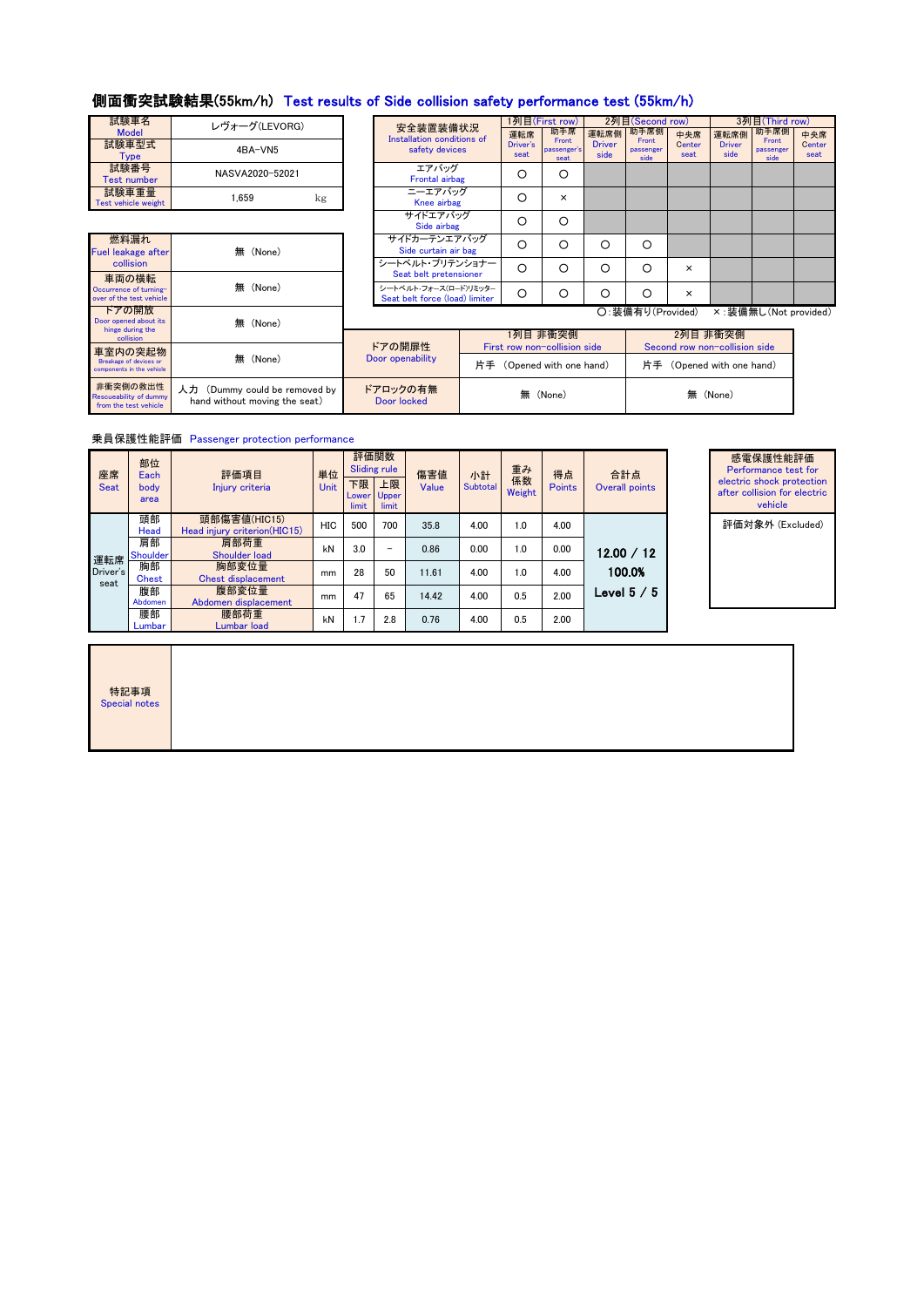# 側面衝突試験結果(55km/h) Test results of Side collision safety performance test (55km/h)

| 試験車名<br><b>Model</b>         | レヴォーグ(LEVORG)   |    | 安全装置装備状況<br>Installation conditions |
|------------------------------|-----------------|----|-------------------------------------|
| 試験車型式<br>Tvpe                | 4BA-VN5         |    | safety devices                      |
| 試験番号<br><b>Test number</b>   | NASVA2020-52021 |    | エアバッグ<br>Frontal airbag             |
| 試験車重量<br>Test vehicle weight | 1.659           | kg | ニーエアバッグ<br>Knee airbag              |

| ォーグ(LEVORG)   | 安全装置装備状況                                                | 1列目(First row)   |                     | 2列目(Second row)       |                   |                | 3列目(Third row)                                                                      |                |     |
|---------------|---------------------------------------------------------|------------------|---------------------|-----------------------|-------------------|----------------|-------------------------------------------------------------------------------------|----------------|-----|
|               | Installation conditions of                              | 運転席              | 助手席<br>Front        | 運転席側                  | 助手席側<br>Front     | 中央席            | 運転席側                                                                                |                | 中央席 |
| 4BA-VN5       | safety devices                                          | Driver's<br>seat | passenger's<br>seat | <b>Driver</b><br>side | passenger<br>side | Center<br>seat | 助手席側<br>Front<br><b>Driver</b><br>passenger<br>side<br>side<br>×:装備無し(Not provided) | Center<br>seat |     |
| SVA2020-52021 | エアバッグ<br><b>Frontal airbag</b>                          | O                | O                   |                       |                   |                |                                                                                     |                |     |
| 1.659<br>kg   | ニーエアバッグ<br>Knee airbag                                  | O                | $\times$            |                       |                   |                |                                                                                     |                |     |
|               | サイドエアバッグ<br>Side airbag                                 | O                | O                   |                       |                   |                |                                                                                     |                |     |
| 無 (None)      | サイドカーテンエアバッグ<br>Side curtain air bag                    | O                | ∩                   | O                     | Ω                 |                |                                                                                     |                |     |
|               | シートベルト・プリテンショナー<br>Seat belt pretensioner               | $\circ$          | Ω                   | O                     | Ω                 | $\times$       |                                                                                     |                |     |
| 無<br>(None)   | シートベルト・フォース(ロード)リミッター<br>Seat belt force (load) limiter | $\circ$          | ∩                   | Ω                     | Ω                 | $\times$       |                                                                                     |                |     |
|               |                                                         |                  |                     |                       | O:装備有り(Provided)  |                |                                                                                     |                |     |

| 燃料漏れ<br><b>Fuel leakage after</b><br>collision                     | (None)                                                         |  |
|--------------------------------------------------------------------|----------------------------------------------------------------|--|
| 車両の横転<br>Occurrence of turning-<br>over of the test vehicle        | (None)                                                         |  |
| ドアの開放<br>Door opened about its<br>hinge during the<br>collision    | (None)                                                         |  |
| 車室内の突起物<br>Breakage of devices or<br>components in the vehicle     | (None)                                                         |  |
| 非衝突側の救出性<br><b>Rescueability of dummy</b><br>from the test vehicle | 人力 (Dummy could be removed by<br>hand without moving the seat) |  |

|                                   | $m$ (indic)                                                    |                         |                              |                               |
|-----------------------------------|----------------------------------------------------------------|-------------------------|------------------------------|-------------------------------|
| ring the<br>sion                  |                                                                |                         | 1列目 非衝突側                     | 2列目 非衝突側                      |
| )突起物                              |                                                                | ドアの開扉性                  | First row non-collision side | Second row non-collision side |
| devices or<br>n the vehicle       | 無 (None)                                                       | Door openability        | 片手 (Opened with one hand)    | 片手 (Opened with one hand)     |
| の救出性<br>y of dummy<br>est vehicle | 人力 (Dummy could be removed by<br>hand without moving the seat) | ドアロックの有無<br>Door locked | 無 (None)                     | 無 (None)                      |

乗員保護性能評価 Passenger protection performance

特記事項<br>Special notes

| 座席<br><b>Seat</b>       | 部位<br>Each<br>body<br>area | 評価項目<br>Injury criteria                      | 単位<br><b>Unit</b> | 下限<br>Lower<br>limit | 評価関数<br><b>Sliding rule</b><br>上限<br>Upper<br>limit | 傷害値<br>Value | 小計<br><b>Subtotal</b> | 重み<br>係数<br>Weight | 得点<br><b>Points</b> | 合計点<br>Overall points |
|-------------------------|----------------------------|----------------------------------------------|-------------------|----------------------|-----------------------------------------------------|--------------|-----------------------|--------------------|---------------------|-----------------------|
| 運転席<br>Driver's<br>seat | 頭部<br>Head                 | 頭部傷害値(HIC15)<br>Head injury criterion(HIC15) | <b>HIC</b>        | 500                  | 700                                                 | 35.8         | 4.00                  | 1.0                | 4.00                |                       |
|                         | 肩部<br><b>Shoulder</b>      | 肩部荷重<br><b>Shoulder load</b>                 |                   | 3.0                  | -                                                   | 0.86         | 0.00                  | 1.0                | 0.00                | 12.00 / 12            |
|                         | 胸部<br><b>Chest</b>         | 胸部変位量<br><b>Chest displacement</b>           | mm                | 28                   | 50                                                  | 11.61        | 4.00                  | 1.0                | 4.00                | 100.0%                |
|                         | 腹部<br>Abdomen              | 腹部変位量<br>Abdomen displacement                | mm                | 47                   | 65                                                  | 14.42        | 4.00                  | 0.5                | 2.00                | Level $5/5$           |
|                         | 腰部<br>Lumbar               | 腰部荷重<br><b>Lumbar load</b>                   | kN                | 1.7                  | 2.8                                                 | 0.76         | 4.00                  | 0.5                | 2.00                |                       |

| 感電保護性能評価                     |
|------------------------------|
| Performance test for         |
| electric shock protection    |
| after collision for electric |
| vehicle                      |
| 評価対象外 (Excluded)             |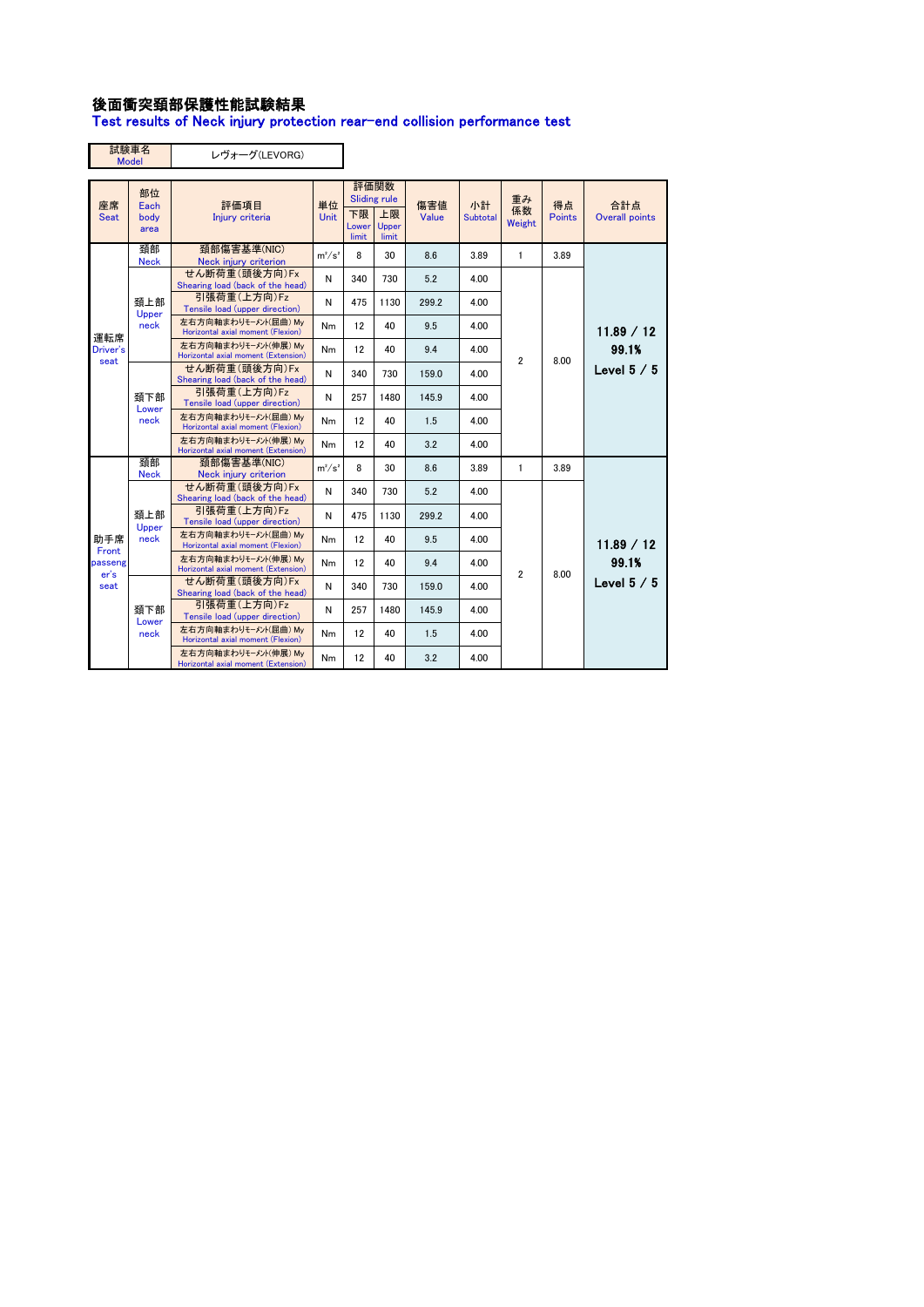### 後面衝突頚部保護性能試験結果

Test results of Neck injury protection rear-end collision performance test

|                   | 試験車名<br><b>Model</b>       | レヴォーグ(LEVORG)                                               |                   |                      |                                                     |              |                       |                    |              |                              |
|-------------------|----------------------------|-------------------------------------------------------------|-------------------|----------------------|-----------------------------------------------------|--------------|-----------------------|--------------------|--------------|------------------------------|
| 座席<br><b>Seat</b> | 部位<br>Each<br>body<br>area | 評価項目<br>Injury criteria                                     | 単位<br><b>Unit</b> | 下限<br>Lower<br>limit | 評価関数<br><b>Sliding rule</b><br>上限<br>Upper<br>limit | 傷害値<br>Value | 小計<br><b>Subtotal</b> | 重み<br>係数<br>Weight | 得点<br>Points | 合計点<br><b>Overall points</b> |
|                   | 頚部<br><b>Neck</b>          | 頚部傷害基準(NIC)<br>Neck injury criterion                        | $m^2/s^2$         | 8                    | 30                                                  | 8.6          | 3.89                  | $\mathbf{1}$       | 3.89         |                              |
|                   |                            | せん断荷重(頭後方向)Fx<br>Shearing load (back of the head)           | N                 | 340                  | 730                                                 | 5.2          | 4.00                  |                    |              |                              |
|                   | 頚上部<br>Upper               | 引張荷重(上方向)Fz<br>Tensile load (upper direction)               | N                 | 475                  | 1130                                                | 299.2        | 4.00                  |                    | 8.00         |                              |
| 運転席               | neck                       | 左右方向軸まわりモーメント(屈曲) Mv<br>Horizontal axial moment (Flexion)   | Nm                | 12                   | 40                                                  | 9.5          | 4.00                  |                    |              | 11.89 / 12                   |
| Driver's<br>seat  |                            | 左右方向軸まわりモーメント(伸展) Mv<br>Horizontal axial moment (Extension) | Nm                | 12                   | 40                                                  | 9.4          | 4.00                  | $\overline{2}$     |              | 99.1%                        |
|                   |                            | せん断荷重(頭後方向)Fx<br>Shearing load (back of the head)           | N                 | 340                  | 730                                                 | 159.0        | 4.00                  |                    |              | Level $5/5$                  |
|                   | 頚下部<br>Lower<br>neck       | 引張荷重(上方向)Fz<br>Tensile load (upper direction)               | N                 | 257                  | 1480                                                | 145.9        | 4.00                  |                    |              |                              |
|                   |                            | 左右方向軸まわりモーメント(屈曲) Mv<br>Horizontal axial moment (Flexion)   | Nm                | 12                   | 40                                                  | 1.5          | 4.00                  |                    |              |                              |
|                   |                            | 左右方向軸まわりモーメント(伸展) Mv<br>Horizontal axial moment (Extension) | Nm                | 12                   | 40                                                  | 3.2          | 4.00                  |                    |              |                              |
|                   | 頚部<br><b>Neck</b>          | 頚部傷害基準(NIC)<br>Neck injury criterion                        | $m^2/s^2$         | 8                    | 30                                                  | 8.6          | 3.89                  | $\mathbf{1}$       | 3.89         |                              |
|                   |                            | せん断荷重(頭後方向)Fx<br>Shearing load (back of the head)           | N                 | 340                  | 730                                                 | 5.2          | 4.00                  |                    |              |                              |
|                   | 頚上部<br>Upper               | 引張荷重(上方向)Fz<br>Tensile load (upper direction)               | N                 | 475                  | 1130                                                | 299.2        | 4.00                  |                    |              |                              |
| 助手席<br>Front      | neck                       | 左右方向軸まわりモーメント(屈曲) Mv<br>Horizontal axial moment (Flexion)   | Nm                | 12                   | 40                                                  | 9.5          | 4.00                  |                    |              | 11.89 / 12                   |
| passeng<br>er's   |                            | 左右方向軸まわりモーメント(伸展) Mv<br>Horizontal axial moment (Extension) | Nm                | 12                   | 40                                                  | 9.4          | 4.00                  | $\overline{2}$     | 8.00         | 99.1%                        |
| seat              |                            | せん断荷重(頭後方向)Fx<br>Shearing load (back of the head)           | N                 | 340                  | 730                                                 | 159.0        | 4.00                  |                    |              | Level $5/5$                  |
|                   | 頚下部<br>Lower               | 引張荷重(上方向)Fz<br>Tensile load (upper direction)               | Ν                 | 257                  | 1480                                                | 145.9        | 4.00                  |                    |              |                              |
|                   | neck                       | 左右方向軸まわりモーメント(屈曲) Mv<br>Horizontal axial moment (Flexion)   | Nm                | 12                   | 40                                                  | 1.5          | 4.00                  |                    |              |                              |
|                   |                            | 左右方向軸まわりモーメント(伸展) Mv<br>Horizontal axial moment (Extension) | Nm                | 12                   | 40                                                  | 3.2          | 4.00                  |                    |              |                              |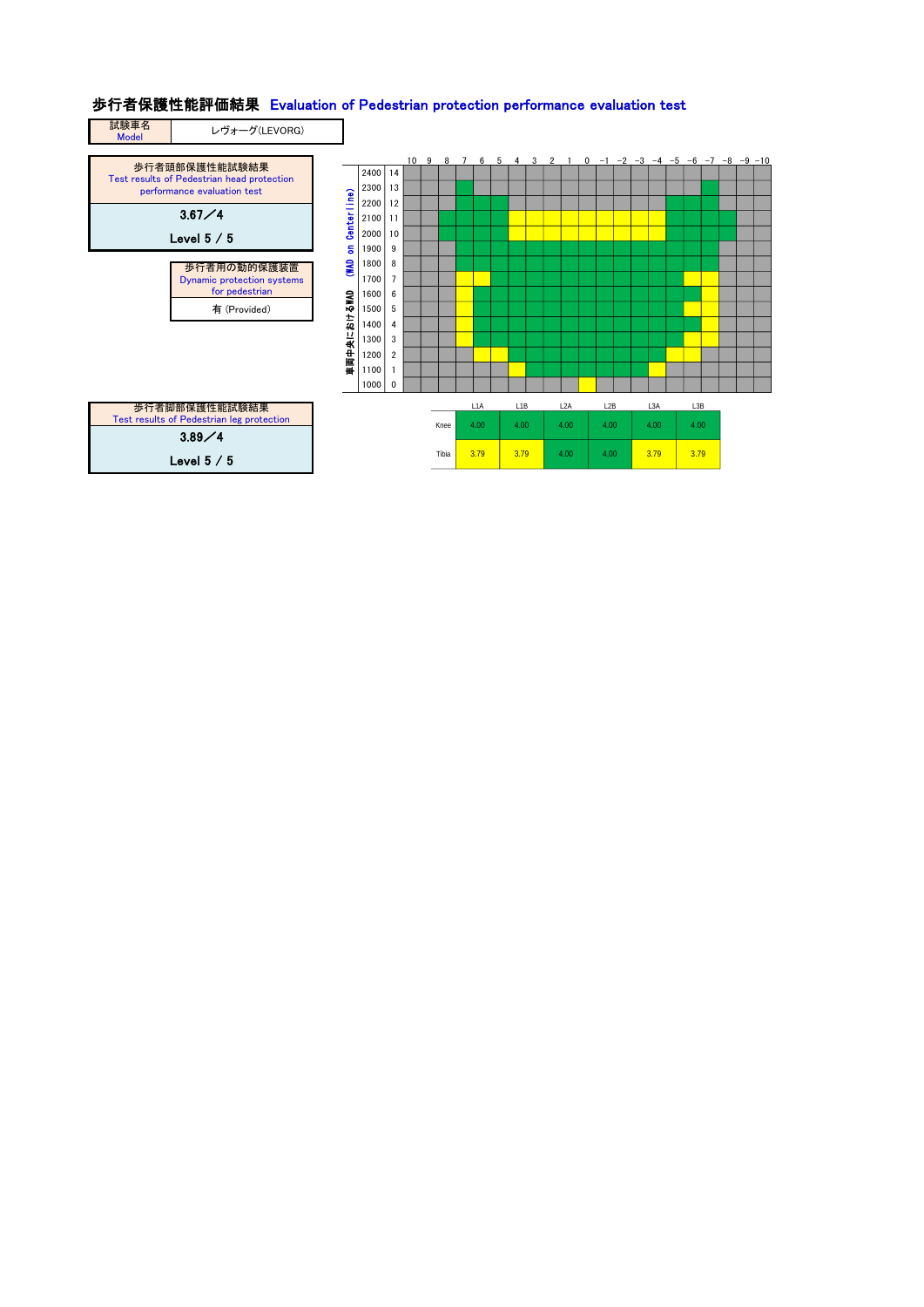## 歩行者保護性能評価結果 Evaluation of Pedestrian protection performance evaluation test

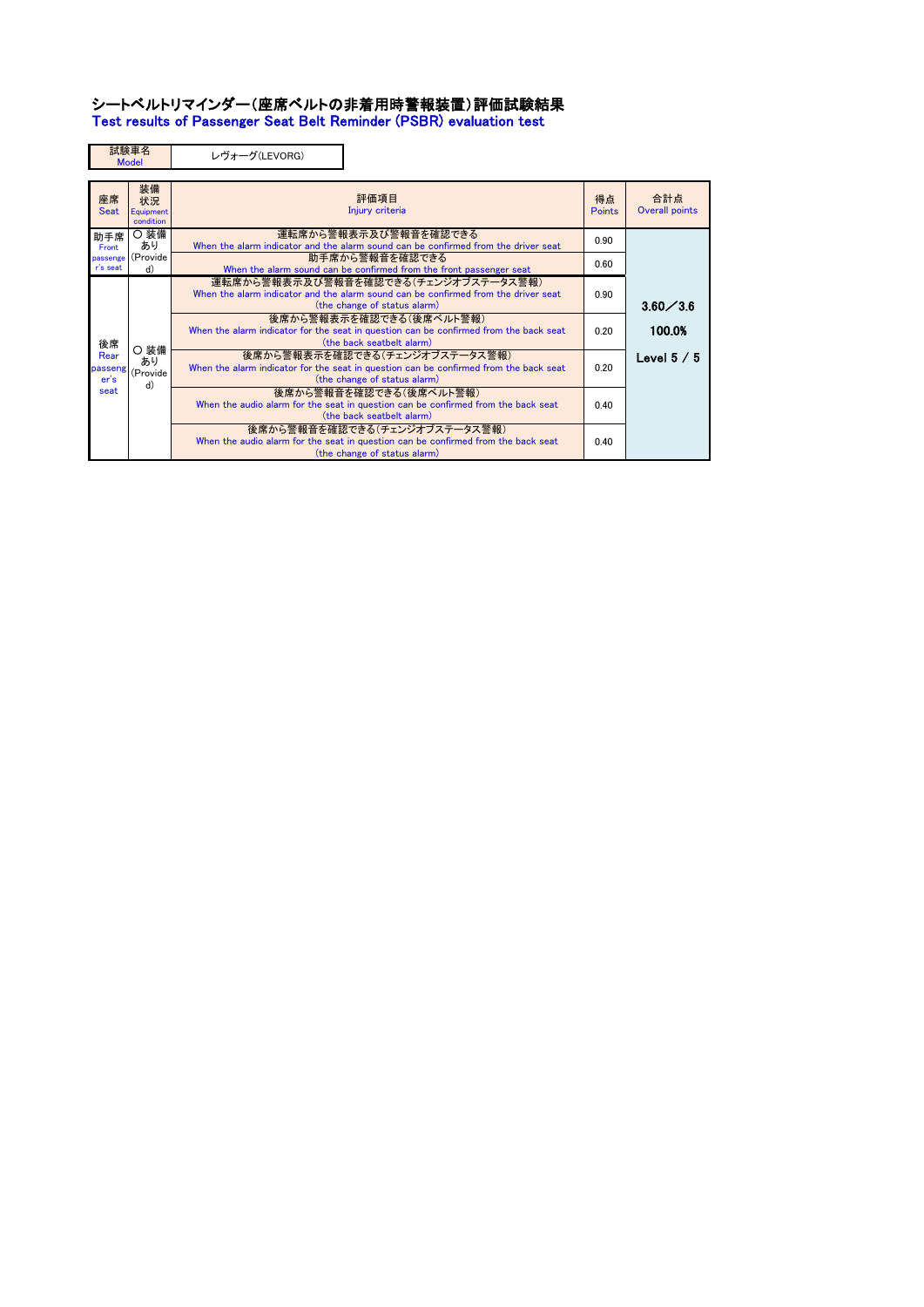### シートベルトリマインダー(座席ベルトの非着用時警報装置)評価試験結果 Test results of Passenger Seat Belt Reminder (PSBR) evaluation test

|                         | 試験車名<br><b>Model</b>               | レヴォーグ(LEVORG)                                                                                                                                             |              |                       |
|-------------------------|------------------------------------|-----------------------------------------------------------------------------------------------------------------------------------------------------------|--------------|-----------------------|
| 座席<br><b>Seat</b>       | 装備<br>状況<br>Equipment<br>condition | 評価項目<br>Injury criteria                                                                                                                                   | 得点<br>Points | 合計点<br>Overall points |
| 助手席<br><b>Front</b>     | ○ 装備<br>あり                         | 運転席から警報表示及び警報音を確認できる<br>When the alarm indicator and the alarm sound can be confirmed from the driver seat                                                | 0.90         |                       |
| passenge<br>r's seat    | (Provide<br>d)                     | 助手席から警報音を確認できる<br>When the alarm sound can be confirmed from the front passenger seat                                                                     | 0.60         |                       |
|                         |                                    | 運転席から警報表示及び警報音を確認できる(チェンジオブステータス警報)<br>When the alarm indicator and the alarm sound can be confirmed from the driver seat<br>(the change of status alarm) | 0.90         | $3.60 \diagup 3.6$    |
| 後席                      |                                    | 後席から警報表示を確認できる(後席ベルト警報)<br>When the alarm indicator for the seat in question can be confirmed from the back seat<br>(the back seatbelt alarm)             | 0.20         | 100.0%                |
| Rear<br>passeng<br>er's | 〇 装備<br>あり<br>(Provide<br>d)       | 後席から警報表示を確認できる(チェンジオブステータス警報)<br>When the alarm indicator for the seat in question can be confirmed from the back seat<br>(the change of status alarm)    | 0.20         | Level $5\; / \; 5$    |
| seat                    |                                    | 後席から警報音を確認できる(後席ベルト警報)<br>When the audio alarm for the seat in question can be confirmed from the back seat<br>(the back seatbelt alarm)                  | 0.40         |                       |
|                         |                                    | 後席から警報音を確認できる(チェンジオブステータス警報)<br>When the audio alarm for the seat in question can be confirmed from the back seat<br>(the change of status alarm)         | 0.40         |                       |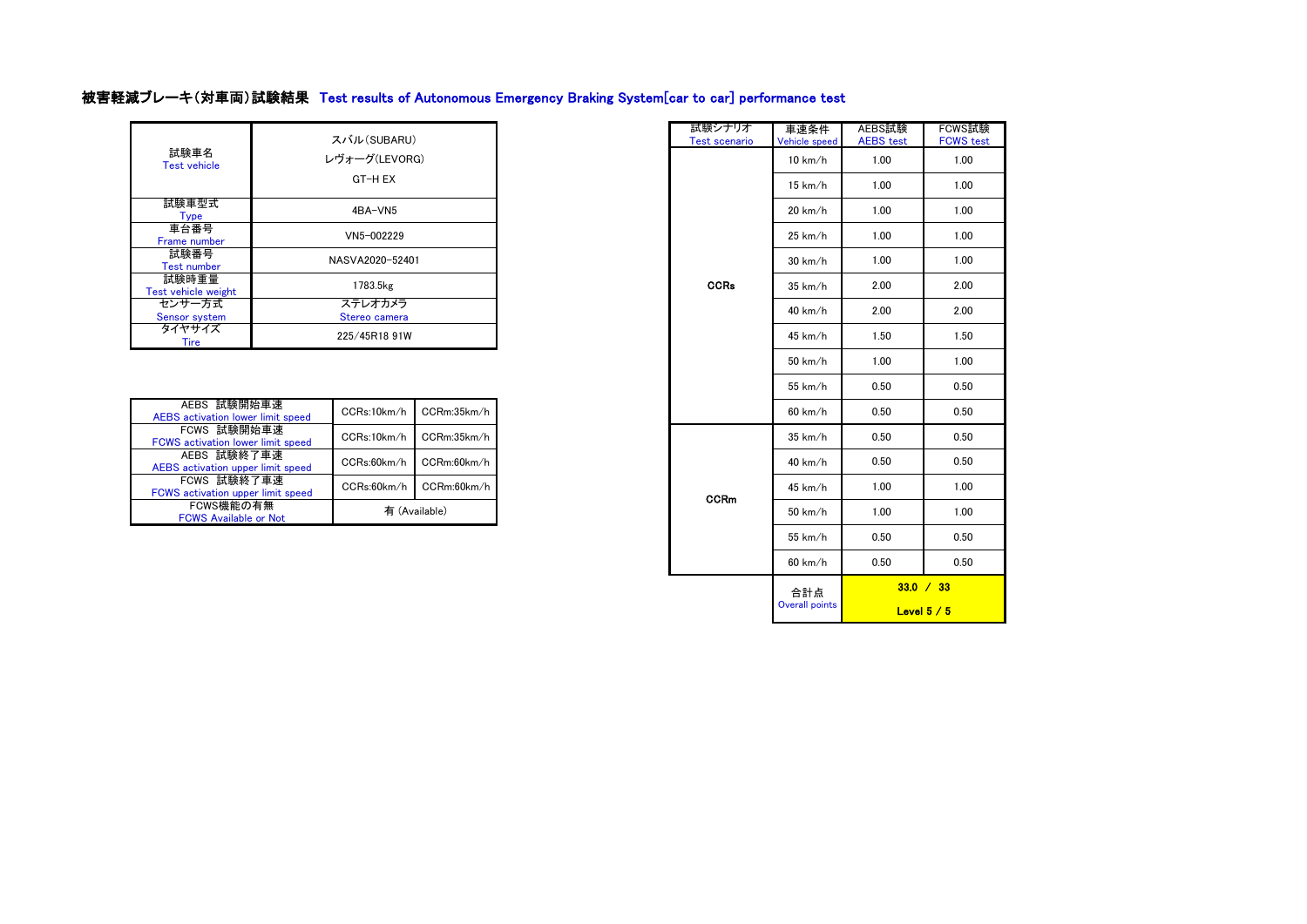# 被害軽減ブレーキ(対車両)試験結果 Test results of Autonomous Emergency Braking System[car to car] performance test

| 試験車名<br><b>Test vehicle</b>  | スバル(SUBARU)<br>レヴォーグ(LEVORG)<br>GT-H EX |
|------------------------------|-----------------------------------------|
| 試験車型式<br><b>Type</b>         | 4BA-VN5                                 |
| 車台番号<br>Frame number         | VN5-002229                              |
| 試験番号<br><b>Test number</b>   | NASVA2020-52401                         |
| 試験時重量<br>Test vehicle weight | 1783.5kg                                |
| センサー方式<br>Sensor system      | ステレオカメラ<br>Stereo camera                |
| タイヤサイズ<br>Tire               | 225/45R18 91W                           |

| AEBS 試験開始車速<br><b>AEBS</b> activation lower limit speed | CCRs:10km/h   | CCRm:35km/h |  |  |
|---------------------------------------------------------|---------------|-------------|--|--|
| FCWS 試験開始車速<br><b>FCWS</b> activation lower limit speed | CCRs:10km/h   | CCRm:35km/h |  |  |
| AEBS 試験終了車速<br>AEBS activation upper limit speed        | CCRs:60km/h   | CCRm:60km/h |  |  |
| FCWS 試験終了車速<br>FCWS activation upper limit speed        | CCRs:60km/h   | CCRm:60km/h |  |  |
| FCWS機能の有無<br><b>FCWS Available or Not</b>               | 有 (Available) |             |  |  |

| スバル(SUBARU)                |  | 試験シナリオ<br><b>Test scenario</b> | 車速条件<br>Vehicle speed | AEBS試験<br><b>AEBS</b> test | FCWS試験<br><b>FCWS</b> test |
|----------------------------|--|--------------------------------|-----------------------|----------------------------|----------------------------|
| パオーグ(LEVORG)               |  |                                | 10 km/h               | 1.00                       | 1.00                       |
| GT-H EX                    |  |                                | 15 km/h               | 1.00                       | 1.00                       |
| 4BA-VN5                    |  |                                | 20 km/h               | 1.00                       | 1.00                       |
| VN5-002229                 |  |                                | 25 km/h               | 1.00                       | 1.00                       |
| NASVA2020-52401            |  |                                | $30$ km/h             | 1.00                       | 1.00                       |
| 1783.5kg                   |  | <b>CCRs</b>                    | 35 km/h               | 2.00                       | 2.00                       |
| ステレオカメラ<br>Stereo camera   |  |                                | 40 km/h               | 2.00                       | 2.00                       |
| 225/45R18 91W              |  |                                | 45 km/h               | 1.50                       | 1.50                       |
|                            |  |                                | 50 km/h               | 1.00                       | 1.00                       |
|                            |  |                                | 55 km/h               | 0.50                       | 0.50                       |
| CCRm:35km/h<br>CCRs:10km/h |  |                                | 60 km/h               | 0.50                       | 0.50                       |
| CCRm:35km/h<br>CCRs:10km/h |  |                                | 35 km/h               | 0.50                       | 0.50                       |
| CCRm:60km/h<br>CCRs:60km/h |  |                                | 40 km/h               | 0.50                       | 0.50                       |
| CCRs:60km/h<br>CCRm:60km/h |  | <b>CCRm</b>                    | 45 km/h               | 1.00                       | 1.00                       |
| 有 (Available)              |  |                                | 50 km/h               | 1.00                       | 1.00                       |
|                            |  |                                | 55 km/h               | 0.50                       | 0.50                       |
|                            |  |                                | 60 km/h               | 0.50                       | 0.50                       |
|                            |  |                                | 合計点                   |                            | 33.0 / 33                  |
|                            |  |                                | <b>Overall points</b> |                            | Level $5/5$                |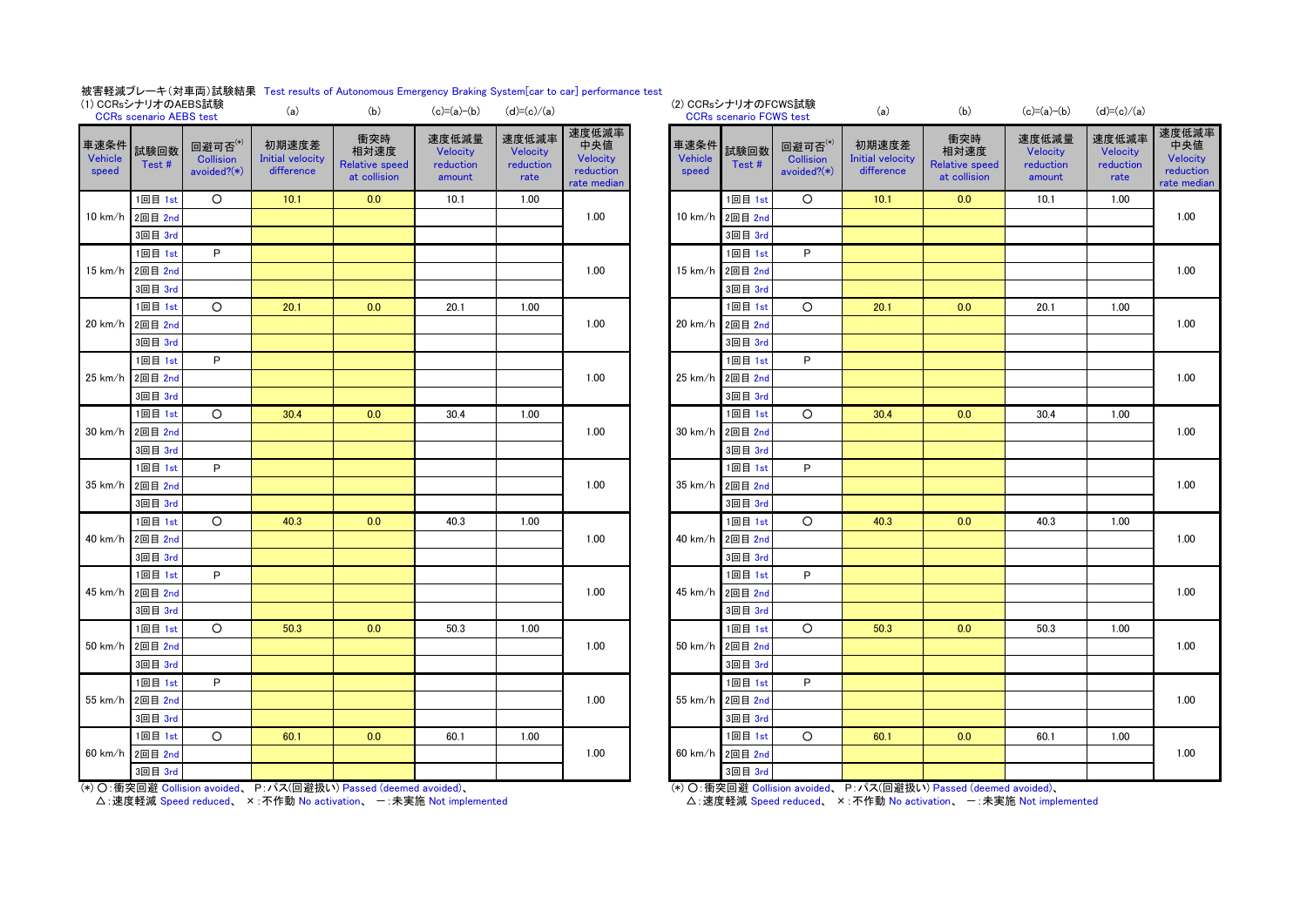#### 被害軽減ブレーキ(対車両)試験結果 Test results of Autonomous Emergency Braking System[car to car] performance test

| (1) CCRsシナリオのAEBS試験             | <b>CCRs</b> scenario AEBS test |                                               | (a)                                            | (b)                                                  | $(c)=(a)-(b)$                            | $(d)=(c)/(a)$                          |                                                      |                                 | (2) CCRsシナリオのFCWS試験<br><b>CCRs</b> scenario FCWS test |                                               | (a)                                            | (b)                                                  | $(c)=(a)-(b)$                            | $(d)=(c)/(a)$                          |                                         |
|---------------------------------|--------------------------------|-----------------------------------------------|------------------------------------------------|------------------------------------------------------|------------------------------------------|----------------------------------------|------------------------------------------------------|---------------------------------|-------------------------------------------------------|-----------------------------------------------|------------------------------------------------|------------------------------------------------------|------------------------------------------|----------------------------------------|-----------------------------------------|
| 車速条件<br><b>Vehicle</b><br>speed | 試験回数<br>Test#                  | 回避可否(*)<br><b>Collision</b><br>avoided? $(*)$ | 初期速度差<br><b>Initial velocity</b><br>difference | 衝突時<br>相対速度<br><b>Relative speed</b><br>at collision | 速度低減量<br>Velocity<br>reduction<br>amount | 速度低減率<br>Velocity<br>reduction<br>rate | 速度低減率<br>中央値<br>Velocity<br>reduction<br>rate median | 車速条件<br><b>Vehicle</b><br>speed | 試験回数<br>Test#                                         | 回避可否(*)<br><b>Collision</b><br>avoided? $(*)$ | 初期速度差<br><b>Initial velocity</b><br>difference | 衝突時<br>相対速度<br><b>Relative speed</b><br>at collision | 速度低減量<br>Velocity<br>reduction<br>amount | 速度低減率<br>Velocity<br>reduction<br>rate | 速度低<br>中央<br>Veloc<br>reduct<br>rate me |
|                                 | 1回目 1st                        | $\circ$                                       | 10.1                                           | 0.0                                                  | 10.1                                     | 1.00                                   |                                                      |                                 | 1回目 1st                                               | $\circ$                                       | 10.1                                           | 0.0                                                  | 10.1                                     | 1.00                                   |                                         |
| 10 km/h                         | 2回目 2nd                        |                                               |                                                |                                                      |                                          |                                        | 1.00                                                 |                                 | 10 km/h 2回目 2nd                                       |                                               |                                                |                                                      |                                          |                                        | 1.00                                    |
|                                 | 3回目 3rd                        |                                               |                                                |                                                      |                                          |                                        |                                                      |                                 | 3回目 3rd                                               |                                               |                                                |                                                      |                                          |                                        |                                         |
|                                 | 1回目 1st                        | P                                             |                                                |                                                      |                                          |                                        |                                                      |                                 | 1回目 1st                                               | P                                             |                                                |                                                      |                                          |                                        |                                         |
| 15 km/h                         | 2回目 2nd                        |                                               |                                                |                                                      |                                          |                                        | 1.00                                                 |                                 | 15 km/h 2回目 2nd                                       |                                               |                                                |                                                      |                                          |                                        | 1.00                                    |
|                                 | 3回目 3rd                        |                                               |                                                |                                                      |                                          |                                        |                                                      |                                 | 3回目 3rd                                               |                                               |                                                |                                                      |                                          |                                        |                                         |
|                                 | 1回目 1st                        | $\circ$                                       | 20.1                                           | 0.0                                                  | 20.1                                     | 1.00                                   |                                                      |                                 | 1回目 1st                                               | $\circ$                                       | 20.1                                           | 0.0                                                  | 20.1                                     | 1.00                                   |                                         |
| 20 km/h                         | 2回目 2nd                        |                                               |                                                |                                                      |                                          |                                        | 1.00                                                 |                                 | 20 km/h 2回目 2nd                                       |                                               |                                                |                                                      |                                          |                                        | 1.00                                    |
|                                 | 3回目 3rd                        |                                               |                                                |                                                      |                                          |                                        |                                                      |                                 | 3回目 3rd                                               |                                               |                                                |                                                      |                                          |                                        |                                         |
|                                 | 1回目 1st                        | P                                             |                                                |                                                      |                                          |                                        |                                                      |                                 | 1回目 1st                                               | P                                             |                                                |                                                      |                                          |                                        |                                         |
| 25 km/h                         | 2回目 2nd                        |                                               |                                                |                                                      |                                          |                                        | 1.00                                                 | $25 \text{ km/h}$               | 2回目 2nd                                               |                                               |                                                |                                                      |                                          |                                        | 1.00                                    |
|                                 | 3回目 3rd                        |                                               |                                                |                                                      |                                          |                                        |                                                      |                                 | 3回目 3rd                                               |                                               |                                                |                                                      |                                          |                                        |                                         |
|                                 | 1回目 1st                        | $\circ$                                       | 30.4                                           | 0.0                                                  | 30.4                                     | 1.00                                   |                                                      |                                 | 1回目 1st                                               | $\circ$                                       | 30.4                                           | 0.0                                                  | 30.4                                     | 1.00                                   |                                         |
| $30 \text{ km/h}$               | 2回目 2nd                        |                                               |                                                |                                                      |                                          |                                        | 1.00                                                 | 30 km/h                         | 2回目 2nd                                               |                                               |                                                |                                                      |                                          |                                        | 1.00                                    |
|                                 | 3回目 3rd                        |                                               |                                                |                                                      |                                          |                                        |                                                      |                                 | 3回目 3rd                                               |                                               |                                                |                                                      |                                          |                                        |                                         |
|                                 | 1回目 1st                        | P                                             |                                                |                                                      |                                          |                                        |                                                      |                                 | 1回目 1st                                               | P                                             |                                                |                                                      |                                          |                                        |                                         |
| 35 km/h                         | 2回目 2nd                        |                                               |                                                |                                                      |                                          |                                        | 1.00                                                 | $35 \text{ km/h}$               | 2回目 2nd                                               |                                               |                                                |                                                      |                                          |                                        | 1.00                                    |
|                                 | 3回目 3rd                        |                                               |                                                |                                                      |                                          |                                        |                                                      |                                 | 3回目 3rd                                               |                                               |                                                |                                                      |                                          |                                        |                                         |
|                                 | 1回目 1st                        | $\circ$                                       | 40.3                                           | 0.0                                                  | 40.3                                     | 1.00                                   |                                                      |                                 | 1回目 1st                                               | $\circ$                                       | 40.3                                           | 0.0                                                  | 40.3                                     | 1.00                                   |                                         |
| 40 km/h                         | 2回目 2nd                        |                                               |                                                |                                                      |                                          |                                        | 1.00                                                 | 40 km/h                         | 2回目 2nd                                               |                                               |                                                |                                                      |                                          |                                        | 1.00                                    |
|                                 | 3回目 3rd                        |                                               |                                                |                                                      |                                          |                                        |                                                      |                                 | 3回目 3rd                                               |                                               |                                                |                                                      |                                          |                                        |                                         |
|                                 | 1回目 1st                        | P                                             |                                                |                                                      |                                          |                                        |                                                      |                                 | 1回目 1st                                               | P                                             |                                                |                                                      |                                          |                                        |                                         |
| 45 km/h                         | 2回目 2nd                        |                                               |                                                |                                                      |                                          |                                        | 1.00                                                 | 45 km/h                         | 2回目 2nd                                               |                                               |                                                |                                                      |                                          |                                        | 1.00                                    |
|                                 | 3回目 3rd                        |                                               |                                                |                                                      |                                          |                                        |                                                      |                                 | 3回目 3rd                                               |                                               |                                                |                                                      |                                          |                                        |                                         |
|                                 | 1回目 1st                        | $\circ$                                       | 50.3                                           | 0.0                                                  | 50.3                                     | 1.00                                   |                                                      |                                 | 1回目 1st                                               | $\circ$                                       | 50.3                                           | 0.0                                                  | 50.3                                     | 1.00                                   |                                         |
| $50 \text{ km/h}$               | 2回目 2nd                        |                                               |                                                |                                                      |                                          |                                        | 1.00                                                 |                                 | 50 km/h 2回目 2nd                                       |                                               |                                                |                                                      |                                          |                                        | 1.00                                    |
|                                 | 3回目 3rd                        |                                               |                                                |                                                      |                                          |                                        |                                                      |                                 | 3回目 3rd                                               |                                               |                                                |                                                      |                                          |                                        |                                         |
|                                 | 1回目 1st                        | P                                             |                                                |                                                      |                                          |                                        |                                                      |                                 | 1回目 1st                                               | P                                             |                                                |                                                      |                                          |                                        |                                         |
| 55 km/h                         | 2回目 2nd                        |                                               |                                                |                                                      |                                          |                                        | 1.00                                                 |                                 | 55 km/h 2回目 2nd                                       |                                               |                                                |                                                      |                                          |                                        | 1.00                                    |
|                                 | 3回目 3rd                        |                                               |                                                |                                                      |                                          |                                        |                                                      |                                 | 3回目 3rd                                               |                                               |                                                |                                                      |                                          |                                        |                                         |
|                                 | 1回目 1st                        | $\circ$                                       | 60.1                                           | 0.0                                                  | 60.1                                     | 1.00                                   |                                                      |                                 | 1回目 1st                                               | $\circ$                                       | 60.1                                           | 0.0                                                  | 60.1                                     | 1.00                                   |                                         |
| 60 km/h                         | 2回目 2nd                        |                                               |                                                |                                                      |                                          |                                        | 1.00                                                 | 60 km/h                         | 2回目 2nd                                               |                                               |                                                |                                                      |                                          |                                        | 1.00                                    |
|                                 | 3回目 3rd                        |                                               |                                                |                                                      |                                          |                                        |                                                      |                                 | 3回目 3rd                                               |                                               |                                                |                                                      |                                          |                                        |                                         |

(\*) ○:衝突回避 Collision avoided、 P:パス(回避扱い) Passed (deemed avoided)、

△: 速度軽減 Speed reduced、 × : 不作動 No activation、 一 : 未実施 Not implemented

|                          | (2) UCRsンナリオのFCWS試験<br><b>CCRs scenario FCWS test</b> |                                               | (a)                                            | (b)                                                  | $(c)=(a)-(b)$                            | $(d)=(c)/(a)$                          |                                                      |  |  |
|--------------------------|-------------------------------------------------------|-----------------------------------------------|------------------------------------------------|------------------------------------------------------|------------------------------------------|----------------------------------------|------------------------------------------------------|--|--|
| 車速条件<br>Vehicle<br>speed | 試験回数<br>Test#                                         | 回避可否(*)<br><b>Collision</b><br>avoided? $(*)$ | 初期速度差<br><b>Initial velocity</b><br>difference | 衝突時<br>相対速度<br><b>Relative speed</b><br>at collision | 速度低減量<br>Velocity<br>reduction<br>amount | 速度低減率<br>Velocity<br>reduction<br>rate | 速度低減率<br>中央値<br>Velocity<br>reduction<br>rate median |  |  |
|                          | 1回目 1st                                               | $\circ$                                       | 10.1                                           | 0.0                                                  | 10.1                                     | 1.00                                   |                                                      |  |  |
| 10 km/h                  | 2回目 2nd                                               |                                               |                                                |                                                      |                                          |                                        | 1.00                                                 |  |  |
|                          | 3回目 3rd                                               |                                               |                                                |                                                      |                                          |                                        |                                                      |  |  |
|                          | 1回目 1st                                               | P                                             |                                                |                                                      |                                          |                                        |                                                      |  |  |
| 15 km/h                  | 2回目 2nd                                               |                                               |                                                |                                                      |                                          |                                        | 1.00                                                 |  |  |
|                          | 3回目 3rd                                               |                                               |                                                |                                                      |                                          |                                        |                                                      |  |  |
|                          | 1回目 1st                                               | O                                             | 20.1                                           | 0.0                                                  | 20.1                                     | 1.00                                   |                                                      |  |  |
| 20 km/h                  | 2回目 2nd                                               |                                               |                                                |                                                      |                                          |                                        | 1.00                                                 |  |  |
|                          | 3回目 3rd                                               |                                               |                                                |                                                      |                                          |                                        |                                                      |  |  |
|                          | 1回目 1st                                               | P                                             |                                                |                                                      |                                          |                                        |                                                      |  |  |
| 25 km/h                  | 2回目 2nd                                               |                                               |                                                |                                                      |                                          |                                        | 1.00                                                 |  |  |
|                          | 3回目 3rd                                               |                                               |                                                |                                                      |                                          |                                        |                                                      |  |  |
|                          | 1回目 1st                                               | O                                             | 30.4                                           | 0.0                                                  | 30.4                                     | 1.00                                   | 1.00                                                 |  |  |
| 30 km/h                  | 2回目 2nd                                               |                                               |                                                |                                                      |                                          |                                        |                                                      |  |  |
|                          | 3回目 3rd                                               |                                               |                                                |                                                      |                                          |                                        |                                                      |  |  |
|                          | 1回目 1st                                               | P                                             |                                                |                                                      |                                          |                                        |                                                      |  |  |
| 35 km/h                  | 2回目 2nd                                               |                                               |                                                |                                                      |                                          |                                        | 1.00                                                 |  |  |
|                          | 3回目 3rd                                               |                                               |                                                |                                                      |                                          |                                        |                                                      |  |  |
|                          | 1回目 1st                                               | O                                             | 40.3                                           | 0.0                                                  | 40.3                                     | 1.00                                   |                                                      |  |  |
| 40 km/h                  | 2回目 2nd                                               |                                               |                                                |                                                      |                                          |                                        | 1.00                                                 |  |  |
|                          | 3回目 3rd                                               |                                               |                                                |                                                      |                                          |                                        |                                                      |  |  |
|                          | 1回目 1st                                               | P                                             |                                                |                                                      |                                          |                                        |                                                      |  |  |
| 45 km/h                  | 2回目 2nd                                               |                                               |                                                |                                                      |                                          |                                        | 1.00                                                 |  |  |
|                          | 3回目 3rd                                               |                                               |                                                |                                                      |                                          |                                        |                                                      |  |  |
|                          | 1回目 1st                                               | O                                             | 50.3                                           | 0.0                                                  | 50.3                                     | 1.00                                   |                                                      |  |  |
| 50 km/h                  | 2回目 2nd                                               |                                               |                                                |                                                      |                                          |                                        | 1.00                                                 |  |  |
|                          | 3回目 3rd                                               |                                               |                                                |                                                      |                                          |                                        |                                                      |  |  |
|                          | 1回目 1st                                               | P                                             |                                                |                                                      |                                          |                                        |                                                      |  |  |
| 55 km/h                  | 2回目 2nd                                               |                                               |                                                |                                                      |                                          |                                        | 1.00                                                 |  |  |
|                          | 3回目 3rd                                               |                                               |                                                |                                                      |                                          |                                        |                                                      |  |  |
|                          | 1回目 1st                                               | O                                             | 60.1                                           | 0.0                                                  | 60.1                                     | 1.00                                   |                                                      |  |  |
| 60 km/h                  | 2回目 2nd                                               |                                               |                                                |                                                      |                                          |                                        | 1.00                                                 |  |  |
|                          | 3回目 3rd                                               |                                               |                                                |                                                      |                                          |                                        |                                                      |  |  |

(\*) ○:衝突回避 Collision avoided、 P:パス(回避扱い) Passed (deemed avoided)、

△:速度軽減 Speed reduced、 ×:不作動 No activation、 一:未実施 Not implemented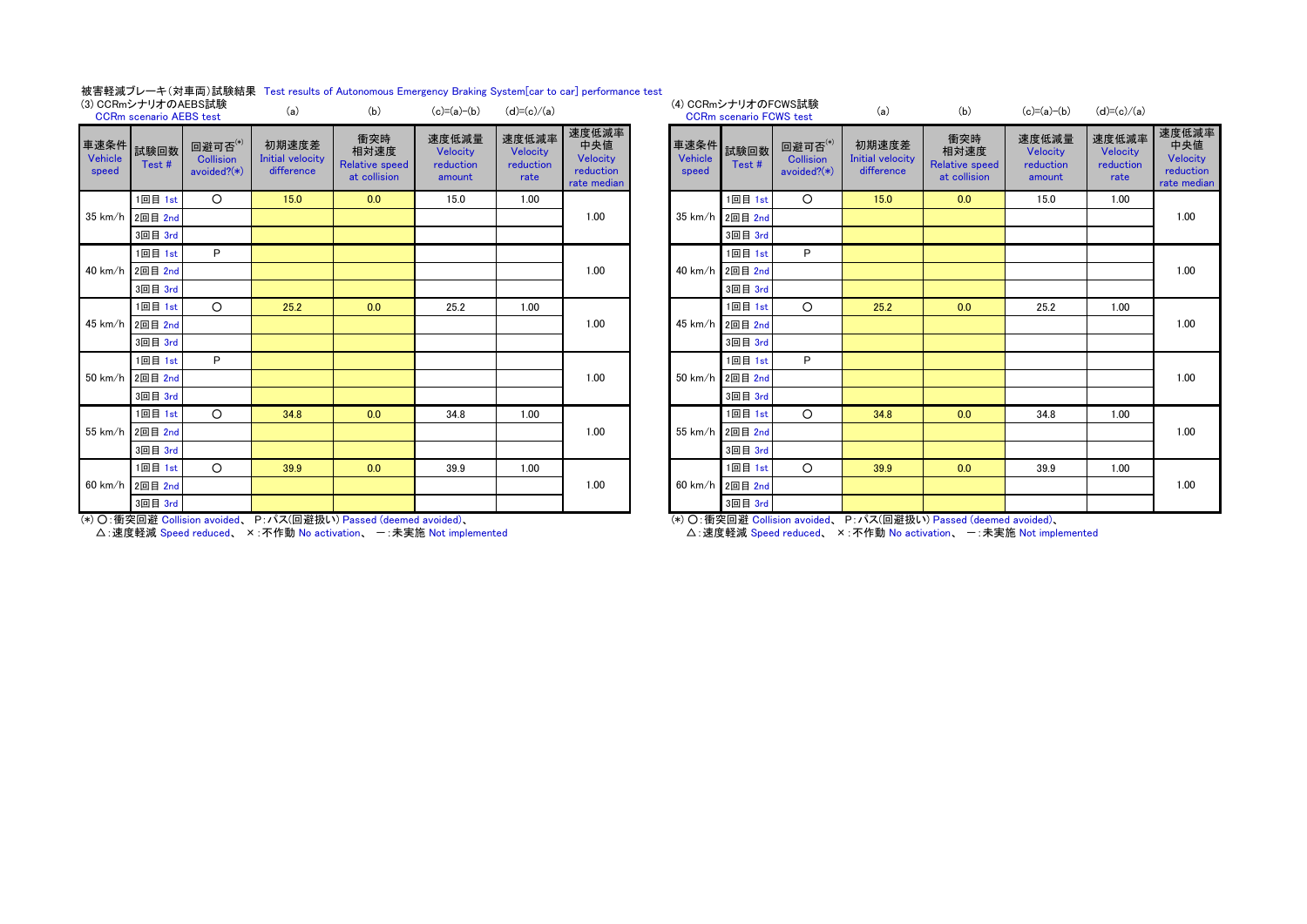#### 被害軽減ブレーキ(対車両)試験結果 Test results of Autonomous Emergency Braking System[car to car] performance test

|                               | (3) CCRmシナリオのAEBS試験<br><b>CCRm</b> scenario AEBS test |                                               | (a)                                            | (b)                                                  | $(c)=(a)-(b)$                            | $(d)=(c)/(a)$                          |                                                      |                  | (4) CCRmシナリオのFCWS試験<br><b>CCRm scenario FCWS test</b> |                                               | (a)                                            | (b)                                                  | $(c)=(a)-(b)$                            | $(d)=(c)/(a)$                          |                                         |
|-------------------------------|-------------------------------------------------------|-----------------------------------------------|------------------------------------------------|------------------------------------------------------|------------------------------------------|----------------------------------------|------------------------------------------------------|------------------|-------------------------------------------------------|-----------------------------------------------|------------------------------------------------|------------------------------------------------------|------------------------------------------|----------------------------------------|-----------------------------------------|
| 車速条件 試験回数<br>Vehicle<br>speed | Test#                                                 | 回避可否(*)<br><b>Collision</b><br>avoided? $(*)$ | 初期速度差<br><b>Initial velocity</b><br>difference | 衝突時<br>相対速度<br><b>Relative speed</b><br>at collision | 速度低減量<br>Velocity<br>reduction<br>amount | 速度低減率<br>Velocity<br>reduction<br>rate | 速度低減率<br>中央値<br>Velocity<br>reduction<br>rate median | Vehicle<br>speed | 車速条件 試験回数<br>Test#                                    | 回避可否(*)<br><b>Collision</b><br>avoided? $(*)$ | 初期速度差<br><b>Initial velocity</b><br>difference | 衝突時<br>相対速度<br><b>Relative speed</b><br>at collision | 速度低減量<br>Velocity<br>reduction<br>amount | 速度低減率<br>Velocity<br>reduction<br>rate | 速度低<br>中央<br>Veloc<br>reduct<br>rate me |
|                               | 1回目 1st                                               | $\circ$                                       | 15.0                                           | 0.0                                                  | 15.0                                     | 1.00                                   |                                                      |                  | 1回目 1st                                               | $\circ$                                       | 15.0                                           | 0.0                                                  | 15.0                                     | 1.00                                   |                                         |
|                               | 35 km/h 2回目 2nd                                       |                                               |                                                |                                                      |                                          |                                        | 1.00                                                 |                  | 35 km/h 2回目 2nd                                       |                                               |                                                |                                                      |                                          |                                        | 1.00                                    |
|                               | 3回目 3rd                                               |                                               |                                                |                                                      |                                          |                                        |                                                      |                  | 3回目 3rd                                               |                                               |                                                |                                                      |                                          |                                        |                                         |
|                               | 1回目 1st                                               | P                                             |                                                |                                                      |                                          |                                        |                                                      |                  | 1回目 1st                                               | P                                             |                                                |                                                      |                                          |                                        |                                         |
|                               | 40 km/h 2回目 2nd                                       |                                               |                                                |                                                      |                                          |                                        | 1.00                                                 |                  | 40 km/h 2回目 2nd                                       |                                               |                                                |                                                      |                                          |                                        | 1.00                                    |
|                               | 3回目 3rd                                               |                                               |                                                |                                                      |                                          |                                        |                                                      |                  | 3回目 3rd                                               |                                               |                                                |                                                      |                                          |                                        |                                         |
|                               | 1回目 1st                                               | $\Omega$                                      | 25.2                                           | 0.0                                                  | 25.2                                     | 1.00                                   |                                                      |                  | 1回目 1st                                               | $\Omega$                                      | 25.2                                           | 0.0                                                  | 25.2                                     | 1.00                                   |                                         |
|                               | 45 km/h 2回目 2nd                                       |                                               |                                                |                                                      |                                          |                                        | 1.00                                                 |                  | 45 km/h 2回目 2nd                                       |                                               |                                                |                                                      |                                          |                                        | 1.00                                    |
|                               | 3回目 3rd                                               |                                               |                                                |                                                      |                                          |                                        |                                                      |                  | 3回目 3rd                                               |                                               |                                                |                                                      |                                          |                                        |                                         |
|                               | 1回目 1st                                               | P                                             |                                                |                                                      |                                          |                                        |                                                      |                  | 1回目 1st                                               | P                                             |                                                |                                                      |                                          |                                        |                                         |
|                               | 50 km/h 2回目 2nd                                       |                                               |                                                |                                                      |                                          |                                        | 1.00                                                 |                  | 50 km/h 2回目 2nd                                       |                                               |                                                |                                                      |                                          |                                        | 1.00                                    |
|                               | 3回目 3rd                                               |                                               |                                                |                                                      |                                          |                                        |                                                      |                  | 3回目 3rd                                               |                                               |                                                |                                                      |                                          |                                        |                                         |
|                               | 1回目 1st                                               | $\Omega$                                      | 34.8                                           | 0.0                                                  | 34.8                                     | 1.00                                   |                                                      |                  | 1回目 1st                                               | $\circ$                                       | 34.8                                           | 0.0                                                  | 34.8                                     | 1.00                                   |                                         |
|                               | 55 km/h 2回目 2nd                                       |                                               |                                                |                                                      |                                          |                                        | 1.00                                                 |                  | 55 km/h 2回目 2nd                                       |                                               |                                                |                                                      |                                          |                                        | 1.00                                    |
|                               | 3回目 3rd                                               |                                               |                                                |                                                      |                                          |                                        |                                                      |                  | 3回目 3rd                                               |                                               |                                                |                                                      |                                          |                                        |                                         |
|                               | 1回目 1st                                               | $\circ$                                       | 39.9                                           | 0.0                                                  | 39.9                                     | 1.00                                   |                                                      |                  | 1回目 1st                                               | $\Omega$                                      | 39.9                                           | 0.0                                                  | 39.9                                     | 1.00                                   |                                         |
|                               | 60 km/h 2回目 2nd                                       |                                               |                                                |                                                      |                                          |                                        | 1.00                                                 |                  | 60 km/h 2回目 2nd                                       |                                               |                                                |                                                      |                                          |                                        | 1.00                                    |
|                               | 3回目 3rd                                               |                                               |                                                |                                                      |                                          |                                        |                                                      |                  | 3回目 3rd                                               |                                               |                                                |                                                      |                                          |                                        |                                         |

| (b)                                                  | $(c)=(a)-(b)$                            | $(d)=(c)/(a)$                          |                                                      |                  |         |                                                                                                | (a)                                                                | (b)                                                  | $(c)=(a)-(b)$                            | $(d)=(c)/(a)$                          |                                                      |
|------------------------------------------------------|------------------------------------------|----------------------------------------|------------------------------------------------------|------------------|---------|------------------------------------------------------------------------------------------------|--------------------------------------------------------------------|------------------------------------------------------|------------------------------------------|----------------------------------------|------------------------------------------------------|
| 衝突時<br>相対速度<br><b>Relative speed</b><br>at collision | 速度低減量<br>Velocity<br>reduction<br>amount | 速度低減率<br>Velocity<br>reduction<br>rate | 速度低減率<br>中央値<br>Velocity<br>reduction<br>rate median | Vehicle<br>speed | Test#   | 回避可否(*)<br><b>Collision</b><br>avoided? $(*)$                                                  | 初期速度差<br><b>Initial velocity</b><br>difference                     | 衝突時<br>相対速度<br><b>Relative speed</b><br>at collision | 速度低減量<br>Velocity<br>reduction<br>amount | 速度低減率<br>Velocity<br>reduction<br>rate | 速度低減率<br>中央値<br>Velocity<br>reduction<br>rate median |
| 0.0                                                  | 15.0                                     | 1.00                                   |                                                      |                  | 1回目 1st | $\circ$                                                                                        | 15.0                                                               | 0.0                                                  | 15.0                                     | 1.00                                   |                                                      |
|                                                      |                                          |                                        | 1.00                                                 | 35 km/h          |         |                                                                                                |                                                                    |                                                      |                                          |                                        | 1.00                                                 |
|                                                      |                                          |                                        |                                                      |                  | 3回目 3rd |                                                                                                |                                                                    |                                                      |                                          |                                        |                                                      |
|                                                      |                                          |                                        |                                                      |                  | 1回目 1st | P                                                                                              |                                                                    |                                                      |                                          |                                        |                                                      |
|                                                      |                                          |                                        | 1.00                                                 |                  |         |                                                                                                |                                                                    |                                                      |                                          |                                        | 1.00                                                 |
|                                                      |                                          |                                        |                                                      |                  | 3回目 3rd |                                                                                                |                                                                    |                                                      |                                          |                                        |                                                      |
| 0.0                                                  | 25.2                                     | 1.00                                   |                                                      |                  | 1回目 1st | $\circ$                                                                                        | 25.2                                                               | 0.0                                                  | 25.2                                     | 1.00                                   |                                                      |
|                                                      |                                          |                                        | 1.00                                                 |                  |         |                                                                                                |                                                                    |                                                      |                                          |                                        | 1.00                                                 |
|                                                      |                                          |                                        |                                                      |                  | 3回目 3rd |                                                                                                |                                                                    |                                                      |                                          |                                        |                                                      |
|                                                      |                                          |                                        |                                                      |                  | 1回目 1st | P                                                                                              |                                                                    |                                                      |                                          |                                        |                                                      |
|                                                      |                                          |                                        | 1.00                                                 |                  |         |                                                                                                |                                                                    |                                                      |                                          |                                        | 1.00                                                 |
|                                                      |                                          |                                        |                                                      |                  | 3回目 3rd |                                                                                                |                                                                    |                                                      |                                          |                                        |                                                      |
| 0.0                                                  | 34.8                                     | 1.00                                   |                                                      |                  | 1回目 1st | $\circ$                                                                                        | 34.8                                                               | 0.0                                                  | 34.8                                     | 1.00                                   |                                                      |
|                                                      |                                          |                                        | 1.00                                                 | 55 km/h          |         |                                                                                                |                                                                    |                                                      |                                          |                                        | 1.00                                                 |
|                                                      |                                          |                                        |                                                      |                  | 3回目 3rd |                                                                                                |                                                                    |                                                      |                                          |                                        |                                                      |
| 0.0                                                  | 39.9                                     | 1.00                                   |                                                      |                  | 1回目 1st | $\circ$                                                                                        | 39.9                                                               | 0.0                                                  | 39.9                                     | 1.00                                   |                                                      |
|                                                      |                                          |                                        | 1.00                                                 |                  |         |                                                                                                |                                                                    |                                                      |                                          |                                        | 1.00                                                 |
|                                                      |                                          |                                        |                                                      |                  | 3回目 3rd |                                                                                                |                                                                    |                                                      |                                          |                                        |                                                      |
|                                                      |                                          |                                        |                                                      |                  |         | 2回目 2nd<br>40 km/h 2回目 2nd<br>45 km/h 2回目 2nd<br>50 km/h 2回目 2nd<br>2回目 2nd<br>60 km/h 2回目 2nd | (4) CCRmシナリオのFCWS試験<br><b>CCRm scenario FCWS test</b><br>車速条件 試験回数 |                                                      |                                          |                                        |                                                      |

(\*) ○:衝突回避 Collision avoided、 P:パス(回避扱い) Passed (deemed avoided)、

△:速度軽減 Speed reduced、 ×:不作動 No activation、 一:未実施 Not implemented

(\*) ○:衝突回避 Collision avoided、 P:パス(回避扱い) Passed (deemed avoided)、

△:速度軽減 Speed reduced、 ×:不作動 No activation、 -:未実施 Not implemented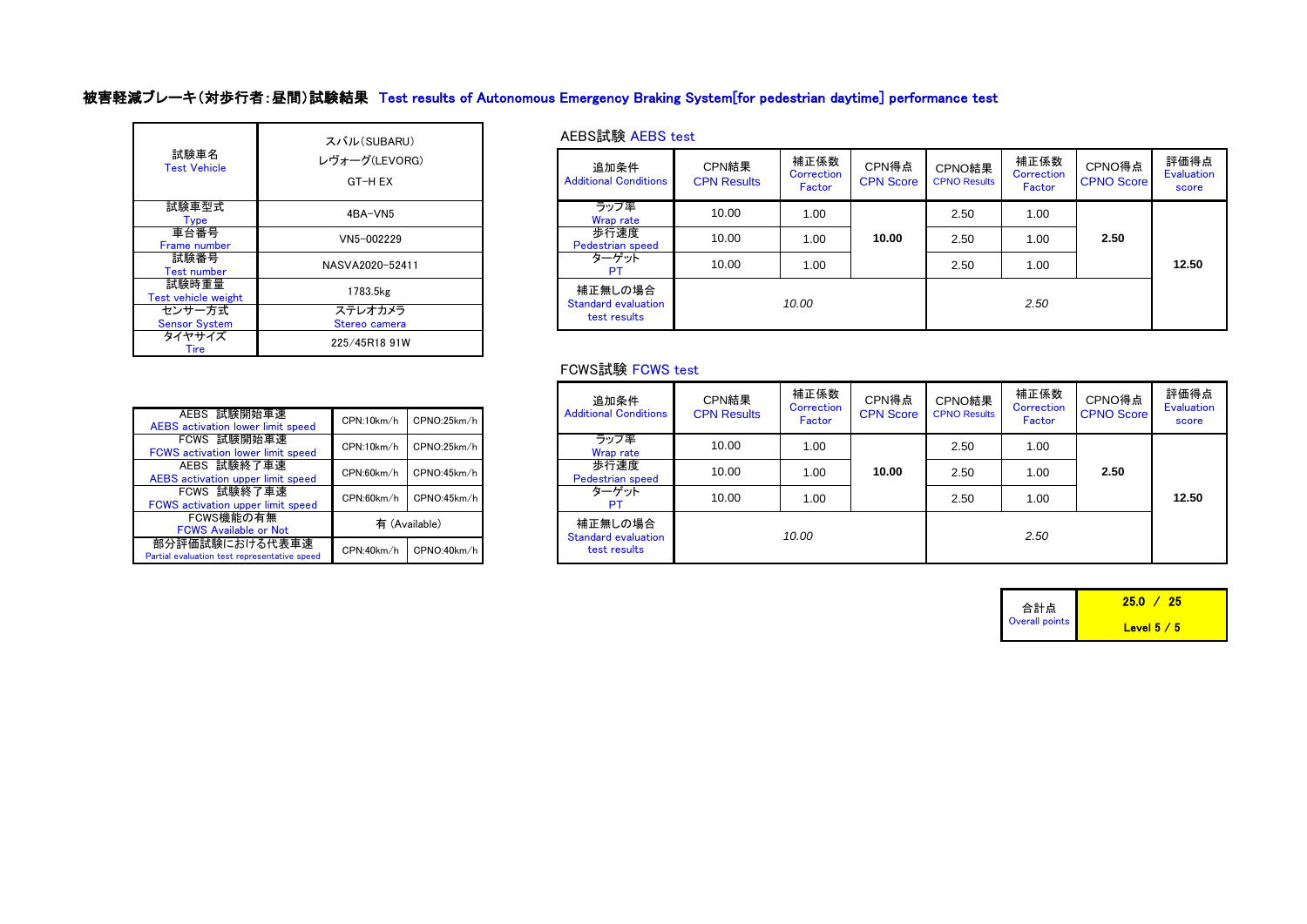# 被害軽減ブレーキ(対歩行者:昼間)試験結果 Test results of Autonomous Emergency Braking System[for pedestrian daytime] performance test

| 試験車名<br><b>Test Vehicle</b>    | スバル(SUBARU)<br>レヴォーグ(LEVORG)<br>GT-H EX |
|--------------------------------|-----------------------------------------|
| 試験車型式<br><b>Type</b>           | 4BA-VN5                                 |
| 車台番号<br>Frame number           | VN5-002229                              |
| 試験番号<br>Test number            | NASVA2020-52411                         |
| 試験時重量<br>Test vehicle weight   | 1783.5kg                                |
| センサー方式<br><b>Sensor System</b> | ステレオカメラ<br>Stereo camera                |
| タイヤサイズ<br>Tire                 | 225/45R18 91W                           |

## AEBS試験 AEBS test

| パオーグ(LEVORG)<br>GT-H EX  | 追加条件<br><b>Additional Conditions</b> | CPN結果<br><b>CPN Results</b> | 補正係数<br>Correction<br>Factor | CPN得点<br><b>CPN Score</b> | CPNO結果<br><b>CPNO Results</b> | 補正係数<br>Correction<br>Factor | CPNO得点<br><b>CPNO Score</b> | 評価得点<br>Evaluation<br>score |
|--------------------------|--------------------------------------|-----------------------------|------------------------------|---------------------------|-------------------------------|------------------------------|-----------------------------|-----------------------------|
| 4BA-VN5                  | ラップ率<br>Wrap rate                    | 10.00                       | 1.00                         |                           | 2.50                          | 1.00                         |                             |                             |
| VN5-002229               | 歩行速度<br>Pedestrian speed             | 10.00                       | 1.00                         | 10.00                     | 2.50                          | 1.00                         | 2.50                        |                             |
| NASVA2020-52411          | ターゲット<br>PT.                         | 10.00                       | 1.00                         |                           | 2.50                          | 1.00                         |                             | 12.50                       |
| 1783.5kg                 | 補正無しの場合<br>Standard evaluation       |                             | 10.00                        |                           |                               | 2.50                         |                             |                             |
| ステレオカメラ<br>Stereo camera | test results                         |                             |                              |                           |                               |                              |                             |                             |

## FCWS試験 FCWS test

| AEBS 試験開始車速<br><b>AEBS</b> activation lower limit speed        | CPN:10km/h | CPNO:25km/h   |
|----------------------------------------------------------------|------------|---------------|
| FCWS 試験開始車速<br><b>FCWS</b> activation lower limit speed        | CPN:10km/h | CPNO:25km/h   |
| AEBS 試験終了車速<br>AEBS activation upper limit speed               | CPN:60km/h | CPNO:45km/h   |
| FCWS 試験終了車速<br>FCWS activation upper limit speed               | CPN:60km/h | CPNO:45km/h   |
| FCWS機能の有無<br><b>FCWS Available or Not</b>                      |            | 有 (Available) |
| 部分評価試験における代表車速<br>Partial evaluation test representative speed | CPN:40km/h | CPNO:40km/h   |

|            |               | 追加条件                            | CPN結果              | 補正係数<br>Correction | CPN得点            | CPNO結果              | 補正係数<br>Correction | CPNO得点            | 評価得点<br>Evaluation |
|------------|---------------|---------------------------------|--------------------|--------------------|------------------|---------------------|--------------------|-------------------|--------------------|
| CPN:10km/h | CPNO:25km/h   | <b>Additional Conditions</b>    | <b>CPN Results</b> | Factor             | <b>CPN Score</b> | <b>CPNO Results</b> | Factor             | <b>CPNO Score</b> | score              |
| CPN:10km/h | CPNO:25km/h   | ラップ率<br>Wrap rate               | 10.00              | 1.00               |                  | 2.50                | 1.00               |                   |                    |
| CPN:60km/h | CPNO:45km/h   | 歩行速度<br><b>Pedestrian speed</b> | 10.00              | 1.00               | 10.00            | 2.50                | 1.00               | 2.50              |                    |
| CPN:60km/h | CPNO:45km/h   | ターゲット                           | 10.00              | 1.00               |                  | 2.50                | 1.00               |                   | 12.50              |
|            | 有 (Available) | 補正無しの場合<br>Standard evaluation  |                    | 10.00              |                  |                     | 2.50               |                   |                    |
| CPN:40km/h | CPNO:40km/h   | test results                    |                    |                    |                  |                     |                    |                   |                    |

| 合計点            | 25.O<br>-25. |
|----------------|--------------|
| Overall points | Level $5/5$  |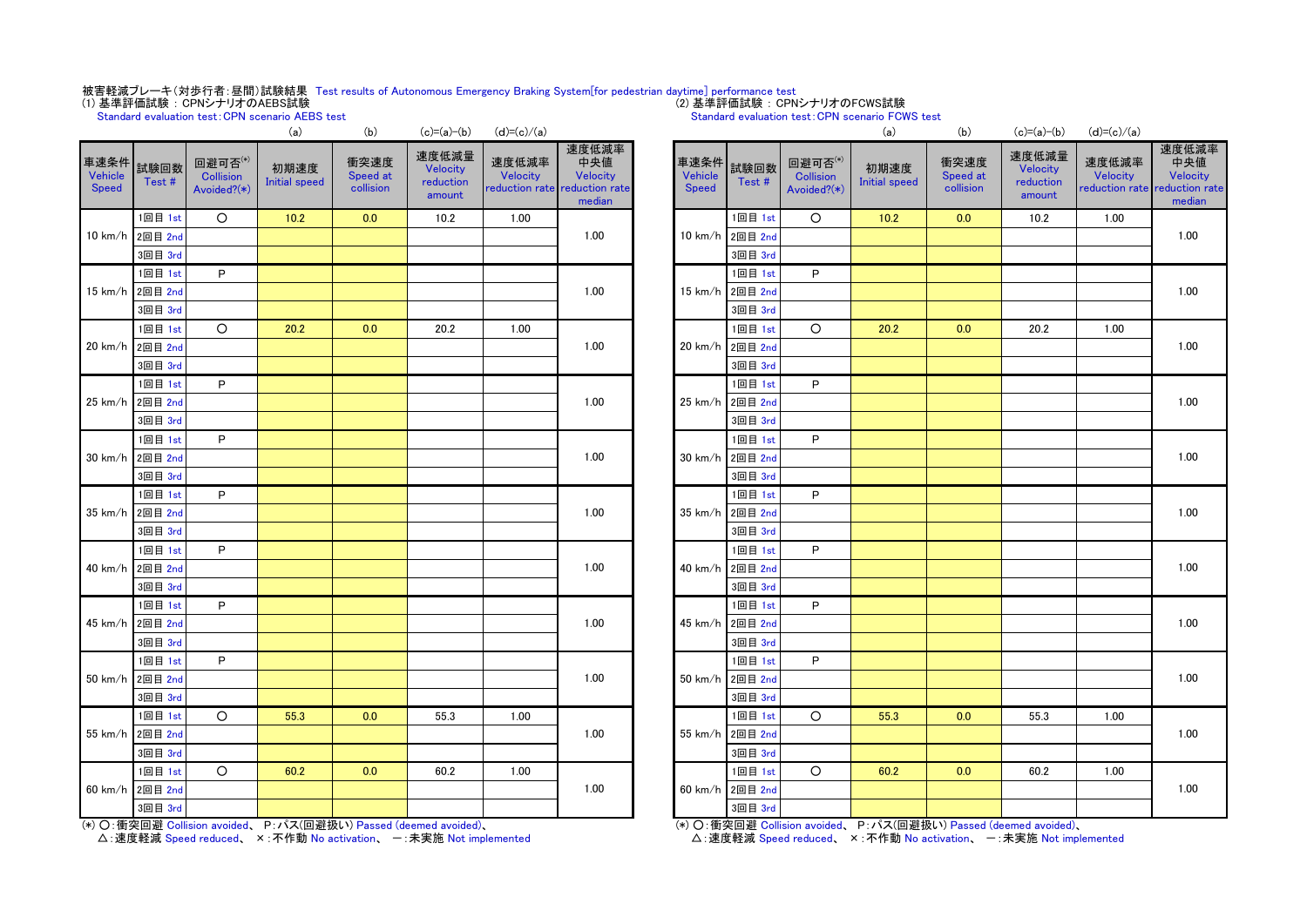# 被害軽減ブレーキ(対歩行者:昼間)試験結果 Test results of Autonomous Emergency Braking System[for pedestrian daytime] performance test<br>(1) 基準評価試験:CPNシナリオのAEBS試験

Standard evaluation test:CPN scenario AEBS test

#### (2) 基準評価試験 : CPNシナリオのFCWS試験

#### Standard evaluation test:CPN scenario FCWS test

|                          |                 |                                            | \a                    | U                             | $U - \alpha$                             | $(u) = (u) / (a)$ |                                                                     |                                 |                 |                                            | \a)                          | U                             | $U - \alpha$                             | $(u) = (u) / (a)$                             |                             |
|--------------------------|-----------------|--------------------------------------------|-----------------------|-------------------------------|------------------------------------------|-------------------|---------------------------------------------------------------------|---------------------------------|-----------------|--------------------------------------------|------------------------------|-------------------------------|------------------------------------------|-----------------------------------------------|-----------------------------|
| 車速条件<br>Vehicle<br>Speed | 試験回数<br>Test#   | 回避可否(*)<br><b>Collision</b><br>Avoided?(*) | 初期速度<br>Initial speed | 衝突速度<br>Speed at<br>collision | 速度低減量<br>Velocity<br>reduction<br>amount | 速度低減率<br>Velocity | 速度低減率<br>中央値<br>Velocity<br>reduction rate reduction rate<br>median | 車速条件<br>Vehicle<br><b>Speed</b> | 試験回数<br>Test #  | 回避可否(*)<br><b>Collision</b><br>Avoided?(*) | 初期速度<br><b>Initial speed</b> | 衝突速度<br>Speed at<br>collision | 速度低減量<br>Velocity<br>reduction<br>amount | 速度低減率<br>Velocity<br>reduction rate reduction | 速度低<br>中央<br>Veloc<br>media |
|                          | 1回目 1st         | $\circ$                                    | $10.2$                | 0.0                           | 10.2                                     | 1.00              |                                                                     |                                 | 1回目 1st         | $\circ$                                    | 10.2                         | 0.0                           | 10.2                                     | 1.00                                          |                             |
|                          | 10 km/h 2回目 2nd |                                            |                       |                               |                                          |                   | 1.00                                                                |                                 | 10 km/h 2回目 2nd |                                            |                              |                               |                                          |                                               | 1.00                        |
|                          | 3回目 3rd         |                                            |                       |                               |                                          |                   |                                                                     |                                 | 3回目 3rd         |                                            |                              |                               |                                          |                                               |                             |
|                          | 1回目 1st         | P.                                         |                       |                               |                                          |                   |                                                                     |                                 | 1回目 1st         | P.                                         |                              |                               |                                          |                                               |                             |
|                          | 15 km/h 2回目 2nd |                                            |                       |                               |                                          |                   | 1.00                                                                |                                 | 15 km/h 2回目 2nd |                                            |                              |                               |                                          |                                               | 1.00                        |
|                          | 3回目 3rd         |                                            |                       |                               |                                          |                   |                                                                     |                                 | 3回目 3rd         |                                            |                              |                               |                                          |                                               |                             |
|                          | 1回目 1st         | $\circ$                                    | 20.2                  | 0.0                           | 20.2                                     | 1.00              |                                                                     |                                 | 1回目 1st         | $\circ$                                    | 20.2                         | 0.0                           | 20.2                                     | 1.00                                          |                             |
|                          | 20 km/h 2回目 2nd |                                            |                       |                               |                                          |                   | 1.00                                                                |                                 | 20 km/h 2回目 2nd |                                            |                              |                               |                                          |                                               | 1.00                        |
|                          | 3回目 3rd         |                                            |                       |                               |                                          |                   |                                                                     |                                 | 3回目 3rd         |                                            |                              |                               |                                          |                                               |                             |
|                          | 1回目 1st         | P.                                         |                       |                               |                                          |                   |                                                                     |                                 | 1回目 1st         | P                                          |                              |                               |                                          |                                               |                             |
|                          | 25 km/h 2回目 2nd |                                            |                       |                               |                                          |                   | 1.00                                                                | 25 km/h                         | 2回目 2nd         |                                            |                              |                               |                                          |                                               | 1.00                        |
|                          | 3回目 3rd         |                                            |                       |                               |                                          |                   |                                                                     |                                 | 3回目 3rd         |                                            |                              |                               |                                          |                                               |                             |
|                          | 1回目 1st         | P                                          |                       |                               |                                          |                   |                                                                     |                                 | 1回目 1st         | P                                          |                              |                               |                                          |                                               |                             |
|                          | 30 km/h 2回目 2nd |                                            |                       |                               |                                          |                   | 1.00                                                                |                                 | 30 km/h 2回目 2nd |                                            |                              |                               |                                          |                                               | 1.00                        |
|                          | 3回目 3rd         |                                            |                       |                               |                                          |                   |                                                                     |                                 | 3回目 3rd         |                                            |                              |                               |                                          |                                               |                             |
|                          | 1回目 1st         | P.                                         |                       |                               |                                          |                   |                                                                     |                                 | 1回目 1st         | P                                          |                              |                               |                                          |                                               |                             |
|                          | 35 km/h 2回目 2nd |                                            |                       |                               |                                          |                   | 1.00                                                                |                                 | 35 km/h 2回目 2nd |                                            |                              |                               |                                          |                                               | 1.00                        |
|                          | 3回目 3rd         |                                            |                       |                               |                                          |                   |                                                                     |                                 | 3回目 3rd         |                                            |                              |                               |                                          |                                               |                             |
|                          | 1回目 1st         | P                                          |                       |                               |                                          |                   |                                                                     |                                 | 1回目 1st         | P                                          |                              |                               |                                          |                                               |                             |
|                          | 40 km/h 2回目 2nd |                                            |                       |                               |                                          |                   | 1.00                                                                |                                 | 40 km/h 2回目 2nd |                                            |                              |                               |                                          |                                               | 1.00                        |
|                          | 3回目 3rd         |                                            |                       |                               |                                          |                   |                                                                     |                                 | 3回目 3rd         |                                            |                              |                               |                                          |                                               |                             |
|                          | 1回目 1st         | P.                                         |                       |                               |                                          |                   |                                                                     |                                 | 1回目 1st         | P                                          |                              |                               |                                          |                                               |                             |
|                          | 45 km/h 2回目 2nd |                                            |                       |                               |                                          |                   | 1.00                                                                |                                 | 45 km/h 2回目 2nd |                                            |                              |                               |                                          |                                               | 1.00                        |
|                          | 3回目 3rd         |                                            |                       |                               |                                          |                   |                                                                     |                                 | 3回目 3rd         |                                            |                              |                               |                                          |                                               |                             |
|                          | 1回目 1st         | P                                          |                       |                               |                                          |                   |                                                                     |                                 | 1回目 1st         | P                                          |                              |                               |                                          |                                               |                             |
|                          | 50 km/h 2回目 2nd |                                            |                       |                               |                                          |                   | 1.00                                                                | $50 \text{ km/h}$               | 2回目 2nd         |                                            |                              |                               |                                          |                                               | 1.00                        |
|                          | 3回目 3rd         |                                            |                       |                               |                                          |                   |                                                                     |                                 | 3回目 3rd         |                                            |                              |                               |                                          |                                               |                             |
|                          | 1回目 1st         | $\circ$                                    | 55.3                  | 0.0                           | 55.3                                     | 1.00              |                                                                     |                                 | 1回目 1st         | $\circ$                                    | 55.3                         | 0.0                           | 55.3                                     | 1.00                                          |                             |
|                          | 55 km/h 2回目 2nd |                                            |                       |                               |                                          |                   | 1.00                                                                | 55 km/h                         | 2回目 2nd         |                                            |                              |                               |                                          |                                               | 1.00                        |
|                          | 3回目 3rd         |                                            |                       |                               |                                          |                   |                                                                     |                                 | 3回目 3rd         |                                            |                              |                               |                                          |                                               |                             |
|                          | 1回目 1st         | $\circ$                                    | 60.2                  | 0.0                           | 60.2                                     | 1.00              |                                                                     |                                 | 1回目 1st         | $\circ$                                    | 60.2                         | 0.0                           | 60.2                                     | 1.00                                          |                             |
|                          | 60 km/h 2回目 2nd |                                            |                       |                               |                                          |                   | 1.00                                                                |                                 | 60 km/h 2回目 2nd |                                            |                              |                               |                                          |                                               | 1.00                        |
|                          | 3回目 3rd         |                                            |                       |                               |                                          |                   |                                                                     |                                 | 3回目 3rd         |                                            |                              |                               |                                          |                                               |                             |
|                          |                 |                                            |                       |                               |                                          |                   |                                                                     |                                 |                 |                                            |                              |                               |                                          |                                               |                             |

| ALBS TEST      |                               |                                          |                   |                                                                     |                                 |                 |                                            | Standard evaluation test: UPN scenario FUWS test                   |                               |                                                 |                                                           |                                    |
|----------------|-------------------------------|------------------------------------------|-------------------|---------------------------------------------------------------------|---------------------------------|-----------------|--------------------------------------------|--------------------------------------------------------------------|-------------------------------|-------------------------------------------------|-----------------------------------------------------------|------------------------------------|
| (a)            | (b)                           | $(c)=(a)-(b)$                            | $(d)=(c)/(a)$     |                                                                     |                                 |                 |                                            | (a)                                                                | (b)                           | $(c)=(a)-(b)$                                   | $(d)=(c)/(a)$                                             |                                    |
| 刖速度<br>I speed | 衝突速度<br>Speed at<br>collision | 速度低減量<br>Velocity<br>reduction<br>amount | 速度低減率<br>Velocity | 速度低減率<br>中央値<br>Velocity<br>reduction rate reduction rate<br>median | 車速条件<br>Vehicle<br><b>Speed</b> | 試験回数<br>Test#   | 回避可否(*)<br><b>Collision</b><br>Avoided?(*) | 初期速度<br><b>Initial speed</b>                                       | 衝突速度<br>Speed at<br>collision | 速度低減量<br><b>Velocity</b><br>reduction<br>amount | 速度低減率<br><b>Velocity</b><br>reduction rate reduction rate | 速度低減率<br>中央値<br>Velocity<br>median |
| 0.2            | 0.0                           | 10.2                                     | 1.00              |                                                                     |                                 | 1回目 1st         | $\circ$                                    | 10.2                                                               | 0.0                           | 10.2                                            | 1.00                                                      |                                    |
|                |                               |                                          |                   | 1.00                                                                | $10 \text{ km/h}$               | 2回目 2nd         |                                            |                                                                    |                               |                                                 |                                                           | 1.00                               |
|                |                               |                                          |                   |                                                                     |                                 | 3回目 3rd         |                                            |                                                                    |                               |                                                 |                                                           |                                    |
|                |                               |                                          |                   |                                                                     |                                 | 1回目 1st         | P                                          |                                                                    |                               |                                                 |                                                           |                                    |
|                |                               |                                          |                   | 1.00                                                                | 15 km/h                         | 2回目 2nd         |                                            |                                                                    |                               |                                                 |                                                           | 1.00                               |
|                |                               |                                          |                   |                                                                     |                                 | 3回目 3rd         |                                            |                                                                    |                               |                                                 |                                                           |                                    |
| 0.2            | 0.0                           | 20.2                                     | 1.00              |                                                                     |                                 | 1回目 1st         | $\circ$                                    | 20.2                                                               | 0.0                           | 20.2                                            | 1.00                                                      |                                    |
|                |                               |                                          |                   | 1.00                                                                | $20 \text{ km/h}$               | 2回目 2nd         |                                            |                                                                    |                               |                                                 |                                                           | 1.00                               |
|                |                               |                                          |                   |                                                                     |                                 | 3回目 3rd         |                                            |                                                                    |                               |                                                 |                                                           |                                    |
|                |                               |                                          |                   |                                                                     |                                 | 1回目 1st         | P                                          |                                                                    |                               |                                                 |                                                           |                                    |
|                |                               |                                          |                   | 1.00                                                                | $25 \text{ km/h}$               | 2回目 2nd         |                                            |                                                                    |                               |                                                 |                                                           | 1.00                               |
|                |                               |                                          |                   |                                                                     |                                 | 3回目 3rd         |                                            |                                                                    |                               |                                                 |                                                           |                                    |
|                |                               |                                          |                   |                                                                     |                                 | 1回目 1st         | P                                          |                                                                    |                               |                                                 |                                                           |                                    |
|                |                               |                                          |                   | 1.00                                                                |                                 | 30 km/h 2回目 2nd |                                            |                                                                    |                               |                                                 |                                                           | 1.00                               |
|                |                               |                                          |                   |                                                                     |                                 | 3回目 3rd         |                                            |                                                                    |                               |                                                 |                                                           |                                    |
|                |                               |                                          |                   |                                                                     |                                 | 1回目 1st         | P                                          |                                                                    |                               |                                                 |                                                           |                                    |
|                |                               |                                          |                   | 1.00                                                                |                                 | 35 km/h 2回目 2nd |                                            |                                                                    |                               |                                                 |                                                           | 1.00                               |
|                |                               |                                          |                   |                                                                     |                                 | 3回目 3rd         |                                            |                                                                    |                               |                                                 |                                                           |                                    |
|                |                               |                                          |                   |                                                                     |                                 | 1回目 1st         | P                                          |                                                                    |                               |                                                 |                                                           |                                    |
|                |                               |                                          |                   | 1.00                                                                | $40 \text{ km/h}$               | 2回目 2nd         |                                            |                                                                    |                               |                                                 |                                                           | 1.00                               |
|                |                               |                                          |                   |                                                                     |                                 | 3回目 3rd         |                                            |                                                                    |                               |                                                 |                                                           |                                    |
|                |                               |                                          |                   |                                                                     |                                 | 1回目 1st         | P                                          |                                                                    |                               |                                                 |                                                           |                                    |
|                |                               |                                          |                   | 1.00                                                                | $45 \text{ km/h}$               | 2回目 2nd         |                                            |                                                                    |                               |                                                 |                                                           | 1.00                               |
|                |                               |                                          |                   |                                                                     |                                 | 3回目 3rd         |                                            |                                                                    |                               |                                                 |                                                           |                                    |
|                |                               |                                          |                   |                                                                     |                                 | 1回目 1st         | P                                          |                                                                    |                               |                                                 |                                                           |                                    |
|                |                               |                                          |                   | 1.00                                                                |                                 | 50 km/h 2回目 2nd |                                            |                                                                    |                               |                                                 |                                                           | 1.00                               |
|                |                               |                                          |                   |                                                                     |                                 | 3回目 3rd         |                                            |                                                                    |                               |                                                 |                                                           |                                    |
|                | 0.0                           | 55.3                                     |                   |                                                                     |                                 | 1回目 1st         | $\circ$                                    | 55.3                                                               | 0.0                           |                                                 | 1.00                                                      |                                    |
| 5.3            |                               |                                          | 1.00              | 1.00                                                                |                                 | 55 km/h 2回目 2nd |                                            |                                                                    |                               | 55.3                                            |                                                           | 1.00                               |
|                |                               |                                          |                   |                                                                     |                                 |                 |                                            |                                                                    |                               |                                                 |                                                           |                                    |
|                |                               |                                          |                   |                                                                     |                                 | 3回目 3rd         |                                            |                                                                    |                               |                                                 |                                                           |                                    |
| 0.2            | 0.0                           | 60.2                                     | 1.00              |                                                                     |                                 | 1回目 1st         | $\circ$                                    | 60.2                                                               | 0.0                           | 60.2                                            | 1.00                                                      |                                    |
|                |                               |                                          |                   | 1.00                                                                |                                 | 60 km/h 2回目 2nd |                                            |                                                                    |                               |                                                 |                                                           | 1.00                               |
|                |                               | ス(回避扱い) Passed (deemed avoided)、         |                   |                                                                     |                                 | 3回目 3rd         |                                            | (*) 〇 衝突回避 Collision avoided、 P: パス(回避扱い) Passed (deemed avoided)、 |                               |                                                 |                                                           |                                    |

(\*) ○:衝突回避 Collision avoided、 P:パス(回避扱い) Passed (deemed avoided)、

△: 速度軽減 Speed reduced、 × : 不作動 No activation、 一 : 未実施 Not implemented

△: 速度軽減 Speed reduced、 ×:不作動 No activation、 一: 未実施 Not implemented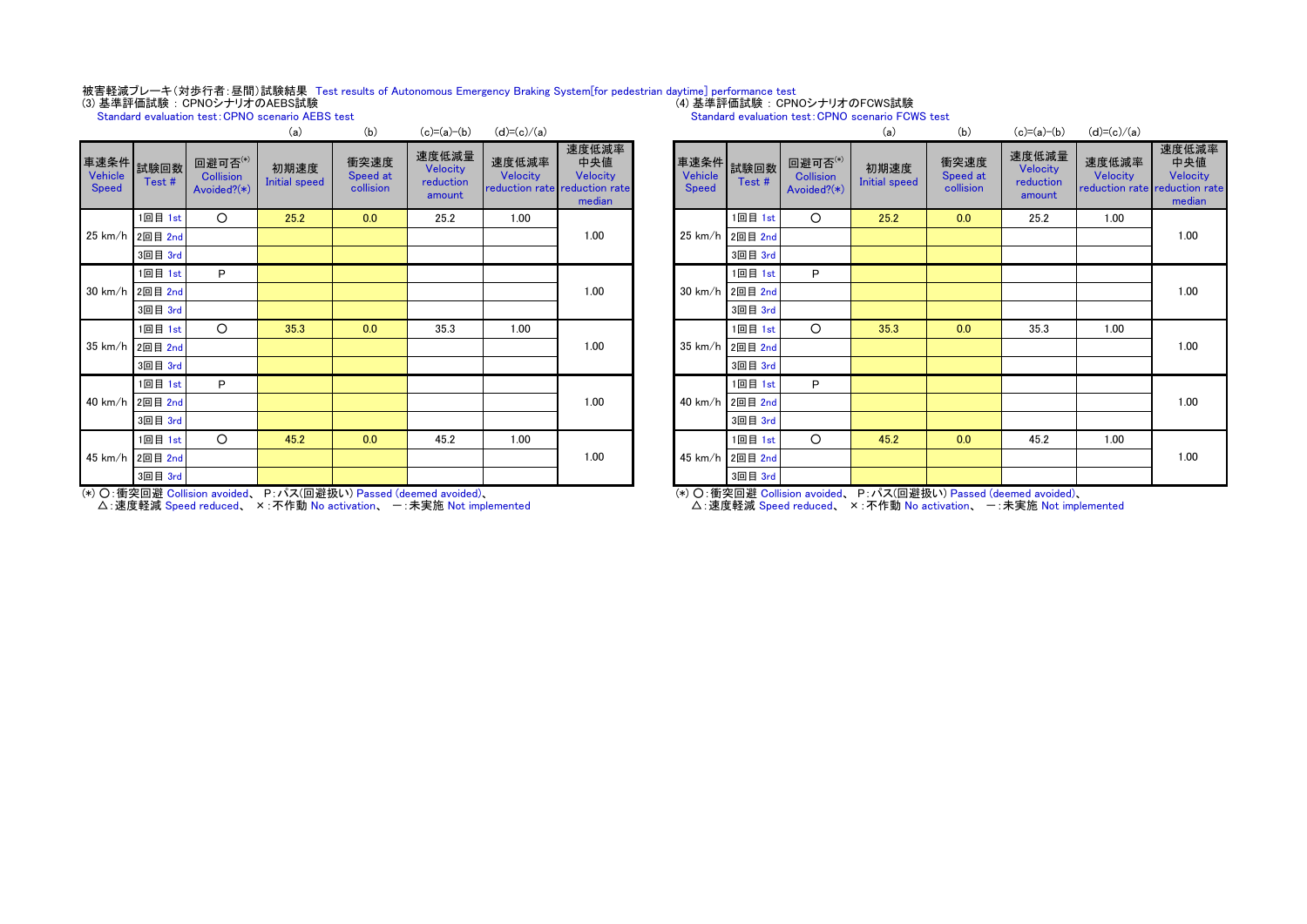# 被害軽減ブレーキ(対歩行者:昼間)試験結果 Test results of Autonomous Emergency Braking System[for pedestrian daytime] performance test<br>(3) 基準評価試験:CPNOシナリオのAEBS試験

Standard evaluation test: CPNO scenario AEBS test

|                   |                      |                                               | (a)                          | (D)                           | $(C) = (a) - (b)$                        | $(d) = (c)/(a)$   |                                                                     |                  |                    |                                            | (a)                          | (D)                           | $(c) = (a) - (b)$                        | (d)=(c)/(a)                                   |                              |
|-------------------|----------------------|-----------------------------------------------|------------------------------|-------------------------------|------------------------------------------|-------------------|---------------------------------------------------------------------|------------------|--------------------|--------------------------------------------|------------------------------|-------------------------------|------------------------------------------|-----------------------------------------------|------------------------------|
| Vehicle<br>Speed  | 車速条件 就験回数 /<br>Test# | 回避可否(*)<br><b>Collision</b><br>Avoided? $(*)$ | 初期速度<br><b>Initial speed</b> | 衝突速度<br>Speed at<br>collision | 速度低減量<br>Velocity<br>reduction<br>amount | 速度低減率<br>Velocity | 速度低減率<br>中央値<br>Velocity<br>reduction rate reduction rate<br>median | Vehicle<br>Speed | 車速条件 試験回数<br>Test# | 回避可否(*)<br><b>Collision</b><br>Avoided?(*) | 初期速度<br><b>Initial speed</b> | 衝突速度<br>Speed at<br>collision | 速度低減量<br>Velocity<br>reduction<br>amount | 速度低減率<br>Velocity<br>reduction rate reduction | 速度低:<br>中央<br>Veloc<br>media |
|                   | 1回目 1st              | $\circ$                                       | 25.2                         | 0.0                           | 25.2                                     | 1.00              |                                                                     |                  | 1回目 1st            | O                                          | 25.2                         | 0.0                           | 25.2                                     | 1.00                                          |                              |
|                   | 25 km/h 2回目 2nd      |                                               |                              |                               |                                          |                   | 1.00                                                                |                  | 25 km/h 2回目 2nd    |                                            |                              |                               |                                          |                                               | 1.00                         |
|                   | 3回目 3rd              |                                               |                              |                               |                                          |                   |                                                                     |                  | 3回目 3rd            |                                            |                              |                               |                                          |                                               |                              |
|                   | 1回目 1st              | P                                             |                              |                               |                                          |                   |                                                                     |                  | 1回目 1st            | P                                          |                              |                               |                                          |                                               |                              |
|                   | 30 km/h 2回目 2nd      |                                               |                              |                               |                                          |                   | 1.00                                                                |                  | 30 km/h 2回目 2nd    |                                            |                              |                               |                                          |                                               | 1.00                         |
|                   | 3回目 3rd              |                                               |                              |                               |                                          |                   |                                                                     |                  | 3回目 3rd            |                                            |                              |                               |                                          |                                               |                              |
|                   | 1回目 1st              | $\circ$                                       | 35.3                         | 0.0                           | 35.3                                     | 1.00              |                                                                     |                  | 1回目 1st            | O                                          | 35.3                         | 0.0                           | 35.3                                     | 1.00                                          |                              |
| $35 \text{ km/h}$ | 2回目 2nd              |                                               |                              |                               |                                          |                   | 1.00                                                                |                  | 35 km/h 2回目 2nd    |                                            |                              |                               |                                          |                                               | 1.00                         |
|                   | 3回目 3rd              |                                               |                              |                               |                                          |                   |                                                                     |                  | 3回目 3rd            |                                            |                              |                               |                                          |                                               |                              |
|                   | 1回目 1st              | P                                             |                              |                               |                                          |                   |                                                                     |                  | 1回目 1st            | P                                          |                              |                               |                                          |                                               |                              |
|                   | 40 km/h 2回目 2nd      |                                               |                              |                               |                                          |                   | 1.00                                                                |                  | 40 km/h 2回目 2nd    |                                            |                              |                               |                                          |                                               | 1.00                         |
|                   | 3回目 3rd              |                                               |                              |                               |                                          |                   |                                                                     |                  | 3回目 3rd            |                                            |                              |                               |                                          |                                               |                              |
|                   | 1回目 1st              | $\circ$                                       | 45.2                         | 0.0                           | 45.2                                     | 1.00              |                                                                     |                  | 1回目 1st            | O                                          | 45.2                         | 0.0                           | 45.2                                     | 1.00                                          |                              |
| 45 km/h           | 2回目 2nd              |                                               |                              |                               |                                          |                   | 1.00                                                                |                  | 45 km/h 2回目 2nd    |                                            |                              |                               |                                          |                                               | 1.00                         |
|                   | 3回目 3rd              |                                               |                              |                               |                                          |                   |                                                                     |                  | 3回目 3rd            |                                            |                              |                               |                                          |                                               |                              |

### Standard evaluation test: CPNO scenario FCWS test

| (a)                  | (b)                           | $(c)=(a)-(b)$                            | $(d)=(c)/(a)$     |                                                                     |                         |                    |                                            | (a)                          | (b)                           | $(c)=(a)-(b)$                            | $(d)=(c)/(a)$     |                                                                     |
|----------------------|-------------------------------|------------------------------------------|-------------------|---------------------------------------------------------------------|-------------------------|--------------------|--------------------------------------------|------------------------------|-------------------------------|------------------------------------------|-------------------|---------------------------------------------------------------------|
| 初期速度<br>nitial speed | 衝突速度<br>Speed at<br>collision | 速度低減量<br>Velocity<br>reduction<br>amount | 速度低減率<br>Velocity | 速度低減率<br>中央値<br>Velocity<br>reduction rate reduction rate<br>median | Vehicle<br><b>Speed</b> | 車速条件 試験回数<br>Test# | 回避可否(*)<br><b>Collision</b><br>Avoided?(*) | 初期速度<br><b>Initial speed</b> | 衝突速度<br>Speed at<br>collision | 速度低減量<br>Velocity<br>reduction<br>amount | 速度低減率<br>Velocity | 速度低減率<br>中央値<br>Velocity<br>reduction rate reduction rate<br>median |
| 25.2                 | 0.0                           | 25.2                                     | 1.00              |                                                                     |                         | 1回目 1st            | $\circ$                                    | 25.2                         | 0.0                           | 25.2                                     | 1.00              |                                                                     |
|                      |                               |                                          |                   | 1.00                                                                | $25 \text{ km/h}$       | 2回目 2nd            |                                            |                              |                               |                                          |                   | 1.00                                                                |
|                      |                               |                                          |                   |                                                                     |                         | 3回目 3rd            |                                            |                              |                               |                                          |                   |                                                                     |
|                      |                               |                                          |                   |                                                                     |                         | 1回目 1st            | P                                          |                              |                               |                                          |                   |                                                                     |
|                      |                               |                                          |                   | 1.00                                                                | $30 \text{ km/h}$       | 2回目 2nd            |                                            |                              |                               |                                          |                   | 1.00                                                                |
|                      |                               |                                          |                   |                                                                     |                         | 3回目 3rd            |                                            |                              |                               |                                          |                   |                                                                     |
| 35.3                 | 0.0                           | 35.3                                     | 1.00              |                                                                     |                         | 1回目 1st            | $\circ$                                    | 35.3                         | 0.0                           | 35.3                                     | 1.00              |                                                                     |
|                      |                               |                                          |                   | 1.00                                                                | 35 km/h                 | 2回目 2nd            |                                            |                              |                               |                                          |                   | 1.00                                                                |
|                      |                               |                                          |                   |                                                                     |                         | 3回目 3rd            |                                            |                              |                               |                                          |                   |                                                                     |
|                      |                               |                                          |                   |                                                                     |                         | 1回目 1st            | P                                          |                              |                               |                                          |                   |                                                                     |
|                      |                               |                                          |                   | 1.00                                                                | 40 km/h                 | 2回目 2nd            |                                            |                              |                               |                                          |                   | 1.00                                                                |
|                      |                               |                                          |                   |                                                                     |                         | 3回目 3rd            |                                            |                              |                               |                                          |                   |                                                                     |
| 45.2                 | 0.0                           | 45.2                                     | 1.00              |                                                                     |                         | 1回目 1st            | $\circ$                                    | 45.2                         | 0.0                           | 45.2                                     | 1.00              |                                                                     |
|                      |                               |                                          |                   | 1.00                                                                | $45 \text{ km/h}$       | 2回目 2nd            |                                            |                              |                               |                                          |                   | 1.00                                                                |
|                      |                               |                                          |                   |                                                                     |                         | 3回目 3rd            |                                            |                              |                               |                                          |                   |                                                                     |

(\*) ○:衝突回避 Collision avoided、 P:パス(回避扱い) Passed (deemed avoided)、

△: 速度軽減 Speed reduced、 ×: 不作動 No activation、 一: 未実施 Not implemented

(\*) ○:衝突回避 Collision avoided、 P:パス(回避扱い) Passed (deemed avoided)、 △: 速度軽減 Speed reduced、 ×: 不作動 No activation、 一: 未実施 Not implemented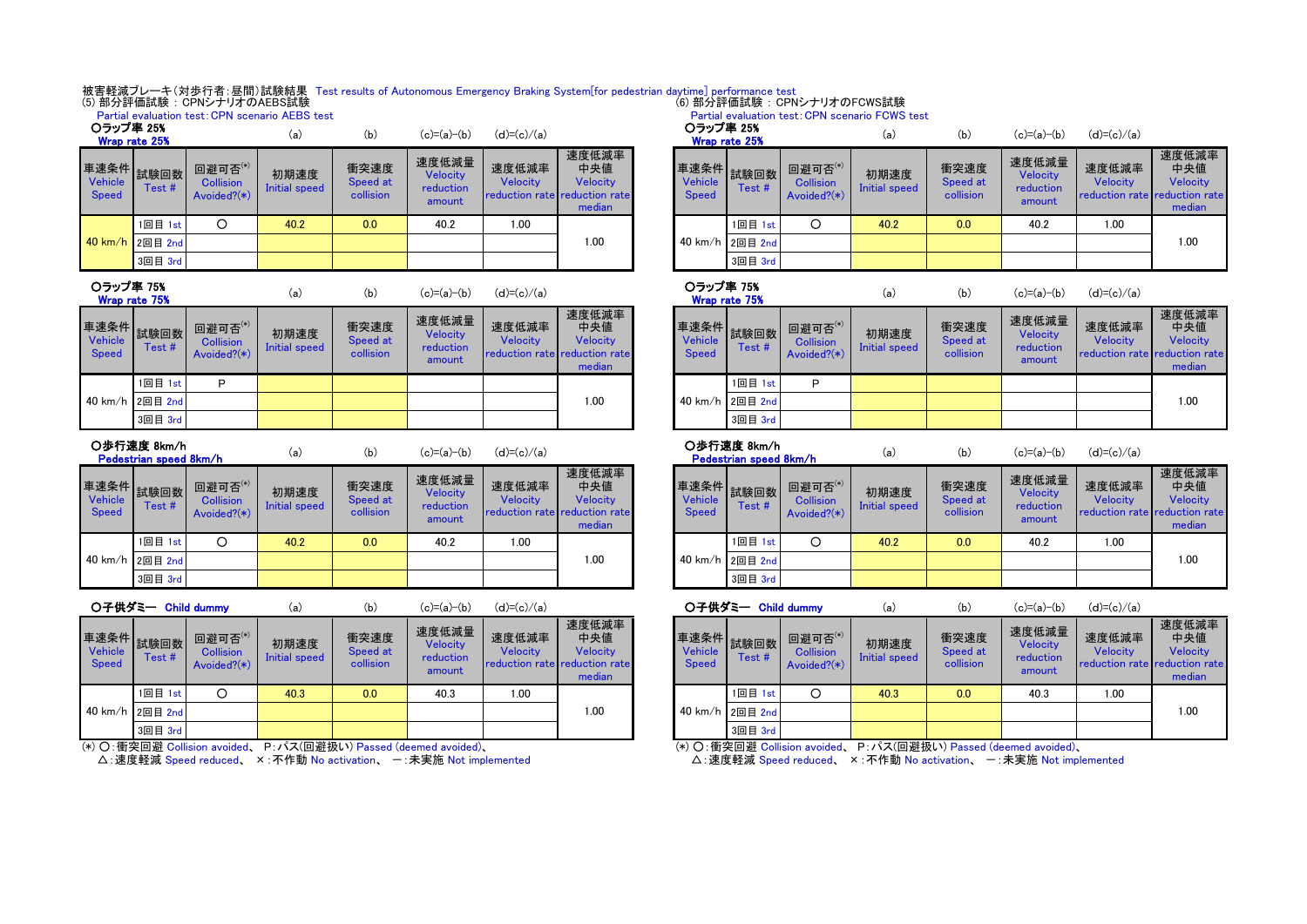#### 被害軽減ブレーキ(対歩行者:昼間)試験結果 Test results of Autonomous Emergency Braking System[for pedestrian daytime] performance test (6) 部分評価試験 : CPNシナリオのFCWS試験

#### (5) 部分評価試験 : CPNシナリオのAEBS試験

|                  |                 |                                               | Partial evaluation test: CPN scenario AEBS test |                               |                                          |                                                    | Partial evaluation test: CPN scenario FCWS test<br>○ラップ率 25% |  |                         |                        |                                                  |                       |                               |                                          |                                                      |                              |
|------------------|-----------------|-----------------------------------------------|-------------------------------------------------|-------------------------------|------------------------------------------|----------------------------------------------------|--------------------------------------------------------------|--|-------------------------|------------------------|--------------------------------------------------|-----------------------|-------------------------------|------------------------------------------|------------------------------------------------------|------------------------------|
| ○ラップ率 25%        | Wrap rate 25%   |                                               | (a)                                             | (b)                           | $(c)=(a)-(b)$                            | $(d)=(c)/(a)$                                      |                                                              |  |                         | Wrap rate 25%          |                                                  | (a)                   | (b)                           | $(c)=(a)-(b)$                            | $(d)=(c)/(a)$                                        |                              |
| Vehicle<br>Speed | Test#           | 回避可否(*)<br><b>Collision</b><br>Avoided? $(*)$ | 初期速度<br>Initial speed                           | 衝突速度<br>Speed at<br>collision | 速度低減量<br>Velocity<br>reduction<br>amount | 速度低減率<br>Velocity<br>reduction rate reduction rate | 速度低減率<br>中央値<br>Velocity<br>median                           |  | Vehicle<br><b>Speed</b> | ■連速条件 試験回数 ■■<br>Test# | 回避可否 $^{(*)}$<br><b>Collision</b><br>Avoided?(*) | 初期速度<br>Initial speed | 衝突速度<br>Speed at<br>collision | 速度低減量<br>Velocity<br>reduction<br>amount | 速度低減率<br><b>Velocity</b><br>reduction rate reduction | 速度低:<br>中央<br>Veloc<br>media |
|                  | 1回目 1st         |                                               | 40.2                                            | 0.0                           | 40.2                                     | 1.00                                               |                                                              |  |                         | 1回目 1st                |                                                  | 40.2                  | 0.0                           | 40.2                                     | 1.00                                                 |                              |
|                  | 40 km/h 2回目 2nd |                                               |                                                 |                               |                                          |                                                    | 1.00                                                         |  |                         | 40 km/h 2回目 2nd        |                                                  |                       |                               |                                          |                                                      | 1.00                         |
|                  | 3回目 3rd         |                                               |                                                 |                               |                                          |                                                    |                                                              |  |                         | 3回目 3rd                |                                                  |                       |                               |                                          |                                                      |                              |
|                  |                 |                                               |                                                 |                               |                                          |                                                    |                                                              |  |                         |                        |                                                  |                       |                               |                                          |                                                      |                              |

### ○ラップ率 75%

| Wrap rate 75%                          |                | va,<br>(D)                                       |                       | (c)-(a)-(b)                   | $Q(-C)/Q$                                |                   | Wrap rate 75%                                                       |  |                                        |                 |                         |
|----------------------------------------|----------------|--------------------------------------------------|-----------------------|-------------------------------|------------------------------------------|-------------------|---------------------------------------------------------------------|--|----------------------------------------|-----------------|-------------------------|
| 車速条件<br><b>Vehicle</b><br><b>Speed</b> | 試験回数<br>Test # | 回避可否 $^{(*)}$<br><b>Collision</b><br>Avoided?(*) | 初期速度<br>Initial speed | 衝突速度<br>Speed at<br>collision | 速度低減量<br>Velocity<br>reduction<br>amount | 速度低減率<br>Velocitv | 速度低減率<br>中央値<br>Velocitv<br>reduction rate reduction rate<br>median |  | 車速条件<br><b>Vehicle</b><br><b>Speed</b> | 試験回数<br>Test#   | 回避日<br>Colli:<br>Avoide |
|                                        | 1回目 1st        | D                                                |                       |                               |                                          |                   |                                                                     |  |                                        | 1回目 1st         | Р                       |
| $40 \text{ km/h}$                      | 2回目 2nd        |                                                  |                       |                               |                                          |                   | 1.00                                                                |  |                                        | 40 km/h 2回目 2nd |                         |
|                                        | 3回目 3rd        |                                                  |                       |                               |                                          |                   |                                                                     |  |                                        | 3回目 3rd         |                         |

### ○歩行速度 8km/h

車

Pedestrian speed 8km/h

| lkm/h |  |
|-------|--|
|       |  |

| $\sqrt{h}$ |  |  |  |
|------------|--|--|--|

| (a) | (b) | $(c)=(a)-(b)$ | $(d)=(c)/(a)$ |
|-----|-----|---------------|---------------|
|     |     |               |               |

| Vehicle<br>Speed | *車条件┃試験回数┃<br>Test# | 回避可否(*)<br><b>Collision</b><br>Avoided? $(*)$ | 初期速度<br>Initial speed | 衝突速度<br>Speed at<br>collision | 速度低減量<br>Velocity<br>reduction<br>amount | 速度低減率<br>Velocity<br>reduction rate reduction rate | 速度低減率<br>中央値<br>Velocity<br>median | Vehicle<br><b>Speed</b> | Test #          | 回避可否(*)<br><b>Collision</b><br>Avoided? $(*)$ | 初期速度<br>Initial speed | 衝突速度<br>Speed at<br>collision | 速度低減量<br>Velocity<br>reduction<br>amount | 速度低減率<br>Velocity<br>reduction rate reduction | 速度低:<br>中央<br>Veloc<br>media |
|------------------|---------------------|-----------------------------------------------|-----------------------|-------------------------------|------------------------------------------|----------------------------------------------------|------------------------------------|-------------------------|-----------------|-----------------------------------------------|-----------------------|-------------------------------|------------------------------------------|-----------------------------------------------|------------------------------|
|                  | 1回目 1st             |                                               | 40.2                  | 0.0                           | 40.2                                     | 00.1                                               |                                    |                         | 1回目 1st         |                                               | 40.2                  | 0.0                           | 40.2                                     | 1.00                                          |                              |
|                  | 40 km/h 2回目 2nd     |                                               |                       |                               |                                          |                                                    | 00.1                               |                         | 40 km/h 2回目 2nd |                                               |                       |                               |                                          |                                               | 1.00                         |
|                  | 3回目 3rd             |                                               |                       |                               |                                          |                                                    |                                    |                         | 3回目 3rd         |                                               |                       |                               |                                          |                                               |                              |

|                         | ○子供ダミー Child dummy        |                                               | (a)                   | (b)                           | $(c)=(a)-(b)$                            | $(d)=(c)/(a)$     |                                                                            |                  | ○子供ダミー Child dummy |                                               | (a)                   | (b)                           | $(c)=(a)-(b)$                                   | $(d)=(c)$                 |
|-------------------------|---------------------------|-----------------------------------------------|-----------------------|-------------------------------|------------------------------------------|-------------------|----------------------------------------------------------------------------|------------------|--------------------|-----------------------------------------------|-----------------------|-------------------------------|-------------------------------------------------|---------------------------|
| Vehicle<br><b>Speed</b> | ★ 束条件 試験回数   ニー<br>Test # | 回避可否(*)<br><b>Collision</b><br>Avoided? $(*)$ | 初期速度<br>Initial speed | 衝突速度<br>Speed at<br>collision | 速度低減量<br>Velocity<br>reduction<br>amount | 速度低減率<br>Velocity | 速度低減率<br>中央値<br><b>Velocity</b><br>reduction rate reduction rate<br>median | Vehicle<br>Speed | 車速条件就験回数<br>Test#  | 回避可否(*)<br><b>Collision</b><br>Avoided? $(*)$ | 初期速度<br>Initial speed | 衝突速度<br>Speed at<br>collision | 速度低減量<br><b>Velocity</b><br>reduction<br>amount | 速度低<br>Veloc<br>reduction |
|                         | 1回目 1st                   | О                                             | 40.3                  | 0.0                           | 40.3                                     | 1.00              |                                                                            |                  | 1回目 1st            |                                               | 40.3                  | 0.0                           | 40.3                                            | 1.00                      |
|                         | 40 km/h 2回目 2nd           |                                               |                       |                               |                                          |                   | 1.00                                                                       |                  | 40 km/h 2回目 2nd    |                                               |                       |                               |                                                 |                           |
|                         | 3回目 3rd                   |                                               |                       |                               |                                          |                   |                                                                            |                  | 3回目 3rd            |                                               |                       |                               |                                                 |                           |

(\*) ○:衝突回避 Collision avoided、 P:パス(回避扱い) Passed (deemed avoided)、

△: 速度軽減 Speed reduced、 ×: 不作動 No activation、 一: 未実施 Not implemented

| (a)                   | (b)                           | $(c)=(a)-(b)$                            | $(d)=(c)/(a)$                                      |                                    | ○ラップ率 25%                      | Wrap rate 25%          |                                               | (a)                   | (b)                           | $(c)=(a)-(b)$                            | $(d)=(c)/(a)$                                      |                                    |
|-----------------------|-------------------------------|------------------------------------------|----------------------------------------------------|------------------------------------|--------------------------------|------------------------|-----------------------------------------------|-----------------------|-------------------------------|------------------------------------------|----------------------------------------------------|------------------------------------|
| <b>用速度</b><br>I speed | 衝突速度<br>Speed at<br>collision | 速度低減量<br>Velocity<br>reduction<br>amount | 速度低減率<br>Velocity<br>reduction rate reduction rate | 速度低減率<br>中央値<br>Velocity<br>median | <b>Vehicle</b><br><b>Speed</b> | ┃車速条件┃試験回数┃ ㅂ<br>Test# | 回避可否(*)<br><b>Collision</b><br>Avoided? $(*)$ | 初期速度<br>Initial speed | 衝突速度<br>Speed at<br>collision | 速度低減量<br>Velocity<br>reduction<br>amount | 速度低減率<br>Velocity<br>reduction rate reduction rate | 速度低減率<br>中央値<br>Velocity<br>median |
| 0.2                   | 0.0                           | 40.2                                     | 1.00                                               |                                    |                                | 1回目 1st                |                                               | 40.2                  | 0.0                           | 40.2                                     | 1.00                                               |                                    |
|                       |                               |                                          |                                                    | 00.1                               |                                | 40 km/h 2回目 2nd        |                                               |                       |                               |                                          |                                                    | 1.00                               |
|                       |                               |                                          |                                                    |                                    |                                | 3回目 3rd                |                                               |                       |                               |                                          |                                                    |                                    |

Partial evaluation test: CPN scenario FCWS test

#### (a) (b) (c)=(a)-(b) (d)=(c)/(a) (a) (b) (c)=(a)-(b) (d)=(c)/(a) (a) (b) (c)=(a)-(b) (d)=(c)/(a) 車速条件 Vehicle Speed 試験回数 Test # 回避可否(\*) **Collision** Avoided?(\*) 初期速度 Initial speed 衝突速度 Speed at collision 速度低減量 Velocity reduction amount 速度低減率 Velocity reduction rate 速度低減率 中央値 Velocity reduction rate median 1.00 ○ラップ率 75% Wrap rate 75%

|                                 | ○歩行速度 8km/h<br>Pedestrian speed 8km/h |                                            | (a)                          | (b)                           | $(c)=(a)-(b)$                                   | $(d)=(c)/(a)$                                             |                                    |
|---------------------------------|---------------------------------------|--------------------------------------------|------------------------------|-------------------------------|-------------------------------------------------|-----------------------------------------------------------|------------------------------------|
| 車速条件<br>Vehicle<br><b>Speed</b> | 試験回数<br>Test#                         | 回避可否(*)<br><b>Collision</b><br>Avoided?(*) | 初期速度<br><b>Initial speed</b> | 衝突速度<br>Speed at<br>collision | 速度低減量<br><b>Velocity</b><br>reduction<br>amount | 速度低減率<br><b>Velocity</b><br>reduction rate reduction rate | 速度低減率<br>中央値<br>Velocity<br>median |
|                                 | 1回目 1st                               |                                            | 40.2                         | 0.0                           | 40.2                                            | 1.00                                                      |                                    |
| 40 km/h                         | 2回目 2nd                               |                                            |                              |                               |                                                 |                                                           | 1.00                               |
|                                 | 3回目 3rd                               |                                            |                              |                               |                                                 |                                                           |                                    |

| (a)                   | (b)                           | $(c)=(a)-(b)$                            | $(d)=(c)/(a)$                                      |                                    |                                | ○子供ダミー Child dummy |                                               | (a)                   | (b)                           | $(c)=(a)-(b)$                            | $(d)=(c)/(a)$                                             |                                    |
|-----------------------|-------------------------------|------------------------------------------|----------------------------------------------------|------------------------------------|--------------------------------|--------------------|-----------------------------------------------|-----------------------|-------------------------------|------------------------------------------|-----------------------------------------------------------|------------------------------------|
| <b>用速度</b><br>I speed | 衝突速度<br>Speed at<br>collision | 速度低減量<br>Velocity<br>reduction<br>amount | 速度低減率<br>Velocity<br>reduction rate reduction rate | 速度低減率<br>中央値<br>Velocity<br>median | <b>Vehicle</b><br><b>Speed</b> | Test #             | 回避可否(*)<br><b>Collision</b><br>Avoided? $(*)$ | 初期速度<br>Initial speed | 衝突速度<br>Speed at<br>collision | 速度低減量<br>Velocity<br>reduction<br>amount | 速度低減率<br><b>Velocity</b><br>reduction rate reduction rate | 速度低減率<br>中央値<br>Velocity<br>median |
| 0.3                   | 0.0                           | 40.3                                     | 1.00                                               |                                    |                                | 1回目 1st            | O                                             | 40.3                  | 0.0                           | 40.3                                     | 1.00                                                      |                                    |
|                       |                               |                                          |                                                    | 00.1                               |                                | 40 km/h 2回目 2nd    |                                               |                       |                               |                                          |                                                           | 1.00                               |
|                       |                               |                                          |                                                    |                                    |                                | 3回目 3rd            |                                               |                       |                               |                                          |                                                           |                                    |
|                       |                               |                                          |                                                    |                                    |                                |                    |                                               |                       |                               |                                          |                                                           |                                    |

(\*) ○:衝突回避 Collision avoided、 P:パス(回避扱い) Passed (deemed avoided)、

△: 速度軽減 Speed reduced、 ×: 不作動 No activation、 一: 未実施 Not implemented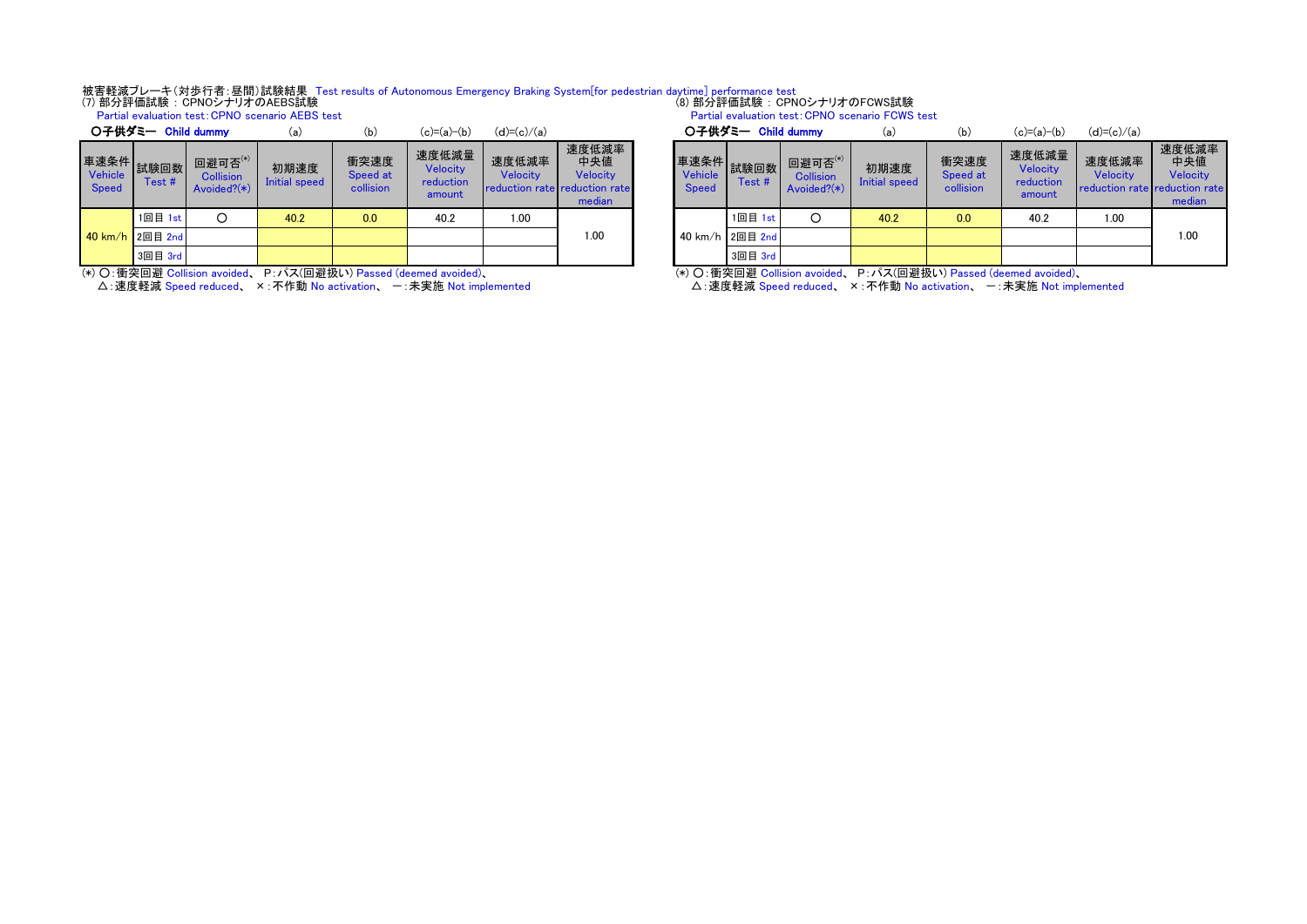# 被害軽減ブレーキ(対歩行者:昼間)試験結果 Test results of Autonomous Emergency Braking System[for pedestrian daytime] performance test<br>(7) 部分評価試験:CPNOシナリオのAEBS試験

Partial evaluation test:CPNO scenario AEBS test

|                                                           | ○子供ダミー Child dummy |                                            | (a)                   | (b)                           | $(c)=(a)-(b)$                            | $(d)=(c)/(a)$     |                                                                     |                                         | 〇子供ダミー Child dummy |                                               | (a)                   | (b)                           | $(c)=(a)-(b)$                            | $(d)=(c)$                 |
|-----------------------------------------------------------|--------------------|--------------------------------------------|-----------------------|-------------------------------|------------------------------------------|-------------------|---------------------------------------------------------------------|-----------------------------------------|--------------------|-----------------------------------------------|-----------------------|-------------------------------|------------------------------------------|---------------------------|
| · <sup>韦</sup> 谏条件 <mark>試験回数 </mark><br>Vehicle<br>Speed | Test#              | 回避可否(*)<br><b>Collision</b><br>Avoided?(*) | 初期速度<br>Initial speed | 衝突速度<br>Speed at<br>collision | 速度低減量<br>Velocity<br>reduction<br>amount | 速度低減率<br>Velocity | 速度低減率<br>中央値<br>Velocity<br>reduction rate reduction rate<br>median | 車速条件 試験回数 一~<br>Vehicle<br><b>Speed</b> | Test#              | 回避可否(*)<br><b>Collision</b><br>Avoided? $(*)$ | 初期速度<br>Initial speed | 衝突速度<br>Speed at<br>collision | 速度低減量<br>Velocity<br>reduction<br>amount | 速度低<br>Veloc<br>reduction |
|                                                           | 1回目 1st            | O                                          | 40.2                  | 0.0                           | 40.2                                     | 1.00              |                                                                     |                                         | 1回目 1st            |                                               | 40.2                  | 0.0                           | 40.2                                     | 1.00                      |
| $10 km/h$ 2回目 2nd                                         |                    |                                            |                       |                               |                                          |                   | 1.00                                                                |                                         | 40 km/h 2回目 2nd    |                                               |                       |                               |                                          |                           |
|                                                           | 3回目 3rd            |                                            |                       |                               |                                          |                   |                                                                     |                                         | 3回目 3rd            |                                               |                       |                               |                                          |                           |

(\*) ○:衝突回避 Collision avoided、 P:パス(回避扱い) Passed (deemed avoided)、

△: 速度軽減 Speed reduced、 × : 不作動 No activation、 一 : 未実施 Not implemented

Partial evaluation test:CPNO scenario FCWS test

| (a)            | (b)                           | $(c)=(a)-(b)$                                   | $(d)=(c)/(a)$                                      |                                    |                                         | ○子供ダミー Child dummy |                                            | (a)                   | (b)                           | $(c)=(a)-(b)$                            | $(d)=(c)/(a)$                                      |                                    |
|----------------|-------------------------------|-------------------------------------------------|----------------------------------------------------|------------------------------------|-----------------------------------------|--------------------|--------------------------------------------|-----------------------|-------------------------------|------------------------------------------|----------------------------------------------------|------------------------------------|
| 朋速度<br>I speed | 衝突速度<br>Speed at<br>collision | 速度低減量<br>Velocity<br><b>reduction</b><br>amount | 速度低減率<br>Velocity<br>reduction rate reduction rate | 速度低減率<br>中央値<br>Velocity<br>median | 車速条件 試験回数 日本<br>Vehicle<br><b>Speed</b> | Test#              | 回避可否(*)<br><b>Collision</b><br>Avoided?(*) | 初期速度<br>Initial speed | 衝突速度<br>Speed at<br>collision | 速度低減量<br>Velocity<br>reduction<br>amount | 速度低減率<br>Velocitv<br>reduction rate reduction rate | 速度低減率<br>中央値<br>Velocity<br>median |
| 0.2            | 0.0                           | 40.2                                            | 1.00                                               |                                    |                                         | 1回目 1st            |                                            | 40.2                  | 0.0                           | 40.2                                     | 1.00                                               |                                    |
|                |                               |                                                 |                                                    | 00.1                               |                                         | 40 km/h 2回目 2nd    |                                            |                       |                               |                                          |                                                    | 1.00                               |
|                |                               |                                                 |                                                    |                                    |                                         | 3回目 3rd            |                                            |                       |                               |                                          |                                                    |                                    |

(\*) ○:衝突回避 Collision avoided、 P:パス(回避扱い) Passed (deemed avoided)、

△:速度軽減 Speed reduced、 ×:不作動 No activation、 -:未実施 Not implemented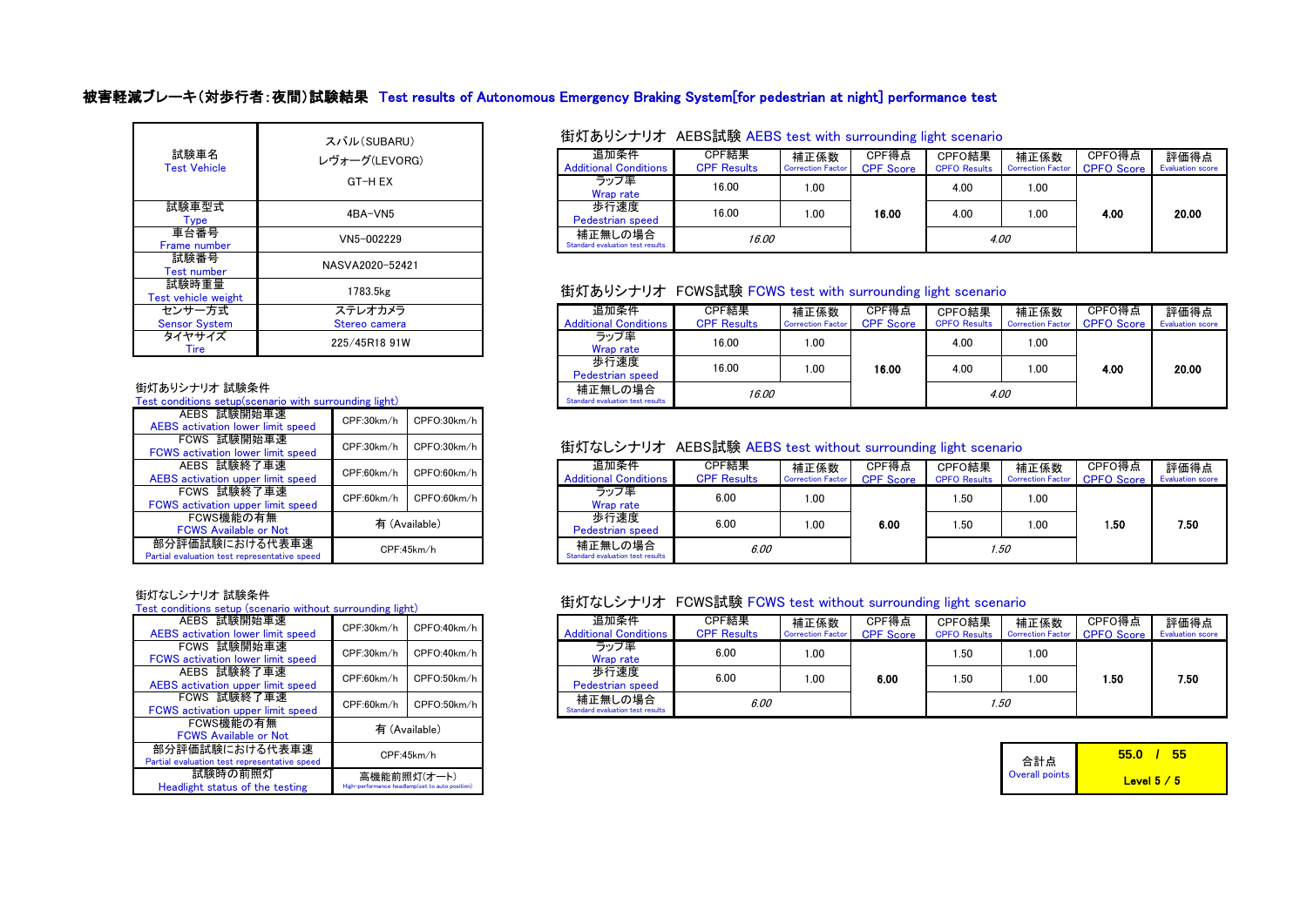## 被害軽減ブレーキ(対歩行者:夜間)試験結果 Test results of Autonomous Emergency Braking System[for pedestrian at night] performance test

| 試験車名<br><b>Test Vehicle</b>    | スバル(SUBARU)<br>レヴォーグ(LEVORG)<br>GT-H EX |
|--------------------------------|-----------------------------------------|
| 試験車型式<br><b>Type</b>           | 4BA-VN5                                 |
| 車台番号<br>Frame number           | VN5-002229                              |
| 試験番号<br><b>Test number</b>     | NASVA2020-52421                         |
| 試験時重量<br>Test vehicle weight   | 1783.5kg                                |
| センサー方式<br><b>Sensor System</b> | ステレオカメラ<br>Stereo camera                |
| タイヤサイズ<br>Tire                 | 225/45R18 91W                           |

### 街灯ありシナリオ 試験条件

Test conditions setup(scenario with surrounding light)

| AEBS 試験開始車速<br>AEBS activation lower limit speed               | CPFO:30km/h<br>CPF:30km/h |             |  |  |  |  |
|----------------------------------------------------------------|---------------------------|-------------|--|--|--|--|
| FCWS 試験開始車速<br><b>FCWS</b> activation lower limit speed        | CPF:30km/h                | CPFO:30km/h |  |  |  |  |
| AEBS 試験終了車速<br>AEBS activation upper limit speed               | CPF:60km/h                | CPFO:60km/h |  |  |  |  |
| FCWS 試験終了車速<br>FCWS activation upper limit speed               | CPFO:60km/h<br>CPF:60km/h |             |  |  |  |  |
| FCWS機能の有無<br><b>FCWS Available or Not</b>                      | 有 (Available)             |             |  |  |  |  |
| 部分評価試験における代表車速<br>Partial evaluation test representative speed | CPF:45km/h                |             |  |  |  |  |

#### 街灯なしシナリオ 試験条件

Test conditions setup (scenario without surrounding light)

| AEBS 試験開始車速                                  | CPF:30km/h  | CPFO:40km/h                                     |  |  |  |  |
|----------------------------------------------|-------------|-------------------------------------------------|--|--|--|--|
| <b>AEBS</b> activation lower limit speed     |             |                                                 |  |  |  |  |
| FCWS 試験開始車速                                  | CPF:30km/h  | CPFO:40km/h                                     |  |  |  |  |
| <b>FCWS</b> activation lower limit speed     |             |                                                 |  |  |  |  |
| AEBS 試験終了車速                                  | CPF:60km/h  | CPFO:50km/h                                     |  |  |  |  |
| <b>AEBS</b> activation upper limit speed     |             |                                                 |  |  |  |  |
| FCWS 試験終了車速                                  | CPF:60km/h  | CPFO:50km/h                                     |  |  |  |  |
| FCWS activation upper limit speed            |             |                                                 |  |  |  |  |
| FCWS機能の有無                                    |             | 有 (Available)                                   |  |  |  |  |
| <b>FCWS Available or Not</b>                 |             |                                                 |  |  |  |  |
| 部分評価試験における代表車速                               | CPF:45km/h  |                                                 |  |  |  |  |
| Partial evaluation test representative speed |             |                                                 |  |  |  |  |
| 試験時の前照灯                                      | 高機能前照灯(オート) |                                                 |  |  |  |  |
| Headlight status of the testing              |             | High-performance headlamp(set to auto position) |  |  |  |  |

### 街灯ありシナリオ AEBS試験 AEBS test with surrounding light scenario

| ーグ(LEVORG) | 追加条件<br><b>Additional Conditions</b>        | CPF結果<br><b>CPF Results</b> | 補正係数<br><b>Correction Factor</b> | CPF得点<br><b>CPF Score</b> | CPFO結果<br><b>CPFO Results</b> | 補正係数<br><b>Correction Factor</b> | CPFO得点<br><b>CPFO</b> Score | 評価得点<br><b>Evaluation score</b> |
|------------|---------------------------------------------|-----------------------------|----------------------------------|---------------------------|-------------------------------|----------------------------------|-----------------------------|---------------------------------|
| GT-H EX    | ラップ率<br>Wrap rate                           | 16.00                       | 1.00                             |                           | 4.00                          | 1.00                             |                             |                                 |
| 4BA-VN5    | 歩行速度<br><b>Pedestrian speed</b>             | 16.00                       | 1.00                             | 16.00                     | 4.00                          | 1.00                             | 4.00                        | 20.00                           |
| N5-002229  | 補正無しの場合<br>Standard evaluation test results | 16.00                       |                                  |                           |                               | 4.00                             |                             |                                 |

### 街灯ありシナリオ FCWS試験 FCWS test with surrounding light scenario

| ステレオカメラ<br>Stereo camera | 追加条件<br><b>Additional Conditions</b>        | CPF結果<br><b>CPF Results</b> | 補正係数<br><b>Correction Factor</b> | CPF得点<br><b>CPF Score</b> | CPFO結果<br><b>CPFO Results</b> | 補正係数<br>Correction Factor CPFO Score | CPFO得点 | 評価得点<br><b>Evaluation</b> score |
|--------------------------|---------------------------------------------|-----------------------------|----------------------------------|---------------------------|-------------------------------|--------------------------------------|--------|---------------------------------|
| 225/45R18 91W            | ラップ率<br>Wrap rate                           | 16.00                       | 1.00                             |                           | 4.00                          | 1.00                                 |        |                                 |
|                          | 歩行速度<br><b>Pedestrian speed</b>             | 16.00                       | 00. ا                            | 16.00                     | 4.00                          | 1.00                                 | 4.00   | 20.00                           |
| ounding light)           | 補正無しの場合<br>Standard evaluation test results | 16.00                       |                                  |                           | 4.00                          |                                      |        |                                 |

### 街灯なしシナリオ AEBS試験 AEBS test without surrounding light scenario

| CPF:60km/h | CPFO:60km/h   | 追加条件<br><b>Additional Conditions</b>        | CPF結果<br><b>CPF Results</b> | 補正係数<br><b>Correction Factor</b> | CPF得点<br><b>CPF</b> Score | CPFO結果<br><b>CPFO Results</b> | 補正係数<br><b>Correction Factor</b> | CPFO得点<br><b>CPFO</b> Score | 評価得点<br><b>Evaluation score</b> |
|------------|---------------|---------------------------------------------|-----------------------------|----------------------------------|---------------------------|-------------------------------|----------------------------------|-----------------------------|---------------------------------|
| CPF:60km/h | CPFO:60km/h   | ラップ率<br>Wrap rate                           | 6.00                        | 1.00                             |                           | 1.00<br>.50                   |                                  |                             |                                 |
|            | 有 (Available) | 歩行速度<br>Pedestrian speed                    | 6.00                        | 1.00                             | 6.00                      | . 50                          | 1.00                             | . 50                        | 7.50                            |
| CPF:45km/h |               | 補正無しの場合<br>Standard evaluation test results | 6.00                        |                                  |                           |                               | 1.50                             |                             |                                 |

### 街灯なしシナリオ FCWS試験 FCWS test without surrounding light scenario

| CPF:30km/h | CPFO:40km/h | 追加条件<br><b>Additional Conditions</b>        | CPF結果<br><b>CPF Results</b> | 補正係数<br><b>Correction Factor</b> | CPF得点<br><b>CPF Score</b> | CPFO結果<br><b>CPFO Results</b> | 補正係数<br>Correction Factor CPFO Score | CPFO得点 | 評価得点<br><b>Evaluation score</b> |
|------------|-------------|---------------------------------------------|-----------------------------|----------------------------------|---------------------------|-------------------------------|--------------------------------------|--------|---------------------------------|
| CPF:30km/h | CPFO:40km/h | ラップ率<br>Wrap rate                           | 6.00                        | 0.00                             |                           | 1.50                          | 1.00                                 |        |                                 |
| CPF:60km/h | CPFO:50km/h | 歩行速度<br>Pedestrian speed                    | 6.00                        | 1.00                             | 6.00                      | 1.50                          | 1.00                                 | .50    | 7.50                            |
| CPF:60km/h | CPFO:50km/h | 補正無しの場合<br>Standard evaluation test results | 6.00                        |                                  |                           |                               | 1.50                                 |        |                                 |

|                       | 55 O<br>הה  |
|-----------------------|-------------|
| 合計点<br>Overall points | Level $5/5$ |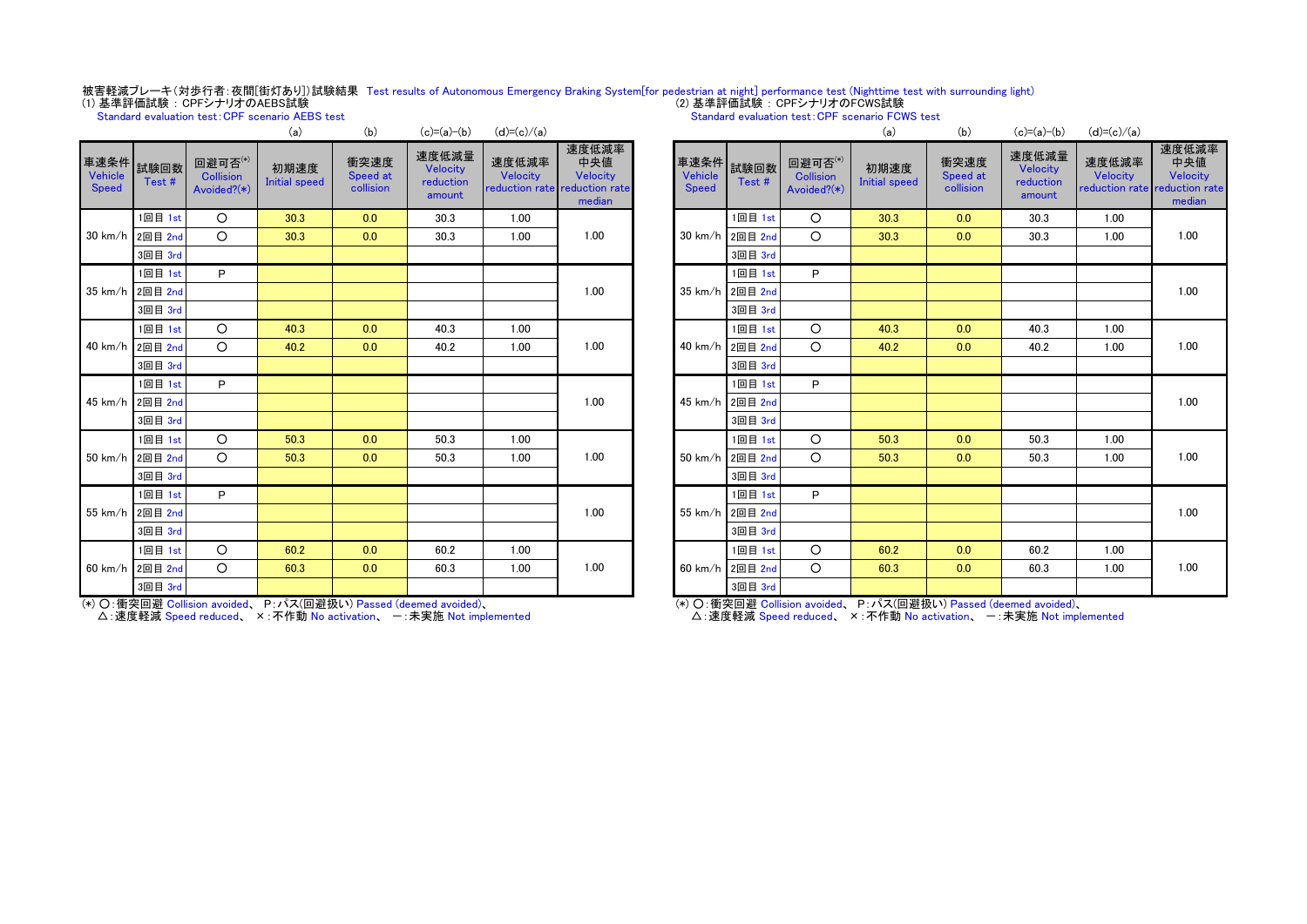# 被害軽減ブレーキ(対歩行者:夜間[街灯あり])試験結果 Test results of Autonomous Emergency Braking System[for pedestrian at night] performance test (Nighttime test with surrounding light)<br>(1) 基準評価試験:CPFシナリオのAEBS試験

Standard evaluation test: CPF scenario AEBS test

Standard evaluation test:CPF scenario FCWS test

|                                 |                 |                                            | (a)                          | (b)                           | $(c)=(a)-(b)$                            | $(d)=(c)/(a)$                       |                                                      |                                 |                 |                                            | (a)                          | (b)                           | $(c)=(a)-(b)$                            | $(d)=(c)$                 |      |
|---------------------------------|-----------------|--------------------------------------------|------------------------------|-------------------------------|------------------------------------------|-------------------------------------|------------------------------------------------------|---------------------------------|-----------------|--------------------------------------------|------------------------------|-------------------------------|------------------------------------------|---------------------------|------|
| 車速条件<br>Vehicle<br><b>Speed</b> | 試験回数<br>Test#   | 回避可否(*)<br><b>Collision</b><br>Avoided?(*) | 初期速度<br><b>Initial speed</b> | 衝突速度<br>Speed at<br>collision | 速度低減量<br>Velocity<br>reduction<br>amount | 速度低減率<br>Velocity<br>reduction rate | 速度低減率<br>中央値<br>Velocity<br>reduction rate<br>median | 車速条件<br>Vehicle<br><b>Speed</b> | 試験回数<br>Test#   | 回避可否(*)<br><b>Collision</b><br>Avoided?(*) | 初期速度<br><b>Initial speed</b> | 衝突速度<br>Speed at<br>collision | 速度低減量<br>Velocity<br>reduction<br>amount | 速度低<br>Veloc<br>reductior |      |
|                                 | 1回目 1st         | $\circ$                                    | 30.3                         | 0.0                           | 30.3                                     | 1.00                                |                                                      |                                 | 1回目 1st         | $\circ$                                    | 30.3                         | 0.0                           | 30.3                                     | 1.00                      |      |
|                                 | 30 km/h 2回目 2nd | $\circ$                                    | 30.3                         | 0.0                           | 30.3                                     | 1.00                                | 1.00                                                 |                                 | 30 km/h 2回目 2nd | $\circ$                                    | 30.3                         | 0.0                           | 30.3                                     | 1.00                      |      |
|                                 | 3回目 3rd         |                                            |                              |                               |                                          |                                     |                                                      |                                 | 3回目 3rd         |                                            |                              |                               |                                          |                           |      |
|                                 | 1回目 1st         | P                                          |                              |                               |                                          |                                     |                                                      |                                 | 1回目 1st         | P                                          |                              |                               |                                          |                           |      |
|                                 | 35 km/h 2回目 2nd |                                            |                              |                               |                                          |                                     | 1.00                                                 |                                 | 35 km/h 2回目 2nd |                                            |                              |                               |                                          |                           |      |
|                                 | 3回目 3rd         |                                            |                              |                               |                                          |                                     |                                                      |                                 | 3回目 3rd         |                                            |                              |                               |                                          |                           |      |
|                                 | 1回目 1st         | $\circ$                                    | 40.3                         | 0.0                           | 40.3                                     | 1.00                                |                                                      |                                 | 1回目 1st         | $\circ$                                    | 40.3                         | 0.0                           | 40.3                                     | 1.00                      |      |
|                                 | 40 km/h 2回目 2nd | $\circ$                                    | 40.2                         | 0.0                           | 40.2                                     | 1.00                                | 1.00                                                 |                                 |                 | 40 km/h 2回目 2nd                            | $\circ$                      | 40.2                          | 0.0                                      | 40.2                      | 1.00 |
|                                 | 3回目 3rd         |                                            |                              |                               |                                          |                                     |                                                      |                                 | 3回目 3rd         |                                            |                              |                               |                                          |                           |      |
|                                 | 1回目 1st         | P                                          |                              |                               |                                          |                                     |                                                      |                                 | 1回目 1st         | P                                          |                              |                               |                                          |                           |      |
|                                 | 45 km/h 2回目 2nd |                                            |                              |                               |                                          |                                     | 1.00                                                 | 45 km/h 2回目 2nd                 |                 |                                            |                              |                               |                                          |                           |      |
|                                 | 3回目 3rd         |                                            |                              |                               |                                          |                                     |                                                      |                                 | 3回目 3rd         |                                            |                              |                               |                                          |                           |      |
|                                 | 1回目 1st         | $\circ$                                    | 50.3                         | 0.0                           | 50.3                                     | 1.00                                |                                                      |                                 | 1回目 1st         | $\circ$                                    | 50.3                         | 0.0                           | 50.3                                     | 1.00                      |      |
|                                 | 50 km/h 2回目 2nd | $\circ$                                    | 50.3                         | 0.0                           | 50.3                                     | 1.00                                | 1.00                                                 |                                 | 50 km/h 2回目 2nd | $\circ$                                    | 50.3                         | 0.0                           | 50.3                                     | 1.00                      |      |
|                                 | 3回目 3rd         |                                            |                              |                               |                                          |                                     |                                                      |                                 | 3回目 3rd         |                                            |                              |                               |                                          |                           |      |
|                                 | 1回目 1st         | P                                          |                              |                               |                                          |                                     |                                                      |                                 | 1回目 1st         | P                                          |                              |                               |                                          |                           |      |
|                                 | 55 km/h 2回目 2nd |                                            |                              |                               |                                          |                                     | 1.00                                                 |                                 | 55 km/h 2回目 2nd |                                            |                              |                               |                                          |                           |      |
|                                 | 3回目 3rd         |                                            |                              |                               |                                          |                                     |                                                      |                                 | 3回目 3rd         |                                            |                              |                               |                                          |                           |      |
|                                 | 1回目 1st         | $\circ$                                    | 60.2                         | 0.0                           | 60.2                                     | 1.00                                |                                                      |                                 | 1回目 1st         | $\circ$                                    | 60.2                         | 0.0                           | 60.2                                     | 1.00                      |      |
|                                 | 60 km/h 2回目 2nd | $\circ$                                    | 60.3                         | 0.0                           | 60.3                                     | 1.00                                | 1.00                                                 |                                 | 60 km/h 2回目 2nd | $\circ$                                    | 60.3                         | 0.0                           | 60.3                                     | 1.00                      |      |
|                                 | 3回目 3rd         |                                            |                              |                               |                                          |                                     |                                                      |                                 | 3回目 3rd         |                                            |                              |                               |                                          |                           |      |

(\*) ○:衝突回避 Collision avoided、 P:パス(回避扱い) Passed (deemed avoided)、

△: 速度軽減 Speed reduced、 × : 不作動 No activation、 一 : 未実施 Not implemented

|                                        |               |                                            | (a)                          | (b)                           | $(c)=(a)-(b)$                            | $(d)=(c)/(a)$                       |                                                      |
|----------------------------------------|---------------|--------------------------------------------|------------------------------|-------------------------------|------------------------------------------|-------------------------------------|------------------------------------------------------|
| 車速条件<br><b>Vehicle</b><br><b>Speed</b> | 試験回数<br>Test# | 回避可否(*)<br><b>Collision</b><br>Avoided?(*) | 初期速度<br><b>Initial speed</b> | 衝突速度<br>Speed at<br>collision | 速度低減量<br>Velocity<br>reduction<br>amount | 速度低減率<br>Velocity<br>reduction rate | 速度低減率<br>中央値<br>Velocity<br>reduction rate<br>median |
|                                        | 1回目 1st       | O                                          | 30.3                         | 0.0                           | 30.3                                     | 1.00                                |                                                      |
| 30 km/h                                | 2回目 2nd       | O                                          | 30.3                         | 0.0                           | 30.3                                     | 1.00                                | 1.00                                                 |
|                                        | 3回目 3rd       |                                            |                              |                               |                                          |                                     |                                                      |
|                                        | 1回目 1st       | P                                          |                              |                               |                                          |                                     |                                                      |
| 35 km/h                                | 2回目 2nd       |                                            |                              |                               |                                          |                                     | 1.00                                                 |
|                                        | 3回目 3rd       |                                            |                              |                               |                                          |                                     |                                                      |
|                                        | 1回目 1st       | O                                          | 40.3                         | 0.0                           | 40.3                                     | 1.00                                |                                                      |
| 40 km/h                                | 2回目 2nd       | O                                          | 40.2                         | 0.0                           | 40.2                                     | 1.00                                | 1.00                                                 |
|                                        | 3回目 3rd       |                                            |                              |                               |                                          |                                     |                                                      |
|                                        | 1回目 1st       | P                                          |                              |                               |                                          |                                     |                                                      |
| 45 km/h                                | 2回目 2nd       |                                            |                              |                               |                                          |                                     | 1.00                                                 |
|                                        | 3回目 3rd       |                                            |                              |                               |                                          |                                     |                                                      |
|                                        | 1回目 1st       | O                                          | 50.3                         | 0.0                           | 50.3                                     | 1.00                                |                                                      |
| 50 km/h                                | 2回目 2nd       | O                                          | 50.3                         | 0.0                           | 50.3                                     | 1.00                                | 1.00                                                 |
|                                        | 3回目 3rd       |                                            |                              |                               |                                          |                                     |                                                      |
|                                        | 1回目 1st       | P                                          |                              |                               |                                          |                                     |                                                      |
| 55 km/h                                | 2回目 2nd       |                                            |                              |                               |                                          |                                     | 1.00                                                 |
|                                        | 3回目 3rd       |                                            |                              |                               |                                          |                                     |                                                      |
|                                        | 1回目 1st       | O                                          | 60.2                         | 0.0                           | 60.2                                     | 1.00                                |                                                      |
| 60 km/h                                | 2回目 2nd       | O                                          | 60.3                         | 0.0                           | 60.3                                     | 1.00                                | 1.00                                                 |
|                                        | 3回目 3rd       |                                            |                              |                               |                                          |                                     |                                                      |

(\*) ○:衝突回避 Collision avoided、 P:パス(回避扱い) Passed (deemed avoided)、

△:速度軽減 Speed reduced、 ×:不作動 No activation、 一:未実施 Not implemented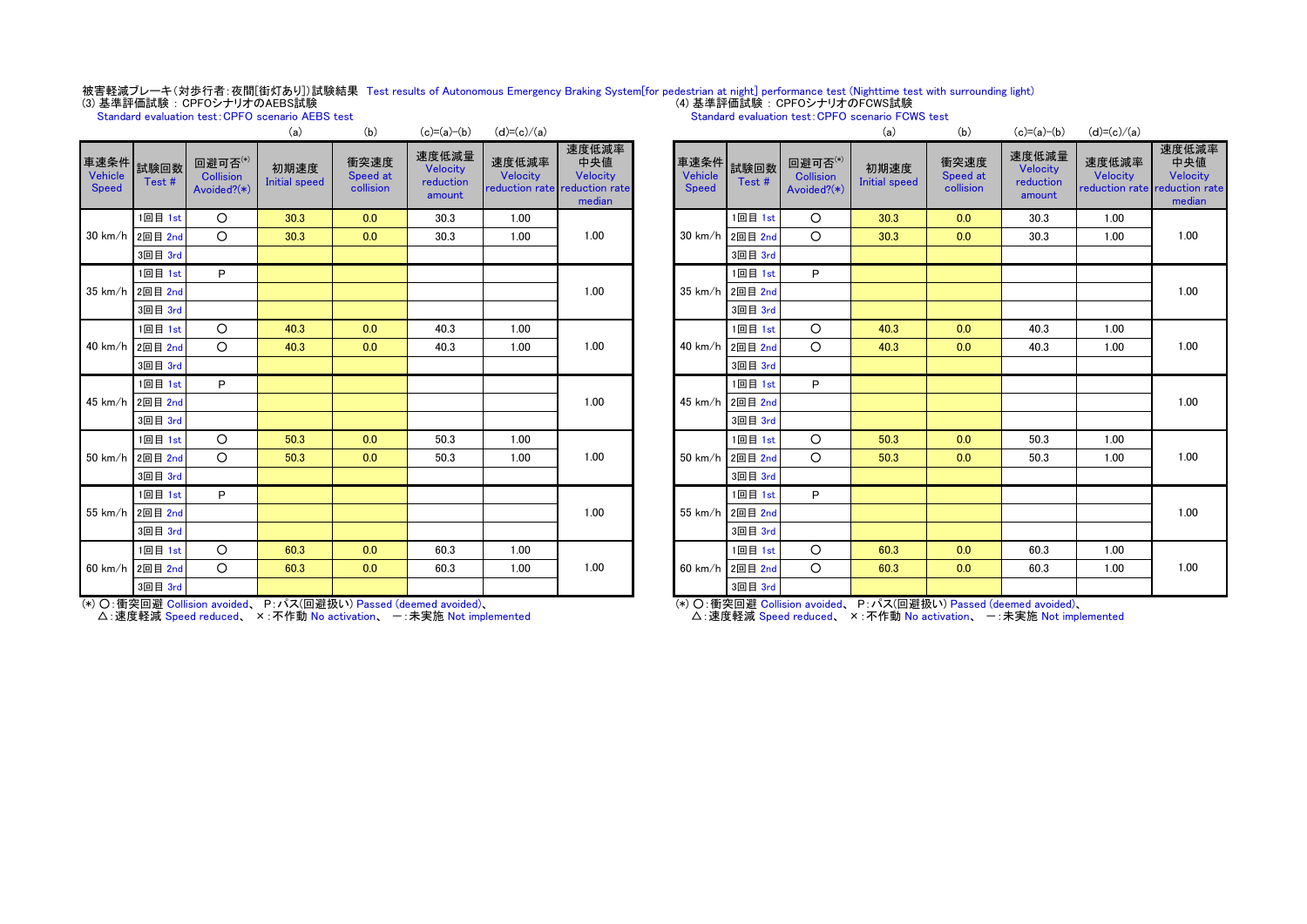# 被害軽減ブレーキ(対歩行者:夜間[街灯あり])試験結果 Test results of Autonomous Emergency Braking System[for pedestrian at night] performance test (Nighttime test with surrounding light)<br>(3) 基準評価試験 : CPFOシナリオのAEBS試験

(a) (b)  $(x)=(-x)(b)$   $(x)=(-x)(b)$   $(x)(a)$ Standard evaluation test:CPFO scenario AEBS test

#### Standard evaluation test:CPFO scenario FCWS test

|                                      |                 |                                           | (a)                          | (D)                           | $U - (a)U$                               | $(u) = (G)/(d)$   |                                                                     |                           |                 |                                            | (a)                          | (D)                           | $U - (a)U$                               | $(u) = (G)/(d)$                               |                              |
|--------------------------------------|-----------------|-------------------------------------------|------------------------------|-------------------------------|------------------------------------------|-------------------|---------------------------------------------------------------------|---------------------------|-----------------|--------------------------------------------|------------------------------|-------------------------------|------------------------------------------|-----------------------------------------------|------------------------------|
| 車速条件 試験回数<br>Vehicle<br><b>Speed</b> | Test#           | 回避可否 $^{(*)}$<br>Collision<br>Avoided?(*) | 初期速度<br><b>Initial speed</b> | 衝突速度<br>Speed at<br>collision | 速度低減量<br>Velocity<br>reduction<br>amount | 速度低減率<br>Velocity | 速度低減率<br>中央値<br>Velocity<br>reduction rate reduction rate<br>median | 車速条件 試験回数<br><b>Speed</b> | Test#           | 回避可否(*)<br><b>Collision</b><br>Avoided?(*) | 初期速度<br><b>Initial speed</b> | 衝突速度<br>Speed at<br>collision | 速度低減量<br>Velocity<br>reduction<br>amount | 速度低減率<br>Velocity<br>reduction rate reduction | 速度低:<br>中央<br>Veloc<br>media |
|                                      | 1回目 1st         | $\circ$                                   | 30.3                         | 0.0                           | 30.3                                     | 1.00              |                                                                     |                           | 1回目 1st         | $\circ$                                    | 30.3                         | 0.0                           | 30.3                                     | 1.00                                          |                              |
| $30$ km/h                            | 2回目 2nd         | $\Omega$                                  | 30.3                         | 0.0                           | 30.3                                     | 1.00              | 1.00                                                                | $30 \text{ km/h}$         | 2回目 2nd         | $\Omega$                                   | 30.3                         | 0.0                           | 30.3                                     | 1.00                                          | 1.00                         |
|                                      | 3回目 3rd         |                                           |                              |                               |                                          |                   |                                                                     |                           | 3回目 3rd         |                                            |                              |                               |                                          |                                               |                              |
|                                      | 1回目 1st         | P                                         |                              |                               |                                          |                   |                                                                     |                           | 1回目 1st         | P                                          |                              |                               |                                          |                                               |                              |
| $35 \text{ km/h}$                    | 2回目 2nd         |                                           |                              |                               |                                          |                   | 1.00                                                                | $35 \text{ km/h}$         | 2回目 2nd         |                                            |                              |                               |                                          |                                               | 1.00                         |
|                                      | 3回目 3rd         |                                           |                              |                               |                                          |                   |                                                                     |                           | 3回目 3rd         |                                            |                              |                               |                                          |                                               |                              |
|                                      | 1回目 1st         | $\circ$                                   | 40.3                         | 0.0                           | 40.3                                     | 1.00              |                                                                     |                           | 1回目 1st         | $\circ$                                    | 40.3                         | 0.0                           | 40.3                                     | 1.00                                          |                              |
|                                      | 40 km/h 2回目 2nd | $\Omega$                                  | 40.3                         | 0.0                           | 40.3                                     | 1.00              | 1.00                                                                | 40 km/h                   | 2回目 2nd         | $\Omega$                                   | 40.3                         | 0.0                           | 40.3                                     | 1.00                                          | 1.00                         |
|                                      | 3回目 3rd         |                                           |                              |                               |                                          |                   |                                                                     |                           | 3回目 3rd         |                                            |                              |                               |                                          |                                               |                              |
|                                      | 1回目 1st         | P                                         |                              |                               |                                          |                   |                                                                     |                           | 1回目 1st         | P                                          |                              |                               |                                          |                                               |                              |
|                                      | 45 km/h 2回目 2nd |                                           |                              |                               |                                          |                   | 1.00                                                                |                           | 45 km/h 2回目 2nd |                                            |                              |                               |                                          |                                               | 1.00                         |
|                                      | 3回目 3rd         |                                           |                              |                               |                                          |                   |                                                                     |                           | 3回目 3rd         |                                            |                              |                               |                                          |                                               |                              |
|                                      | 1回目 1st         | $\circ$                                   | 50.3                         | 0.0                           | 50.3                                     | 1.00              |                                                                     |                           | 1回目 1st         | $\circ$                                    | 50.3                         | 0.0                           | 50.3                                     | 1.00                                          |                              |
|                                      | 50 km/h 2回目 2nd | $\circ$                                   | 50.3                         | 0.0                           | 50.3                                     | 1.00              | 1.00                                                                | 50 km/h                   | 2回目 2nd         | $\circ$                                    | 50.3                         | 0.0                           | 50.3                                     | 1.00                                          | 1.00                         |
|                                      | 3回目 3rd         |                                           |                              |                               |                                          |                   |                                                                     |                           | 3回目 3rd         |                                            |                              |                               |                                          |                                               |                              |
|                                      | 1回目 1st         | P                                         |                              |                               |                                          |                   |                                                                     |                           | 1回目 1st         | P                                          |                              |                               |                                          |                                               |                              |
|                                      | 55 km/h 2回目 2nd |                                           |                              |                               |                                          |                   | 1.00                                                                |                           | 55 km/h 2回目 2nd |                                            |                              |                               |                                          |                                               | 1.00                         |
|                                      | 3回目 3rd         |                                           |                              |                               |                                          |                   |                                                                     |                           | 3回目 3rd         |                                            |                              |                               |                                          |                                               |                              |
|                                      | 1回目 1st         | O                                         | 60.3                         | 0.0                           | 60.3                                     | 1.00              |                                                                     |                           | 1回目 1st         | $\circ$                                    | 60.3                         | 0.0                           | 60.3                                     | 1.00                                          |                              |
|                                      | 60 km/h 2回目 2nd | $\circ$                                   | 60.3                         | 0.0                           | 60.3                                     | 1.00              | 1.00                                                                | $60 \text{ km/h}$         | 2回目 2nd         | $\circ$                                    | 60.3                         | 0.0                           | 60.3                                     | 1.00                                          | 1.00                         |
|                                      | 3回目 3rd         |                                           |                              |                               |                                          |                   |                                                                     |                           | 3回目 3rd         |                                            |                              |                               |                                          |                                               |                              |

(\*) ○:衝突回避 Collision avoided、 P:パス(回避扱い) Passed (deemed avoided)、 △: 速度軽減 Speed reduced、 ×: 不作動 No activation、 一: 未実施 Not implemented

|                                        |               |                                            | (a)                                | (b)                           | $(c)=(a)-(b)$                            | $(d)=(c)/(a)$     |                                                                     |
|----------------------------------------|---------------|--------------------------------------------|------------------------------------|-------------------------------|------------------------------------------|-------------------|---------------------------------------------------------------------|
| 車速条件<br><b>Vehicle</b><br><b>Speed</b> | 試験回数<br>Test# | 回避可否(*)<br><b>Collision</b><br>Avoided?(*) | 初期速度<br><b>Initial speed</b>       | 衝突速度<br>Speed at<br>collision | 速度低減量<br>Velocity<br>reduction<br>amount | 速度低減率<br>Velocity | 速度低減率<br>中央値<br>Velocity<br>reduction rate reduction rate<br>median |
|                                        | 1回目 1st       | O                                          | 30.3                               | 0.0                           | 30.3                                     | 1.00              |                                                                     |
| $30 \text{ km/h}$                      | 2回目 2nd       | $\circ$                                    | 30.3                               | 0.0                           | 30.3                                     | 1.00              | 1.00                                                                |
|                                        | 3回目 3rd       |                                            |                                    |                               |                                          |                   |                                                                     |
|                                        | 1回目 1st       | P                                          |                                    |                               |                                          |                   |                                                                     |
| 35 km/h                                | 2回目 2nd       |                                            |                                    |                               |                                          |                   | 1.00                                                                |
|                                        | 3回目 3rd       |                                            |                                    |                               |                                          |                   |                                                                     |
|                                        | 1回目 1st       | O                                          | 40.3                               | 0.0                           | 40.3                                     | 1.00              |                                                                     |
| 40 km/h                                | 2回目 2nd       | $\circ$                                    | 40.3                               | 0.0                           | 40.3                                     | 1.00              | 1.00                                                                |
|                                        | 3回目 3rd       |                                            |                                    |                               |                                          |                   |                                                                     |
|                                        | 1回目 1st       | P                                          |                                    |                               |                                          |                   |                                                                     |
| 45 km/h                                | 2回目 2nd       |                                            |                                    |                               |                                          |                   | 1.00                                                                |
|                                        | 3回目 3rd       |                                            |                                    |                               |                                          |                   |                                                                     |
|                                        | 1回目 1st       | $\circ$                                    | 50.3                               | 0.0                           | 50.3                                     | 1.00              |                                                                     |
| 50 km/h                                | 2回目 2nd       | $\circ$                                    | 50.3                               | 0.0                           | 50.3                                     | 1.00              | 1.00                                                                |
|                                        | 3回目 3rd       |                                            |                                    |                               |                                          |                   |                                                                     |
|                                        | 1回目 1st       | P                                          |                                    |                               |                                          |                   |                                                                     |
| 55 km/h                                | 2回目 2nd       |                                            |                                    |                               |                                          |                   | 1.00                                                                |
|                                        | 3回目 3rd       |                                            |                                    |                               |                                          |                   |                                                                     |
|                                        | 1回目 1st       | $\circ$                                    | 60.3                               | 0.0                           | 60.3                                     | 1.00              |                                                                     |
| 60 km/h                                | 2回目 2nd       | O                                          | 60.3                               | 0.0                           | 60.3                                     | 1.00              | 1.00                                                                |
|                                        | 3回目 3rd       |                                            | $\sim$ $\sim$ $\sim$ $\sim$ $\sim$ |                               |                                          |                   |                                                                     |

(\*) ○:衝突回避 Collision avoided、 P:パス(回避扱い) Passed (deemed avoided)、

△:速度軽減 Speed reduced、 ×:不作動 No activation、 一:未実施 Not implemented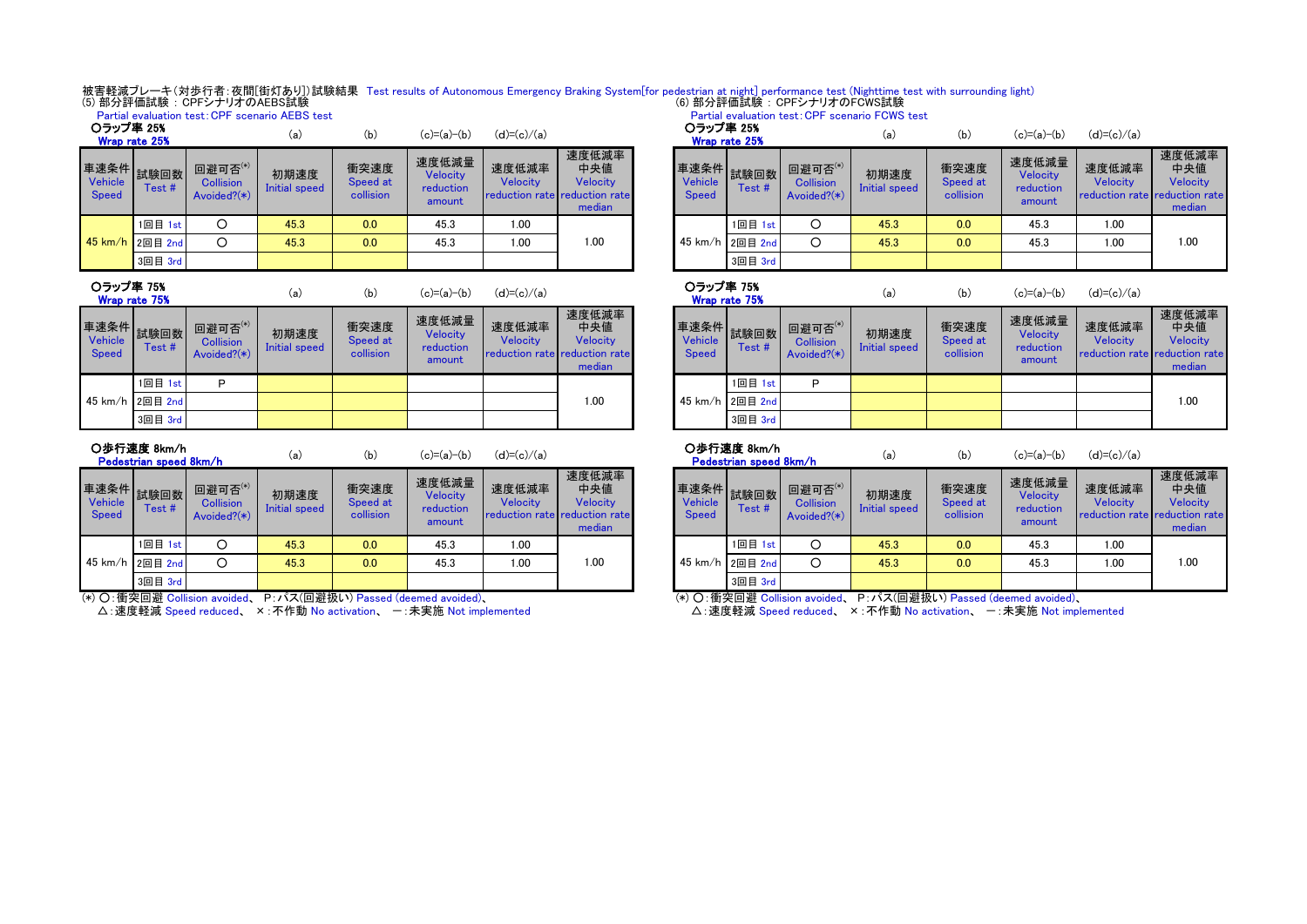被害軽減ブレーキ(対歩行者:夜間[街灯あり])試験結果 Test results of Autonomous Emergency Braking System[for pedestrian at night] performance test (Nighttime test with surrounding light)<br>(5) 部分評価試験:CPFシナリオのAEBS試験

|                                         |         |                                                     | Partial evaluation test: CPF scenario AEBS test |                               |                                                              |                          | Partial evaluation test: CPF scenario FCWS test                     |  |                         |                      |                                            |                       |                               |                                          |                                               |                             |  |  |
|-----------------------------------------|---------|-----------------------------------------------------|-------------------------------------------------|-------------------------------|--------------------------------------------------------------|--------------------------|---------------------------------------------------------------------|--|-------------------------|----------------------|--------------------------------------------|-----------------------|-------------------------------|------------------------------------------|-----------------------------------------------|-----------------------------|--|--|
| ○ラップ率 25%<br>Wrap rate 25%              |         |                                                     | (a)                                             | (b)                           | ○ラップ率 25%<br>$(d)=(c)/(a)$<br>$(c)=(a)-(b)$<br>Wrap rate 25% |                          | $(c)=(a)-(b)$<br>(b)<br>(a)                                         |  |                         | $(d)=(c)/(a)$        |                                            |                       |                               |                                          |                                               |                             |  |  |
| <b>∉速条件 試験回数 ■■</b><br>Vehicle<br>Speed | Test#   | 回避可否 $^{(*)}$<br><b>Collision</b><br>Avoided? $(*)$ | 初期速度<br>Initial speed                           | 衝突速度<br>Speed at<br>collision | 速度低減量<br>Velocity<br>reduction<br>amount                     | 速度低減率<br><b>Velocity</b> | 速度低減率<br>中央値<br>Velocity<br>reduction rate reduction rate<br>median |  | Vehicle<br><b>Speed</b> | 車速条件 試験回数 ニ<br>Test# | 回避可否(*)<br><b>Collision</b><br>Avoided?(*) | 初期速度<br>Initial speed | 衝突速度<br>Speed at<br>collision | 速度低減量<br>Velocity<br>reduction<br>amount | 速度低減率<br>Velocity<br>reduction rate reduction | 速度低<br>中央<br>Veloc<br>media |  |  |
|                                         | 1回目 1st |                                                     | 45.3                                            | 0.0                           | 45.3                                                         | 1.00                     |                                                                     |  |                         | 1回目 1st              |                                            | 45.3                  | 0.0                           | 45.3                                     | 1.00                                          |                             |  |  |
| 45 km/h 2回目 2nd                         |         | $\Omega$                                            | 45.3                                            | 0.0                           | 45.3                                                         | 1.00                     | 1.00                                                                |  |                         | 45 km/h 2回目 2nd      |                                            | 45.3                  | 0.0                           | 45.3                                     | 1.00                                          | 1.00                        |  |  |
|                                         | 3回目 3rd |                                                     |                                                 |                               |                                                              |                          |                                                                     |  |                         |                      |                                            | 3回目 3rd               |                               |                                          |                                               |                             |  |  |

| -------<br>Wrap rate 75%               |               | (b)<br>(а,                                    |                       | $(c)=(a)-(b)$<br>(d)=(c)/(a)  |                                          |                   | --------<br>Wrap rate 75%                                           |  |                                        |                 |                         |
|----------------------------------------|---------------|-----------------------------------------------|-----------------------|-------------------------------|------------------------------------------|-------------------|---------------------------------------------------------------------|--|----------------------------------------|-----------------|-------------------------|
| 車速条件<br><b>Vehicle</b><br><b>Speed</b> | 試験回数<br>Test# | 回避可否(*)<br><b>Collision</b><br>Avoided? $(*)$ | 初期速度<br>Initial speed | 衝突速度<br>Speed at<br>collision | 速度低減量<br>Velocity<br>reduction<br>amount | 速度低減率<br>Velocity | 速度低減率<br>中央値<br>Velocity<br>reduction rate reduction rate<br>median |  | 車速条件<br><b>Vehicle</b><br><b>Speed</b> | 試験回数<br>Test#   | 回避日<br>Colli:<br>Avoide |
|                                        | 1回目 1st       | P                                             |                       |                               |                                          |                   |                                                                     |  |                                        | 回目 1st          | Р                       |
| $45 \text{ km/h}$                      | 2回目 2nd       |                                               |                       |                               |                                          |                   | 1.00                                                                |  |                                        | 45 km/h 2回目 2nd |                         |
|                                        | 3回目 3rd       |                                               |                       |                               |                                          |                   |                                                                     |  |                                        | 3回目 3rd         |                         |

| 〇歩行速度 8km/h            |  |
|------------------------|--|
| Pedestrian speed 8km/h |  |

| Vehicle<br>Speed | ■凍条件 試験回数   一<br>Test # | 回避可否(*)<br><b>Collision</b><br>$Avoided?(*)$ | 初期速度<br>Initial speed | 衝突速度<br>Speed at<br>collision | 速度低減量<br>Velocity<br>reduction<br>amount | 速度低減率<br>Velocity<br><b>reduction rate reduction rate</b> | 速度低減率<br>中央値<br>Velocity<br>median | Vehicle<br><b>Speed</b> | Test #          | 回避可否(*)<br><b>Collision</b><br>Avoided? $(*)$ | 初期速度<br>Initial speed | 衝突速度<br>Speed at<br>collision | 速度低減量<br><b>Velocity</b><br>reduction<br>amount | 速度低減率<br>Velocity<br><b>reduction</b> rate | 速度低<br>中央<br>Veloc<br><b>reduction</b><br>media |
|------------------|-------------------------|----------------------------------------------|-----------------------|-------------------------------|------------------------------------------|-----------------------------------------------------------|------------------------------------|-------------------------|-----------------|-----------------------------------------------|-----------------------|-------------------------------|-------------------------------------------------|--------------------------------------------|-------------------------------------------------|
|                  | 1回目 1st                 |                                              | 45.3                  | 0.0                           | 45.3                                     | 1.00                                                      |                                    |                         | 1回目 1st         |                                               | 45.3                  | 0.0                           | 45.3                                            | 1.00                                       |                                                 |
|                  | 45 km/h 2回目 2nd         |                                              | 45.3                  | 0.0                           | 45.3                                     | 1.00                                                      | 1.00                               |                         | 45 km/h 2回目 2nd | ⌒                                             | 45.3                  | 0.0                           | 45.3                                            | 1.00                                       | 1.00                                            |
|                  | 3回目 3rd                 |                                              |                       |                               |                                          |                                                           |                                    |                         | 3回目 3rd         |                                               |                       |                               |                                                 |                                            |                                                 |

(\*) ○:衝突回避 Collision avoided、 P:パス(回避扱い) Passed (deemed avoided)、

△:速度軽減 Speed reduced、 ×:不作動 No activation、 一:未実施 Not implemented

| -------        |                               |                                                 |                                                    |                                    |                                        |                            |                                               | , andar overadorum cost. Or + sochiano + Offici cost |                               |                                          |                                                    |                                    |
|----------------|-------------------------------|-------------------------------------------------|----------------------------------------------------|------------------------------------|----------------------------------------|----------------------------|-----------------------------------------------|------------------------------------------------------|-------------------------------|------------------------------------------|----------------------------------------------------|------------------------------------|
| (a)            | (b)                           | $(c)=(a)-(b)$                                   | $(d)=(c)/(a)$                                      |                                    |                                        | ○ラップ率 25%<br>Wrap rate 25% |                                               | (a)                                                  | (b)                           | $(c)=(a)-(b)$                            | $(d)=(c)/(a)$                                      |                                    |
| 朋速度<br>I speed | 衝突速度<br>Speed at<br>collision | 速度低減量<br><b>Velocity</b><br>reduction<br>amount | 速度低減率<br>Velocity<br>reduction rate reduction rate | 速度低減率<br>中央値<br>Velocity<br>median | 車速条件 試験回数 出<br>Vehicle<br><b>Speed</b> | Test#                      | 回避可否(*)<br><b>Collision</b><br>Avoided? $(*)$ | 初期速度<br>Initial speed                                | 衝突速度<br>Speed at<br>collision | 速度低減量<br>Velocity<br>reduction<br>amount | 速度低減率<br>Velocity<br>reduction rate reduction rate | 速度低減率<br>中央値<br>Velocity<br>median |
| 5.3            | 0.0                           | 45.3                                            | 1.00                                               |                                    |                                        | 1回目 1st                    |                                               | 45.3                                                 | 0.0                           | 45.3                                     | 1.00                                               |                                    |
| 5.3            | 0.0                           | 45.3                                            | 1.00                                               | 1.00                               |                                        | 45 km/h 2回目 2nd            | C                                             | 45.3                                                 | 0.0                           | 45.3                                     | 1.00                                               | 1.00                               |
|                |                               |                                                 |                                                    |                                    |                                        | 3回目 3rd                    |                                               |                                                      |                               |                                          |                                                    |                                    |
|                |                               |                                                 |                                                    |                                    |                                        |                            |                                               |                                                      |                               |                                          |                                                    |                                    |

| (a)                   | (b)                           | $(c)=(a)-(b)$                            | $(d)=(c)/(a)$     |                                                                     |  | ○ラップ率 75%                      | Wrap rate 75%           |                                               | (a)                   | (b)                           | $(c)=(a)-(b)$                            | $(d)=(c)/(a)$                                      |                                    |
|-----------------------|-------------------------------|------------------------------------------|-------------------|---------------------------------------------------------------------|--|--------------------------------|-------------------------|-----------------------------------------------|-----------------------|-------------------------------|------------------------------------------|----------------------------------------------------|------------------------------------|
| <b>用速度</b><br>I speed | 衝突速度<br>Speed at<br>collision | 速度低減量<br>Velocity<br>reduction<br>amount | 速度低減率<br>Velocity | 速度低減率<br>中央値<br>Velocity<br>reduction rate reduction rate<br>median |  | <b>Vehicle</b><br><b>Speed</b> | ▌車速条件▌試験回数┃ 罒<br>Test # | 回避可否(*)<br><b>Collision</b><br>Avoided? $(*)$ | 初期速度<br>Initial speed | 衝突速度<br>Speed at<br>collision | 速度低減量<br>Velocity<br>reduction<br>amount | 速度低減率<br>Velocity<br>reduction rate reduction rate | 速度低減率<br>中央値<br>Velocity<br>median |
|                       |                               |                                          |                   |                                                                     |  |                                | 1回目 1st                 | D                                             |                       |                               |                                          |                                                    |                                    |
|                       |                               |                                          |                   | .00                                                                 |  | 45 km/h 2回目 2nd                |                         |                                               |                       |                               |                                          | 1.00                                               |                                    |
|                       |                               |                                          |                   |                                                                     |  |                                | 3回目 3rd                 |                                               |                       |                               |                                          |                                                    |                                    |

○歩行速度 8km/h

Partial evaluation test:CPF scenario FCWS test

|     |     | -(b)    | (d)      | ∪莎仃迷度 öKm/h            |     | (b) | $(c)=(a)-(b)$ | $(d)=(c)/(a)$ |
|-----|-----|---------|----------|------------------------|-----|-----|---------------|---------------|
| (a) | (b) | (c)=(a) | =(c)/(a) | Pedectrian sneed 8km/h | (a) |     |               |               |

|                                        | Pedestrian speed 8km/h |                                               | (a)                          | (b)                           | (c)=(a)−(b)                                     | (d)=(c)/(a)              |                                                                     |
|----------------------------------------|------------------------|-----------------------------------------------|------------------------------|-------------------------------|-------------------------------------------------|--------------------------|---------------------------------------------------------------------|
| 車速条件<br><b>Vehicle</b><br><b>Speed</b> | 試験回数<br>Test#          | 回避可否(*)<br><b>Collision</b><br>Avoided? $(*)$ | 初期速度<br><b>Initial speed</b> | 衝突速度<br>Speed at<br>collision | 速度低減量<br><b>Velocity</b><br>reduction<br>amount | 速度低減率<br><b>Velocity</b> | 速度低減率<br>中央値<br>Velocity<br>reduction rate reduction rate<br>median |
|                                        | 1回目 1st                |                                               | 45.3                         | 0.0                           | 45.3                                            | 1.00                     |                                                                     |
|                                        | 45 km/h 2回目 2nd        |                                               | 45.3                         | 0.0                           | 45.3                                            | 1.00                     | 1.00                                                                |
|                                        | 3回目 3rd                |                                               |                              |                               |                                                 |                          |                                                                     |

(\*) ○:衝突回避 Collision avoided、 P:パス(回避扱い) Passed (deemed avoided)、

→ △:速度軽減 Speed reduced、 ×:不作動 No activation、 一:未実施 Not implemented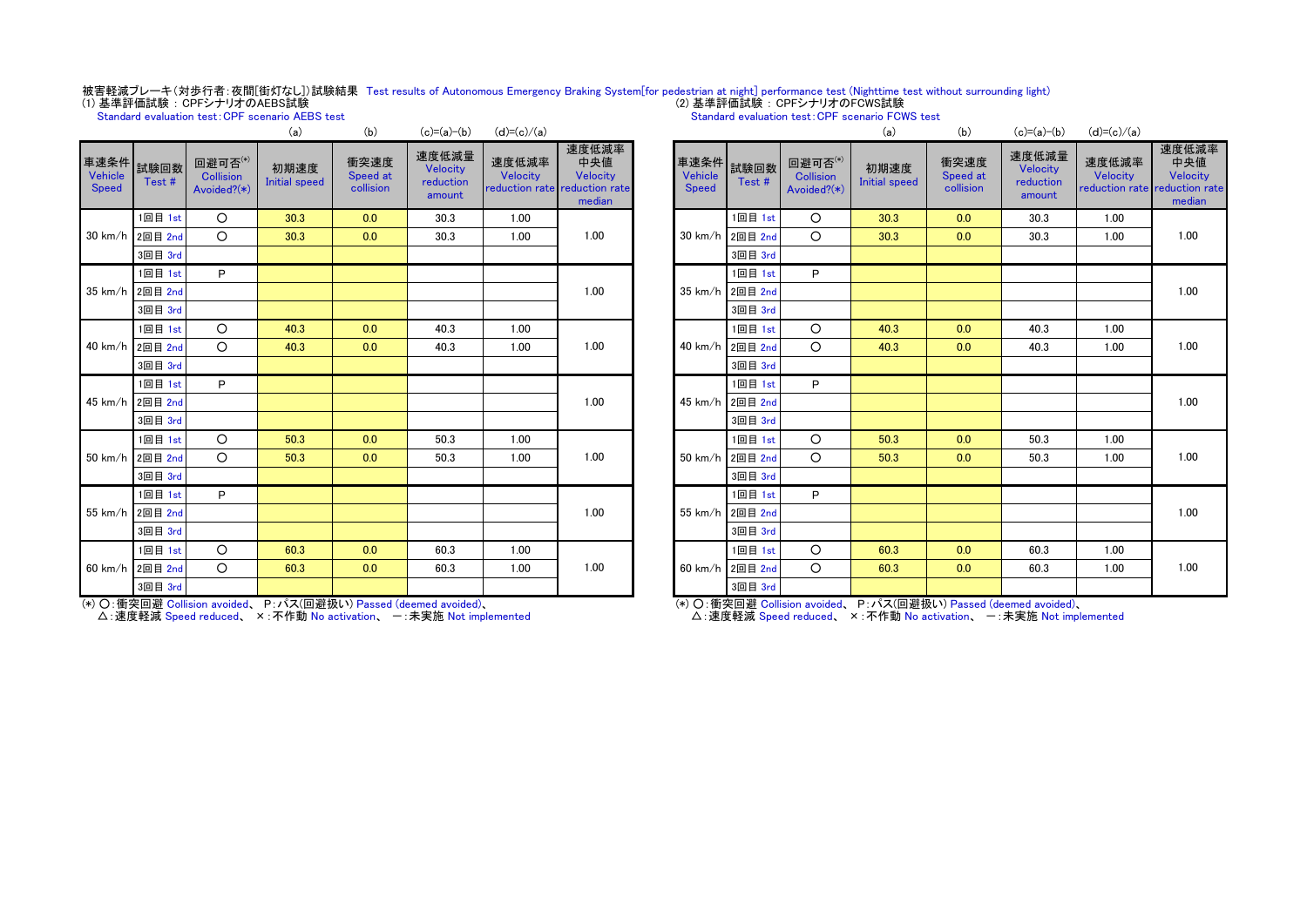# 被害軽減ブレーキ(対歩行者:夜間[街灯なし])試験結果 Test results of Autonomous Emergency Braking System[for pedestrian at night] performance test (Nighttime test without surrounding light)<br>(1) 基準評価試験:CPFシナリオのAEBS試験

# Standard evaluation test:CPF scenario AEBS test

# Standard evaluation test: CPF scenario FCWS test

|                                      |         |                                            | (a)                          | (b)                           | $(c)=(a)-(b)$                            | $(d) = (c)/(a)$   |                                                                     |                           |                 |                                            | (a)                          | (b)                           | $(c) = (a) - (b)$                        | $(d) = (c)/(a)$                               |                              |
|--------------------------------------|---------|--------------------------------------------|------------------------------|-------------------------------|------------------------------------------|-------------------|---------------------------------------------------------------------|---------------------------|-----------------|--------------------------------------------|------------------------------|-------------------------------|------------------------------------------|-----------------------------------------------|------------------------------|
| 車速条件 試験回数<br>Vehicle<br><b>Speed</b> | Test#   | 回避可否(*)<br><b>Collision</b><br>Avoided?(*) | 初期速度<br><b>Initial speed</b> | 衝突速度<br>Speed at<br>collision | 速度低減量<br>Velocity<br>reduction<br>amount | 速度低減率<br>Velocity | 速度低減率<br>中央値<br>Velocity<br>reduction rate reduction rate<br>median | 車速条件 試験回数<br><b>Speed</b> | Test#           | 回避可否(*)<br><b>Collision</b><br>Avoided?(*) | 初期速度<br><b>Initial speed</b> | 衝突速度<br>Speed at<br>collision | 速度低減量<br>Velocity<br>reduction<br>amount | 速度低減率<br>Velocity<br>reduction rate reduction | 速度低:<br>中央<br>Veloc<br>media |
|                                      | 1回目 1st | $\circ$                                    | 30.3                         | 0.0                           | 30.3                                     | 1.00              |                                                                     |                           | 1回目 1st         | $\circ$                                    | 30.3                         | 0.0                           | 30.3                                     | 1.00                                          |                              |
| 30 km/h 2回目 2nd                      |         | $\circ$                                    | 30.3                         | 0.0                           | 30.3                                     | 1.00              | 1.00                                                                |                           | 30 km/h 2回目 2nd | $\circ$                                    | 30.3                         | 0.0                           | 30.3                                     | 1.00                                          | 1.00                         |
|                                      | 3回目 3rd |                                            |                              |                               |                                          |                   |                                                                     |                           | 3回目 3rd         |                                            |                              |                               |                                          |                                               |                              |
|                                      | 1回目 1st | P                                          |                              |                               |                                          |                   |                                                                     |                           | 1回目 1st         | P                                          |                              |                               |                                          |                                               |                              |
| 35 km/h 2回目 2nd                      |         |                                            |                              |                               |                                          |                   | 1.00                                                                |                           | 35 km/h 2回目 2nd |                                            |                              |                               |                                          |                                               | 1.00                         |
|                                      | 3回目 3rd |                                            |                              |                               |                                          |                   |                                                                     |                           | 3回目 3rd         |                                            |                              |                               |                                          |                                               |                              |
|                                      | 1回目 1st | $\circ$                                    | 40.3                         | 0.0                           | 40.3                                     | 1.00              |                                                                     |                           | 1回目 1st         | $\circ$                                    | 40.3                         | 0.0                           | 40.3                                     | 1.00                                          |                              |
| 40 km/h 2回目 2nd                      |         | $\circ$                                    | 40.3                         | 0.0                           | 40.3                                     | 1.00              | 1.00                                                                |                           | 40 km/h 2回目 2nd | $\Omega$                                   | 40.3                         | 0.0                           | 40.3                                     | 1.00                                          | 1.00                         |
|                                      | 3回目 3rd |                                            |                              |                               |                                          |                   |                                                                     |                           | 3回目 3rd         |                                            |                              |                               |                                          |                                               |                              |
|                                      | 1回目 1st | P                                          |                              |                               |                                          |                   |                                                                     |                           | 1回目 1st         | P                                          |                              |                               |                                          |                                               |                              |
| 45 km/h 2回目 2nd                      |         |                                            |                              |                               |                                          |                   | 1.00                                                                |                           | 45 km/h 2回目 2nd |                                            |                              |                               |                                          |                                               | 1.00                         |
|                                      | 3回目 3rd |                                            |                              |                               |                                          |                   |                                                                     |                           | 3回目 3rd         |                                            |                              |                               |                                          |                                               |                              |
|                                      | 1回目 1st | $\circ$                                    | 50.3                         | 0.0                           | 50.3                                     | 1.00              |                                                                     |                           | 1回目 1st         | $\circ$                                    | 50.3                         | 0.0                           | 50.3                                     | 1.00                                          |                              |
| 50 km/h 2回目 2nd                      |         | $\circ$                                    | 50.3                         | 0.0                           | 50.3                                     | 1.00              | 1.00                                                                | $50 \text{ km/h}$         | 2回目 2nd         | $\Omega$                                   | 50.3                         | 0.0                           | 50.3                                     | 1.00                                          | 1.00                         |
|                                      | 3回目 3rd |                                            |                              |                               |                                          |                   |                                                                     |                           | 3回目 3rd         |                                            |                              |                               |                                          |                                               |                              |
|                                      | 1回目 1st | P                                          |                              |                               |                                          |                   |                                                                     |                           | 1回目 1st         | P                                          |                              |                               |                                          |                                               |                              |
| 55 km/h 2回目 2nd                      |         |                                            |                              |                               |                                          |                   | 1.00                                                                |                           | 55 km/h 2回目 2nd |                                            |                              |                               |                                          |                                               | 1.00                         |
|                                      | 3回目 3rd |                                            |                              |                               |                                          |                   |                                                                     |                           | 3回目 3rd         |                                            |                              |                               |                                          |                                               |                              |
|                                      | 1回目 1st | O                                          | 60.3                         | 0.0                           | 60.3                                     | 1.00              |                                                                     |                           | 1回目 1st         | $\circ$                                    | 60.3                         | 0.0                           | 60.3                                     | 1.00                                          |                              |
| 60 km/h 2回目 2nd                      |         | O                                          | 60.3                         | 0.0                           | 60.3                                     | 1.00              | 1.00                                                                |                           | 60 km/h 2回目 2nd | $\circ$                                    | 60.3                         | 0.0                           | 60.3                                     | 1.00                                          | 1.00                         |
|                                      | 3回目 3rd |                                            |                              |                               |                                          |                   |                                                                     |                           | 3回目 3rd         |                                            |                              |                               |                                          |                                               |                              |

| (a)                   | (b)                           | $(c)=(a)-(b)$                            | $(d)=(c)/(a)$     |                                                                     |                                 |               |                                        | (a)                          | (b)                           | $(c)=(a)-(b)$                            | $(d)=(c)/(a)$     |                                                                     |
|-----------------------|-------------------------------|------------------------------------------|-------------------|---------------------------------------------------------------------|---------------------------------|---------------|----------------------------------------|------------------------------|-------------------------------|------------------------------------------|-------------------|---------------------------------------------------------------------|
| <b>脂速度</b><br>I speed | 衝突速度<br>Speed at<br>collision | 速度低減量<br>Velocity<br>reduction<br>amount | 速度低減率<br>Velocity | 速度低減率<br>中央値<br>Velocity<br>reduction rate reduction rate<br>median | 車速条件<br>Vehicle<br><b>Speed</b> | 試験回数<br>Test# | 回避可否 $(*)$<br>Collision<br>Avoided?(*) | 初期速度<br><b>Initial speed</b> | 衝突速度<br>Speed at<br>collision | 速度低減量<br>Velocity<br>reduction<br>amount | 速度低減率<br>Velocity | 速度低減率<br>中央値<br>Velocity<br>reduction rate reduction rate<br>median |
| 0.3                   | 0.0                           | 30.3                                     | 1.00              |                                                                     |                                 | 1回目 1st       | $\circ$                                | 30.3                         | 0.0                           | 30.3                                     | 1.00              |                                                                     |
| 0.3                   | 0.0                           | 30.3                                     | 1.00              | 1.00                                                                | $30 \text{ km/h}$               | 2回目 2nd       | $\circ$                                | 30.3                         | 0.0                           | 30.3                                     | 1.00              | 1.00                                                                |
|                       |                               |                                          |                   |                                                                     |                                 | 3回目 3rd       |                                        |                              |                               |                                          |                   |                                                                     |
|                       |                               |                                          |                   |                                                                     |                                 | 1回目 1st       | P                                      |                              |                               |                                          |                   |                                                                     |
|                       |                               |                                          |                   | 1.00                                                                | $35 \text{ km/h}$               | 2回目 2nd       |                                        |                              |                               |                                          |                   | 1.00                                                                |
|                       |                               |                                          |                   |                                                                     |                                 | 3回目 3rd       |                                        |                              |                               |                                          |                   |                                                                     |
| 0.3                   | 0.0                           | 40.3                                     | 1.00              |                                                                     |                                 | 1回目 1st       | $\circ$                                | 40.3                         | 0.0                           | 40.3                                     | 1.00              |                                                                     |
| 0.3                   | 0.0                           | 40.3                                     | 1.00              | 1.00                                                                | 40 km/h                         | 2回目 2nd       | $\circ$                                | 40.3                         | 0.0                           | 40.3                                     | 1.00              | 1.00                                                                |
|                       |                               |                                          |                   |                                                                     |                                 | 3回目 3rd       |                                        |                              |                               |                                          |                   |                                                                     |
|                       |                               |                                          |                   |                                                                     |                                 | 1回目 1st       | P                                      |                              |                               |                                          |                   |                                                                     |
|                       |                               |                                          |                   | 1.00                                                                | 45 km/h                         | 2回目 2nd       |                                        |                              |                               |                                          |                   | 1.00                                                                |
|                       |                               |                                          |                   |                                                                     |                                 | 3回目 3rd       |                                        |                              |                               |                                          |                   |                                                                     |
| 0.3                   | 0.0                           | 50.3                                     | 1.00              |                                                                     |                                 | 1回目 1st       | $\circ$                                | 50.3                         | 0.0                           | 50.3                                     | 1.00              |                                                                     |
| 0.3                   | 0.0                           | 50.3                                     | 1.00              | 1.00                                                                | 50 km/h                         | 2回目 2nd       | $\circ$                                | 50.3                         | 0.0                           | 50.3                                     | 1.00              | 1.00                                                                |
|                       |                               |                                          |                   |                                                                     |                                 | 3回目 3rd       |                                        |                              |                               |                                          |                   |                                                                     |
|                       |                               |                                          |                   |                                                                     |                                 | 1回目 1st       | P                                      |                              |                               |                                          |                   |                                                                     |
|                       |                               |                                          |                   | 1.00                                                                | 55 km/h                         | 2回目 2nd       |                                        |                              |                               |                                          |                   | 1.00                                                                |
|                       |                               |                                          |                   |                                                                     |                                 | 3回目 3rd       |                                        |                              |                               |                                          |                   |                                                                     |
| 0.3                   | 0.0                           | 60.3                                     | 1.00              |                                                                     |                                 | 1回目 1st       | $\circ$                                | 60.3                         | 0.0                           | 60.3                                     | 1.00              |                                                                     |
| 0.3                   | 0.0                           | 60.3                                     | 1.00              | 1.00                                                                | 60 km/h                         | 2回目 2nd       | $\circ$                                | 60.3                         | 0.0                           | 60.3                                     | 1.00              | 1.00                                                                |
|                       |                               |                                          |                   |                                                                     |                                 | 3回目 3rd       |                                        |                              |                               |                                          |                   |                                                                     |

(\*) ○:衝突回避 Collision avoided、 P:パス(回避扱い) Passed (deemed avoided)、

△: 速度軽減 Speed reduced、 ×: 不作動 No activation、 一: 未実施 Not implemented

(\*) ○:衝突回避 Collision avoided、 P:パス(回避扱い) Passed (deemed avoided)、

· △: 速度軽減 Speed reduced、 ×: 不作動 No activation、 一: 未実施 Not implemented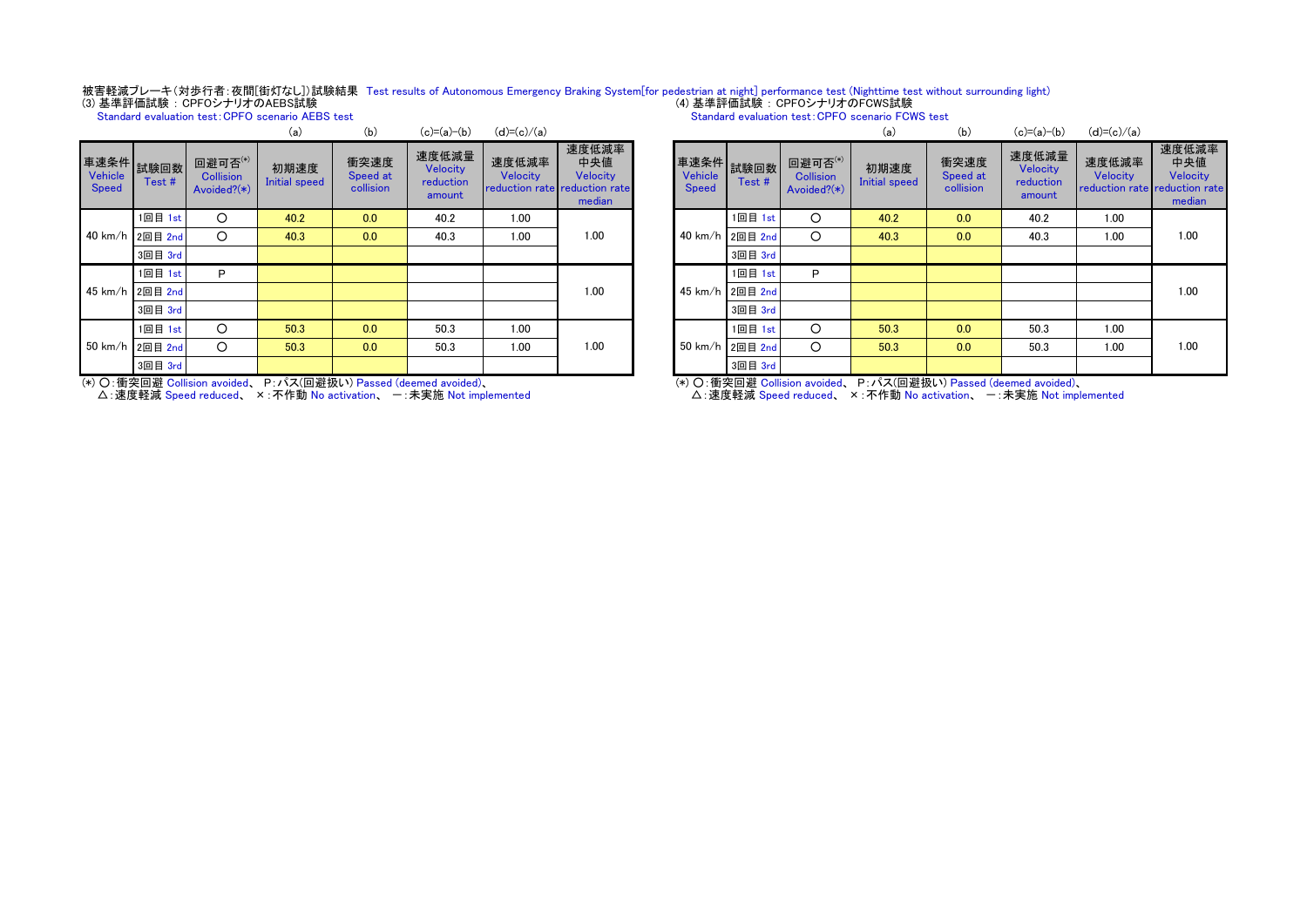# 被害軽減ブレーキ(対歩行者:夜間[街灯なし])試験結果 Test results of Autonomous Emergency Braking System[for pedestrian at night] performance test (Nighttime test without surrounding light)<br>(3) 基準評価試験 : CPFOシナリオのAEBS試験

Standard evaluation test:CPFO scenario AEBS test

| Standard evaluation test: CPFO scenario FCWS test |
|---------------------------------------------------|
|---------------------------------------------------|

|                                        |                 |                                            | (a)                          | (b)                           | $(c)=(a)-(b)$                            | $(d)=(c)/(a)$     |                                                                     |                                      |                 |                                            | (a)                          | (b)                           | $(c)=(a)-(b)$                            | $(d)=(c)/(a)$                                 |                             |
|----------------------------------------|-----------------|--------------------------------------------|------------------------------|-------------------------------|------------------------------------------|-------------------|---------------------------------------------------------------------|--------------------------------------|-----------------|--------------------------------------------|------------------------------|-------------------------------|------------------------------------------|-----------------------------------------------|-----------------------------|
| ■連条件 試験回数 プ<br>Vehicle<br><b>Speed</b> | Test#           | 回避可否(*)<br><b>Collision</b><br>Avoided?(*) | 初期速度<br><b>Initial speed</b> | 衝突速度<br>Speed at<br>collision | 速度低減量<br>Velocity<br>reduction<br>amount | 速度低減率<br>Velocity | 速度低減率<br>中央値<br>Velocity<br>reduction rate reduction rate<br>median | 車速条件 試験回数<br>Vehicle<br><b>Speed</b> | Test #          | 回避可否(*)<br><b>Collision</b><br>Avoided?(*) | 初期速度<br><b>Initial speed</b> | 衝突速度<br>Speed at<br>collision | 速度低減量<br>Velocity<br>reduction<br>amount | 速度低減率<br>Velocity<br>reduction rate reduction | 速度低<br>中央<br>Veloc<br>media |
|                                        | 1回目 1st         | $\circ$                                    | 40.2                         | 0.0                           | 40.2                                     | 1.00              |                                                                     |                                      | 1回目 1st         | $\circ$                                    | 40.2                         | 0.0                           | 40.2                                     | 1.00                                          |                             |
|                                        | 40 km/h 2回目 2nd | $\circ$                                    | 40.3                         | 0.0                           | 40.3                                     | 1.00              | 1.00                                                                |                                      | 40 km/h 2回目 2nd | $\circ$                                    | 40.3                         | 0.0                           | 40.3                                     | 1.00                                          | 1.00                        |
|                                        | 3回目 3rd         |                                            |                              |                               |                                          |                   |                                                                     |                                      | 3回目 3rd         |                                            |                              |                               |                                          |                                               |                             |
|                                        | 1回目 1st         | P                                          |                              |                               |                                          |                   |                                                                     |                                      | 1回目 1st         | P                                          |                              |                               |                                          |                                               |                             |
|                                        | 45 km/h 2回目 2nd |                                            |                              |                               |                                          |                   | 1.00                                                                |                                      | 45 km/h 2回目 2nd |                                            |                              |                               |                                          |                                               | 1.00                        |
|                                        | 3回目 3rd         |                                            |                              |                               |                                          |                   |                                                                     |                                      | 3回目 3rd         |                                            |                              |                               |                                          |                                               |                             |
|                                        | 1回目 1st         | O                                          | 50.3                         | 0.0                           | 50.3                                     | 1.00              |                                                                     |                                      | 1回目 1st         | $\circ$                                    | 50.3                         | 0.0                           | 50.3                                     | 1.00                                          |                             |
|                                        | 50 km/h 2回目 2nd | $\Omega$                                   | 50.3                         | 0.0                           | 50.3                                     | 1.00              | 1.00                                                                |                                      | 50 km/h 2回目 2nd | $\Omega$                                   | 50.3                         | 0.0                           | 50.3                                     | 1.00                                          | 1.00                        |
|                                        | 3回目 3rd         |                                            |                              |                               |                                          |                   |                                                                     |                                      | 3回目 3rd         |                                            |                              |                               |                                          |                                               |                             |

速度低減率 中央値 Velocity reduction rate

(\*) ○:衝突回避 Collision avoided、 P:パス(回避扱い) Passed (deemed avoided)、

△:速度軽減 Speed reduced、 ×:不作動 No activation、 一:未実施 Not implemented

(\*) ○:衝突回避 Collision avoided、 P:パス(回避扱い) Passed (deemed avoided)、

△:速度軽減 Speed reduced、 ×:不作動 No activation、 一:未実施 Not implemented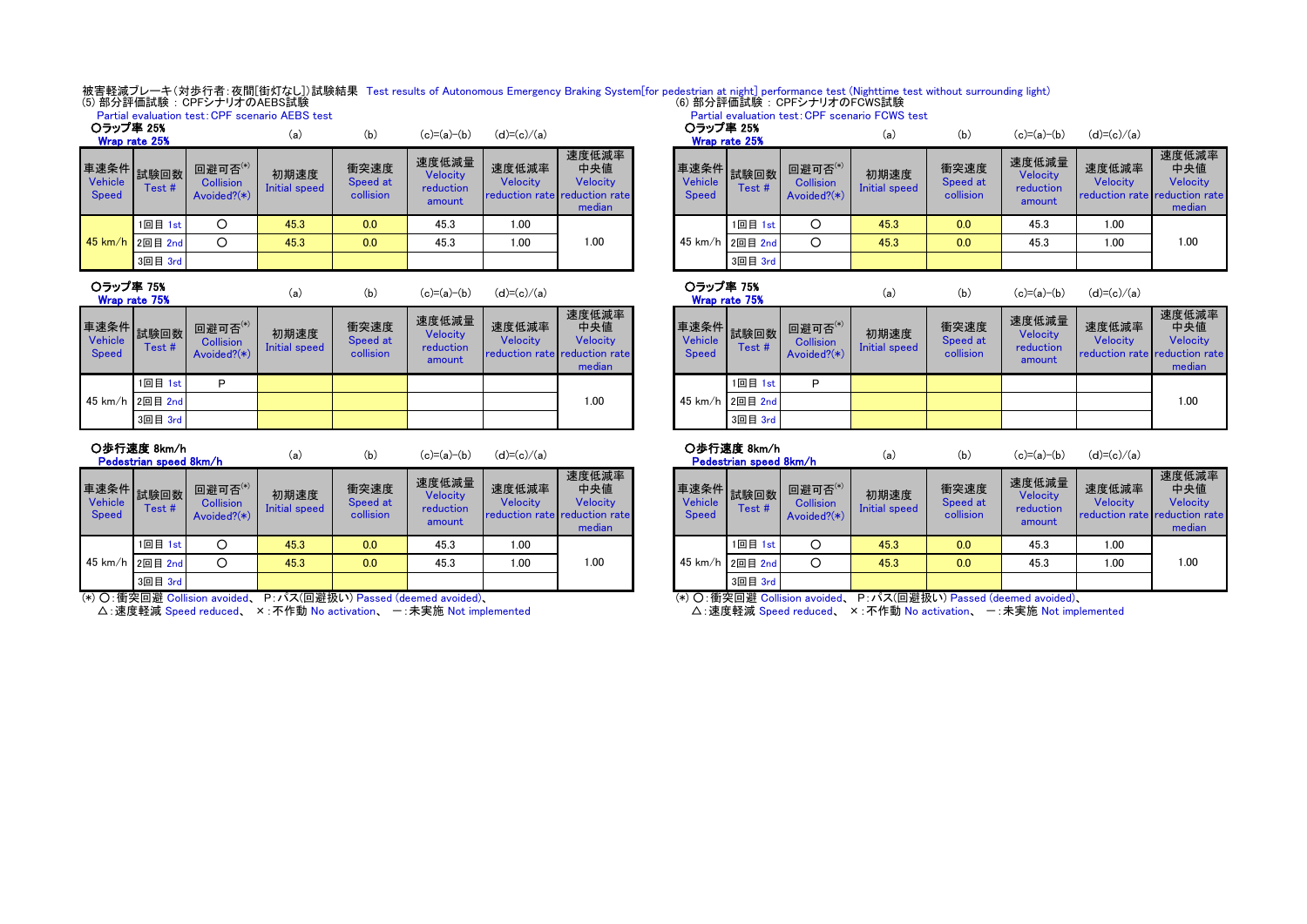被害軽減ブレーキ(対歩行者:夜間[街灯なし])試験結果 Test results of Autonomous Emergency Braking System[for pedestrian at night] performance test (Nighttime test without surrounding light)<br>(5) 部分評価試験:CPFシナリオのAEBS試験 Partial evaluation test:CPF scenario FCWS test

|                            |                               |                                                     | Partial evaluation test: CPF scenario AEBS test |                               |                                          |                   |                                                                     |                                      |               |                                               | Partial evaluation test: CPF scenario FCWS test |                               |                                          |                                               |                             |
|----------------------------|-------------------------------|-----------------------------------------------------|-------------------------------------------------|-------------------------------|------------------------------------------|-------------------|---------------------------------------------------------------------|--------------------------------------|---------------|-----------------------------------------------|-------------------------------------------------|-------------------------------|------------------------------------------|-----------------------------------------------|-----------------------------|
| ○ラップ率 25%<br>Wrap rate 25% |                               |                                                     | (a)                                             | (b)                           | $(c)=(a)-(b)$                            | $(d)=(c)/(a)$     |                                                                     | ○ラップ率 25%                            | Wrap rate 25% |                                               | (a)                                             | (b)                           | $(c)=(a)-(b)$                            | $(d)=(c)/(a)$                                 |                             |
| Vehicle<br>Speed           | <b>重速条件 試験回数 ■■</b><br>Test # | 回避可否 $^{(*)}$<br><b>Collision</b><br>Avoided? $(*)$ | 初期速度<br>Initial speed                           | 衝突速度<br>Speed at<br>collision | 速度低減量<br>Velocity<br>reduction<br>amount | 速度低減率<br>Velocity | 速度低減率<br>中央値<br>Velocity<br>reduction rate reduction rate<br>median | 車速条件 試験回数<br>Vehicle<br><b>Speed</b> | Test#         | 回避可否(*)<br><b>Collision</b><br>Avoided? $(*)$ | 初期速度<br>Initial speed                           | 衝突速度<br>Speed at<br>collision | 速度低減量<br>Velocity<br>reduction<br>amount | 速度低減率<br>Velocity<br>reduction rate reduction | 速度低<br>中央<br>Veloc<br>media |
|                            | 1回目 1st                       |                                                     | 45.3                                            | 0.0                           | 45.3                                     | 1.00              |                                                                     |                                      | 1回目 1st       |                                               | 45.3                                            | 0.0                           | 45.3                                     | 1.00                                          |                             |
|                            | 45 km/h 2回目 2nd               |                                                     | 45.3                                            | 0.0                           | 45.3                                     | 1.00              | 1.00                                                                | 45 km/h 2回目 2nd                      |               |                                               | 45.3                                            | 0.0                           | 45.3                                     | 1.00                                          | 1.00                        |
|                            | 3回目 3rd                       |                                                     |                                                 |                               |                                          |                   |                                                                     |                                      | 3回目 3rd       |                                               |                                                 |                               |                                          |                                               |                             |
|                            |                               |                                                     |                                                 |                               |                                          |                   |                                                                     |                                      |               |                                               |                                                 |                               |                                          |                                               |                             |

| 〇ラップ率 75% |  |  |
|-----------|--|--|
|           |  |  |

| Wrap rate 75%                   |               |                                               | (a)                   | (b.                           | (c)=(a)−(b)                              | (d <i>)</i> =(c <i>)/</i> (a <i>)</i> |                                                                     |                                        | Wrap rate 75% |                         |
|---------------------------------|---------------|-----------------------------------------------|-----------------------|-------------------------------|------------------------------------------|---------------------------------------|---------------------------------------------------------------------|----------------------------------------|---------------|-------------------------|
| 車速条件<br>Vehicle<br><b>Speed</b> | 試験回数<br>Test# | 回避可否(*)<br><b>Collision</b><br>Avoided? $(*)$ | 初期速度<br>Initial speed | 衝突速度<br>Speed at<br>collision | 速度低減量<br>Velocity<br>reduction<br>amount | 速度低減率<br>Velocity                     | 速度低減率<br>中央値<br>Velocity<br>reduction rate reduction rate<br>median | 車速条件<br><b>Vehicle</b><br><b>Speed</b> | 試験回数<br>Test# | 回避日<br>Colli:<br>Avoide |
|                                 | 1回目 1st       | P                                             |                       |                               |                                          |                                       |                                                                     |                                        | 1回目 1st       | Р                       |
| 45 km/h                         | 2回目 2nd       |                                               |                       |                               |                                          |                                       | 1.00                                                                | $45 \text{ km/h}$                      | 2回目 2nd       |                         |
|                                 | 3回目 3rd       |                                               |                       |                               |                                          |                                       |                                                                     |                                        | 3回目 3rd       |                         |

| ○歩行速度 8km/h |  |
|-------------|--|
|-------------|--|

|                         | Pedestrian speed 8km/h |                                               | \a                    | ID)                           | $U - \alpha$                                    | $(u) = (u) / (a)$                                         |                                    |                         | Pedestrian speed 8km/h |                                            | \a                    | ID)                           | $U - a$                                  | $(u) = (u) / (a)$                             |                             |
|-------------------------|------------------------|-----------------------------------------------|-----------------------|-------------------------------|-------------------------------------------------|-----------------------------------------------------------|------------------------------------|-------------------------|------------------------|--------------------------------------------|-----------------------|-------------------------------|------------------------------------------|-----------------------------------------------|-----------------------------|
| Vehicle<br><b>Speed</b> | 車速条件 試験回数<br>Test #    | 回避可否(*)<br><b>Collision</b><br>Avoided? $(*)$ | 初期速度<br>Initial speed | 衝突速度<br>Speed at<br>collision | 速度低減量<br><b>Velocity</b><br>reduction<br>amount | 速度低減率<br>Velocity<br><b>reduction rate reduction rate</b> | 速度低減率<br>中央値<br>Velocity<br>median | Vehicle<br><b>Speed</b> | Test #                 | 回避可否(*)<br><b>Collision</b><br>Avoided?(*) | 初期速度<br>Initial speed | 衝突速度<br>Speed at<br>collision | 速度低減量<br>Velocity<br>reduction<br>amount | 速度低減率<br>Velocity<br>reduction rate reduction | 速度低<br>中央<br>Veloc<br>media |
|                         | 1回目 1st                |                                               | 45.3                  | 0.0                           | 45.3                                            | 1.00                                                      |                                    |                         | 1回目 1st                |                                            | 45.3                  | 0.0                           | 45.3                                     | 1.00                                          |                             |
|                         | 45 km/h 2回目 2nd        |                                               | 45.3                  | 0.0                           | 45.3                                            | 1.00                                                      | 1.00                               |                         | 45 km/h 2回目 2nd        | Ω                                          | 45.3                  | 0.0                           | 45.3                                     | 1.00                                          | 1.00                        |
|                         | 3回目 3rd                |                                               |                       |                               |                                                 |                                                           |                                    |                         | 3回目 3rd                |                                            |                       |                               |                                          |                                               |                             |

(\*) ○:衝突回避 Collision avoided、 P:パス(回避扱い) Passed (deemed avoided)、

△: 速度軽減 Speed reduced、 ×: 不作動 No activation、 一: 未実施 Not implemented

| (a)                   | (b)                           | $(c)=(a)-(b)$                            | $(d)=(c)/(a)$                                             |                                           | ○ラップ率 25%                      | Wrap rate 25%        |                                            | (a)                   | (b)                           | $(c)=(a)-(b)$                            | $(d)=(c)/(a)$                                      |                                    |
|-----------------------|-------------------------------|------------------------------------------|-----------------------------------------------------------|-------------------------------------------|--------------------------------|----------------------|--------------------------------------------|-----------------------|-------------------------------|------------------------------------------|----------------------------------------------------|------------------------------------|
| <b>用速度</b><br>I speed | 衝突速度<br>Speed at<br>collision | 速度低減量<br>Velocity<br>reduction<br>amount | 速度低減率<br><b>Velocity</b><br>reduction rate reduction rate | 速度低減率<br>中央値<br><b>Velocity</b><br>median | <b>Vehicle</b><br><b>Speed</b> | 車速条件 試験回数 一<br>Test# | 回避可否(*)<br><b>Collision</b><br>Avoided?(*) | 初期速度<br>Initial speed | 衝突速度<br>Speed at<br>collision | 速度低減量<br>Velocity<br>reduction<br>amount | 速度低減率<br>Velocity<br>reduction rate reduction rate | 速度低減率<br>中央値<br>Velocity<br>median |
| 5.3                   | 0.0                           | 45.3                                     | 1.00                                                      |                                           |                                | 1回目 1st              | О                                          | 45.3                  | 0.0                           | 45.3                                     | 1.00                                               |                                    |
| 5.3                   | 0.0                           | 45.3                                     | 1.00                                                      | 00.1                                      |                                | 45 km/h 2回目 2nd      | O                                          | 45.3                  | 0.0                           | 45.3                                     | 1.00                                               | 1.00                               |
|                       |                               |                                          |                                                           |                                           |                                | 3回目 3rd              |                                            |                       |                               |                                          |                                                    |                                    |
|                       |                               |                                          |                                                           |                                           |                                |                      |                                            |                       |                               |                                          |                                                    |                                    |

| (a)                   | (b)                           | $(c)=(a)-(b)$                            | $(d)=(c)/(a)$     |                                                                     | ○ラップ率 75%                      | Wrap rate 75%           |                                               | (a)                   | (b)                           | $(c)=(a)-(b)$                            | $(d)=(c)/(a)$                                      |                                    |
|-----------------------|-------------------------------|------------------------------------------|-------------------|---------------------------------------------------------------------|--------------------------------|-------------------------|-----------------------------------------------|-----------------------|-------------------------------|------------------------------------------|----------------------------------------------------|------------------------------------|
| <b>用速度</b><br>I speed | 衝突速度<br>Speed at<br>collision | 速度低減量<br>Velocity<br>reduction<br>amount | 速度低減率<br>Velocity | 速度低減率<br>中央値<br>Velocity<br>reduction rate reduction rate<br>median | <b>Vehicle</b><br><b>Speed</b> | ▌車速条件▌試験回数┃ 罒<br>Test # | 回避可否(*)<br><b>Collision</b><br>Avoided? $(*)$ | 初期速度<br>Initial speed | 衝突速度<br>Speed at<br>collision | 速度低減量<br>Velocity<br>reduction<br>amount | 速度低減率<br>Velocity<br>reduction rate reduction rate | 速度低減率<br>中央値<br>Velocity<br>median |
|                       |                               |                                          |                   |                                                                     |                                | 1回目 1st                 | D                                             |                       |                               |                                          |                                                    |                                    |
|                       |                               |                                          |                   | .00                                                                 |                                | 45 km/h 2回目 2nd         |                                               |                       |                               |                                          |                                                    | 1.00                               |
|                       |                               |                                          |                   |                                                                     |                                | 3回目 3rd                 |                                               |                       |                               |                                          |                                                    |                                    |

○歩行速度 8km/h

Pedestrian speed 8km/h

(a) (b) (c)=(a)-(b) (d)=(c)/(a)  $\overline{Q}$  (b) (b) (c)=(a)-(b) (d)=(c)/(a)

|                                 | <u>. Subsanan opocu oning in</u> |                                               |                       |                               |                                                 |                                                    |                                    |
|---------------------------------|----------------------------------|-----------------------------------------------|-----------------------|-------------------------------|-------------------------------------------------|----------------------------------------------------|------------------------------------|
| 車速条件<br>Vehicle<br><b>Speed</b> | 試験回数<br>Test#                    | 回避可否(*)<br><b>Collision</b><br>Avoided? $(*)$ | 初期速度<br>Initial speed | 衝突速度<br>Speed at<br>collision | 速度低減量<br><b>Velocity</b><br>reduction<br>amount | 速度低減率<br>Velocity<br>reduction rate reduction rate | 速度低減率<br>中央値<br>Velocity<br>median |
|                                 | 1回目 1st                          |                                               | 45.3                  | 0.0                           | 45.3                                            | 1.00                                               |                                    |
|                                 | 45 km/h 2回目 2nd                  |                                               | 45.3                  | 0.0                           | 45.3                                            | 1.00                                               | 1.00                               |
|                                 | 3回目 3rd                          |                                               |                       |                               |                                                 |                                                    |                                    |

(\*) ○:衝突回避 Collision avoided、 P:パス(回避扱い) Passed (deemed avoided)、

△:速度軽減 Speed reduced、 ×:不作動 No activation、 -:未実施 Not implemented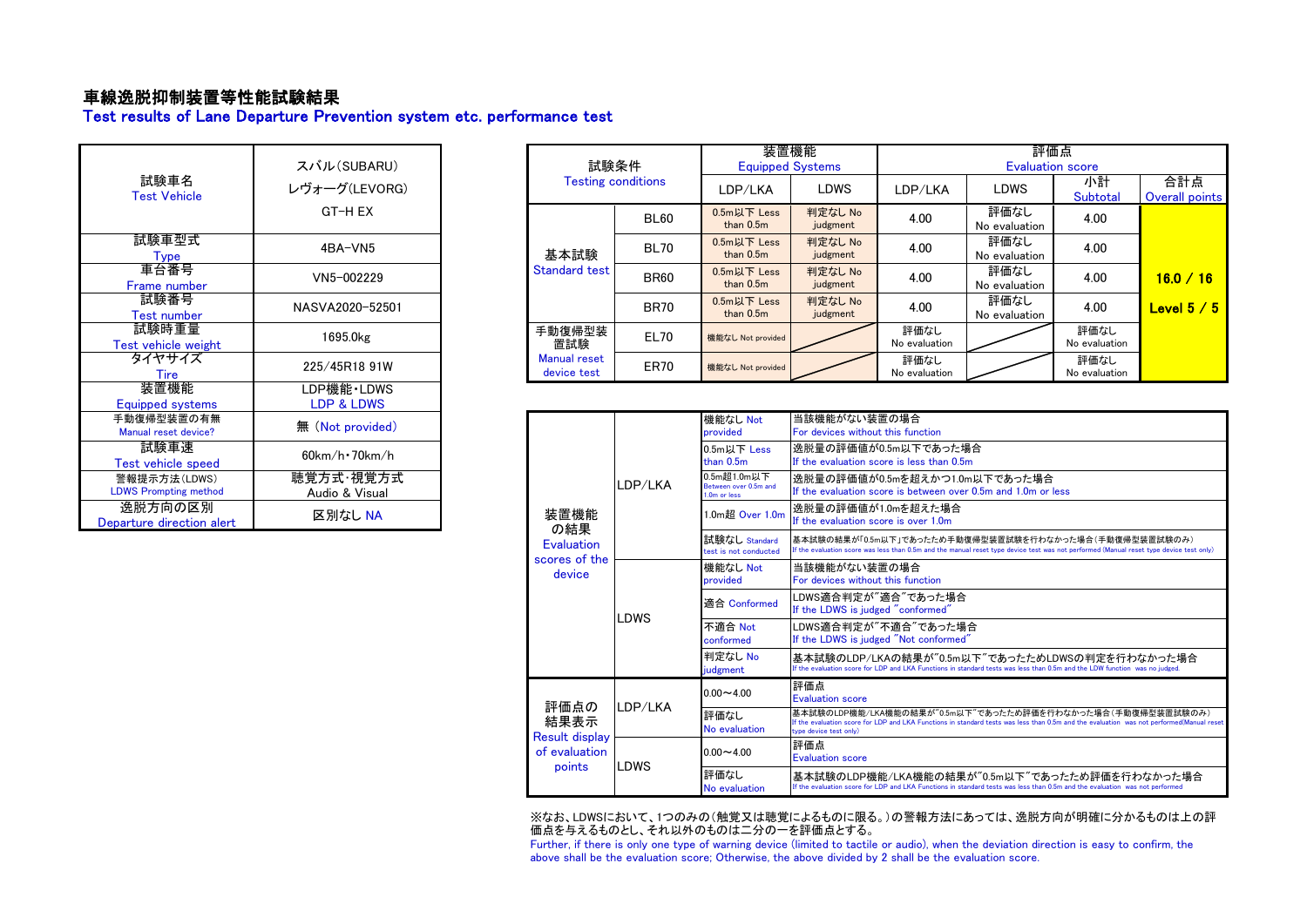# 車線逸脱抑制装置等性能試験結果

Test results of Lane Departure Prevention system etc. performance test

| 試験車名<br><b>Test Vehicle</b>                  | スバル(SUBARU)<br>レヴォーグ(LEVORG)<br>GT-H FX |
|----------------------------------------------|-----------------------------------------|
| 試験車型式<br>Type                                | 4BA-VN5                                 |
| 車台番号<br>Frame number                         | VN5-002229                              |
| 試験番号<br><b>Test number</b>                   | NASVA2020-52501                         |
| 試験時重量<br>Test vehicle weight                 | 1695.0kg                                |
| タイヤサイズ<br><b>Tire</b>                        | 225/45R18 91W                           |
| 装置機能<br>Equipped systems                     | LDP機能・LDWS<br>LDP & LDWS                |
| 手動復帰型装置の有無<br>Manual reset device?           | 無 (Not provided)                        |
| 試験車速<br><b>Test vehicle speed</b>            | $60$ km/h $\cdot$ 70km/h                |
| 警報提示方法(LDWS)<br><b>LDWS Prompting method</b> | 聴覚方式·視覚方式<br>Audio & Visual             |
| 逸脱方向の区別<br>Departure direction alert         | 区別なし NA                                 |

|                 |                                    |                           |                            | 装置機能                | 評価点                     |                       |                       |                       |  |  |
|-----------------|------------------------------------|---------------------------|----------------------------|---------------------|-------------------------|-----------------------|-----------------------|-----------------------|--|--|
| スバル(SUBARU)     |                                    | 試験条件                      | <b>Equipped Systems</b>    |                     | <b>Evaluation score</b> |                       |                       |                       |  |  |
| レヴォーグ(LEVORG)   |                                    | <b>Testing conditions</b> | LDP/LKA                    | <b>LDWS</b>         | LDP/LKA                 | <b>LDWS</b>           | 小計<br>Subtotal        | 合計点<br>Overall points |  |  |
| GT-H EX         |                                    | BL60                      | 0.5m以下 Less<br>than $0.5m$ | 判定なし No<br>judgment | 4.00                    | 評価なし<br>No evaluation | 4.00                  |                       |  |  |
| 4BA-VN5         | 基本試験                               | <b>BL70</b>               | 0.5m以下 Less<br>than $0.5m$ | 判定なし No<br>judgment | 4.00                    | 評価なし<br>No evaluation | 4.00                  |                       |  |  |
| VN5-002229      | <b>Standard test</b>               | <b>BR60</b>               | 0.5m以下 Less<br>than $0.5m$ | 判定なし No<br>judgment | 4.00                    | 評価なし<br>No evaluation | 4.00                  | 16.0 / 16             |  |  |
| NASVA2020-52501 |                                    | <b>BR70</b>               | 0.5m以下 Less<br>than $0.5m$ | 判定なし No<br>judgment | 4.00                    | 評価なし<br>No evaluation | 4.00                  | Level $5/5$           |  |  |
| 1695.0kg        | 手動復帰型装<br>置試験                      | EL70                      | 機能なし Not provided          |                     | 評価なし<br>No evaluation   |                       | 評価なし<br>No evaluation |                       |  |  |
| 225/45R18 91W   | <b>Manual reset</b><br>device test | ER70                      | 機能なし Not provided          |                     | 評価なし<br>No evaluation   |                       | 評価なし<br>No evaluation |                       |  |  |

| 無 (Not provided)                        |                         |                                        |         | 機能なし Not<br>provided                                 | 当該機能がない装置の場合<br>For devices without this function                                                                                                                                                                                |
|-----------------------------------------|-------------------------|----------------------------------------|---------|------------------------------------------------------|----------------------------------------------------------------------------------------------------------------------------------------------------------------------------------------------------------------------------------|
| $60$ km/h $\cdot$ 70km/h                |                         | 装置機能<br>の結果<br>Evaluation              | LDP/LKA | 0.5m以下 Less<br>than 0.5m                             | 逸脱暈の評価値が0.5m以下であった場合<br>If the evaluation score is less than 0.5m                                                                                                                                                                |
| <sub>恵</sub> 覚方式・視覚方式<br>Audio & Visual |                         |                                        |         | 0.5m超1.0m以下<br>Between over 0.5m and<br>1.0m or less | 逸脱量の評価値が0.5mを超えかつ1.0m以下であった場合<br>If the evaluation score is between over 0.5m and 1.0m or less                                                                                                                                   |
| 区別なし NA                                 | scores of the<br>device |                                        |         | 1.0m超 Over 1.0m                                      | 逸脱量の評価値が1.0mを超えた場合<br>If the evaluation score is over 1.0m                                                                                                                                                                       |
|                                         |                         |                                        |         | 試験なし Standard<br>test is not conducted               | 基本試験の結果が「0.5m以下」であったため手動復帰型装置試験を行わなかった場合(手動復帰型装置試験のみ)<br>If the evaluation score was less than 0.5m and the manual reset type device test was not performed (Manual reset type device test only)                                 |
|                                         |                         |                                        |         | 機能なし Not<br>provided                                 | 当該機能がない装置の場合<br>For devices without this function                                                                                                                                                                                |
|                                         |                         |                                        | LDWS    | 滴合 Conformed                                         | LDWS適合判定が"適合"であった場合<br>If the LDWS is judged "conformed"                                                                                                                                                                         |
|                                         |                         |                                        |         | 不適合 Not<br>conformed                                 | LDWS適合判定が"不適合"であった場合<br>If the LDWS is judged "Not conformed"                                                                                                                                                                    |
|                                         |                         |                                        |         | 判定なし No<br>judgment                                  | 基本試験のLDP/LKAの結果が"0.5m以下"であったためLDWSの判定を行わなかった場合<br>If the evaluation score for LDP and LKA Functions in standard tests was less than 0.5m and the LDW function was no judged.                                                     |
|                                         |                         |                                        |         | $0.00 - 4.00$                                        | 評価点<br><b>Evaluation score</b>                                                                                                                                                                                                   |
|                                         |                         | 評価点の<br>結果表示                           | LDP/LKA | 評価なし<br>No evaluation                                | 基本試験のLDP機能/LKA機能の結果が"0.5m以下"であったため評価を行わなかった場合(手動復帰型装置試験のみ)<br>If the evaluation score for LDP and LKA Functions in standard tests was less than 0.5m and the evaluation was not performed(Manual reset<br>type device test only) |
|                                         |                         | <b>Result display</b><br>of evaluation |         | $0.00 - 4.00$                                        | 評価点<br><b>Evaluation score</b>                                                                                                                                                                                                   |
|                                         |                         | points                                 | LDWS    | 評価なし<br>No evaluation                                | 基本試験のLDP機能/LKA機能の結果が"0.5m以下"であったため評価を行わなかった場合<br>If the evaluation score for LDP and LKA Functions in standard tests was less than 0.5m and the evaluation was not performed                                                     |

※なお、LDWSにおいて、1つのみの(触覚又は聴覚によるものに限る。)の警報方法にあっては、逸脱方向が明確に分かるものは上の評 価点を与えるものとし、それ以外のものは二分の一を評価点とする。

Further, if there is only one type of warning device (limited to tactile or audio), when the deviation direction is easy to confirm, the above shall be the evaluation score; Otherwise, the above divided by 2 shall be the evaluation score.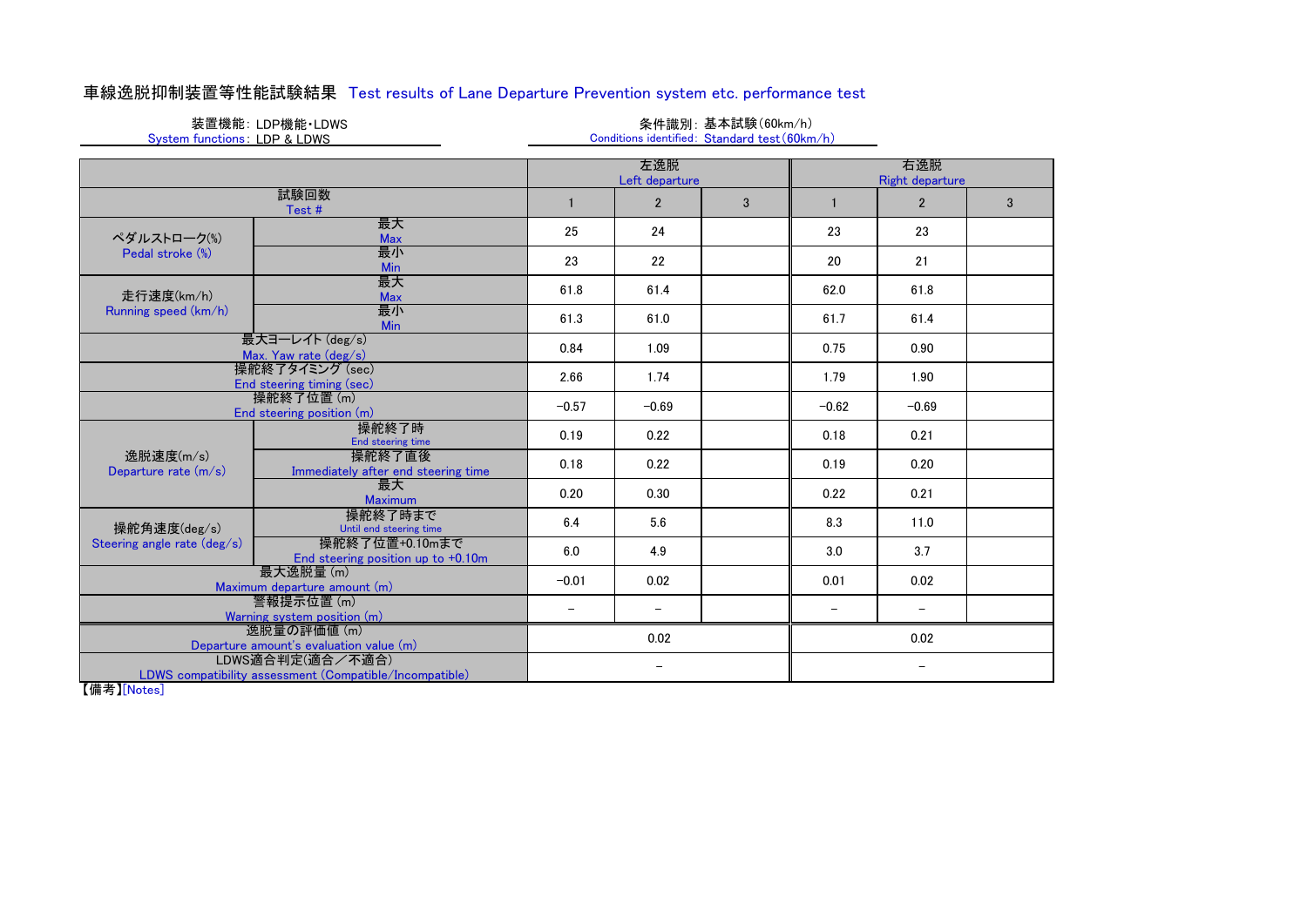# 車線逸脱抑制装置等性能試験結果 Test results of Lane Departure Prevention system etc. performance test

|                              | 装置機能: LDP機能・LDWS |
|------------------------------|------------------|
| System functions: LDP & LDWS |                  |

### 条件識別:基本試験(60km/h) Conditions identified: Standard test (60km/h)

|                                                                             | 左逸脱<br>Left departure                                |                          |                          |   |         | 右逸脱<br><b>Right departure</b> |              |
|-----------------------------------------------------------------------------|------------------------------------------------------|--------------------------|--------------------------|---|---------|-------------------------------|--------------|
|                                                                             | 試験回数<br>Test#                                        |                          | $\overline{2}$           | 3 |         | $\overline{2}$                | $\mathbf{3}$ |
| ペダルストローク(%)                                                                 | 最大<br><b>Max</b>                                     | 25                       | 24                       |   | 23      | 23                            |              |
| Pedal stroke (%)                                                            | 最小<br>Min                                            | 23                       | 22                       |   | 20      | 21                            |              |
| 走行速度(km/h)                                                                  | 最大<br><b>Max</b>                                     | 61.8                     | 61.4                     |   | 62.0    | 61.8                          |              |
| Running speed (km/h)                                                        | 最小<br>Min                                            | 61.3                     | 61.0                     |   | 61.7    | 61.4                          |              |
|                                                                             | 最大ヨーレイト (deg/s)<br>Max. Yaw rate (deg/s)             | 0.84                     | 1.09                     |   | 0.75    | 0.90                          |              |
| 操舵終了タイミング (sec)<br>End steering timing (sec)                                |                                                      | 2.66                     | 1.74                     |   | 1.79    | 1.90                          |              |
|                                                                             | 操舵終了位置 (m)<br>End steering position (m)              | $-0.57$                  | $-0.69$                  |   | $-0.62$ | $-0.69$                       |              |
|                                                                             | 操舵終了時<br>End steering time                           | 0.19                     | 0.22                     |   | 0.18    | 0.21                          |              |
| 逸脱速度(m/s)<br>Departure rate $(m/s)$                                         | 操舵終了直後<br>Immediately after end steering time        | 0.18                     | 0.22                     |   | 0.19    | 0.20                          |              |
|                                                                             | 最大<br>Maximum                                        | 0.20                     | 0.30                     |   | 0.22    | 0.21                          |              |
| 操舵角速度(deg/s)                                                                | 操舵終了時まで<br>Until end steering time                   | 6.4                      | 5.6                      |   | 8.3     | 11.0                          |              |
| Steering angle rate (deg/s)                                                 | 操舵終了位置+0.10mまで<br>End steering position up to +0.10m | 6.0                      | 4.9                      |   | 3.0     | 3.7                           |              |
| 最大逸脱量(m)<br>Maximum departure amount (m)                                    |                                                      | $-0.01$                  | 0.02                     |   | 0.01    | 0.02                          |              |
| 警報提示位置(m)<br>Warning system position (m)                                    |                                                      | $\overline{\phantom{0}}$ | $\overline{\phantom{0}}$ |   |         | $\overline{\phantom{0}}$      |              |
| 逸脱量の評価値 (m)<br>Departure amount's evaluation value (m)                      |                                                      |                          | 0.02                     |   |         | 0.02                          |              |
| LDWS適合判定(適合/不適合)<br>LDWS compatibility assessment (Compatible/Incompatible) |                                                      |                          | $\overline{\phantom{0}}$ |   |         | $\qquad \qquad -$             |              |

【備考】[Notes]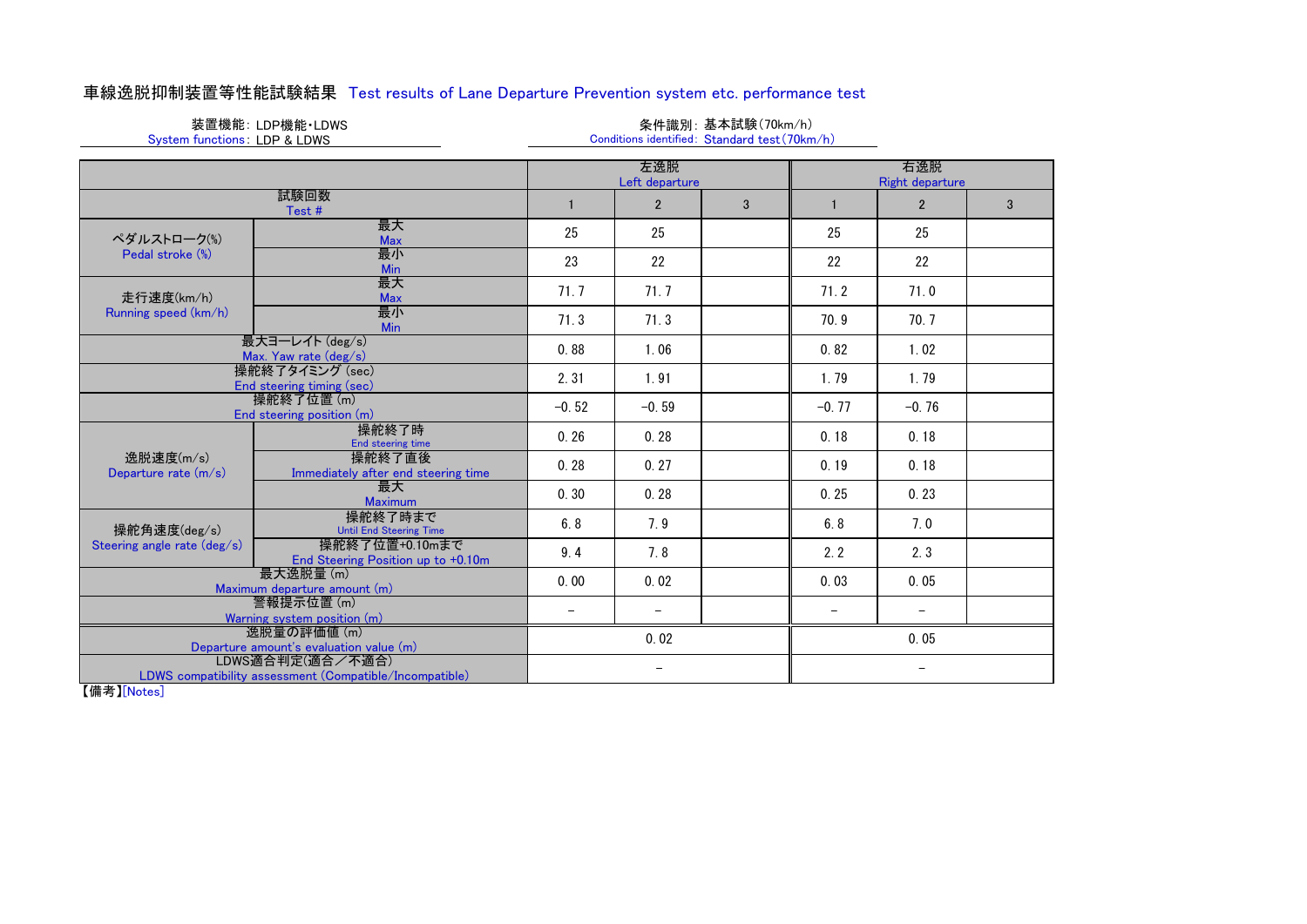| 車線逸脱抑制装置等性能試験結果 Test results of Lane Departure Prevention system etc. performance test |  |  |  |  |
|----------------------------------------------------------------------------------------|--|--|--|--|
|----------------------------------------------------------------------------------------|--|--|--|--|

|                              | 装置機能:LDP機能・LDWS |
|------------------------------|-----------------|
| System functions: LDP & LDWS |                 |

### 条件識別: 基本試験(70km/h) Conditions identified: Standard test(70km/h)

|                                                        | 左逸脱<br>Left departure                                                       |              |                          |   | 右逸脱<br><b>Right departure</b> |                   |   |
|--------------------------------------------------------|-----------------------------------------------------------------------------|--------------|--------------------------|---|-------------------------------|-------------------|---|
| 試験回数<br>Test#                                          |                                                                             | $\mathbf{1}$ | $\overline{2}$           | 3 |                               | $\overline{2}$    | 3 |
| ペダルストローク(%)                                            | 最大<br><b>Max</b>                                                            | 25           | 25                       |   | 25                            | 25                |   |
| Pedal stroke (%)                                       | 最小<br>Min                                                                   | 23           | 22                       |   | 22                            | 22                |   |
| 走行速度(km/h)                                             | 最大<br><b>Max</b>                                                            | 71.7         | 71.7                     |   | 71.2                          | 71.0              |   |
| Running speed (km/h)                                   | 最小<br>Min                                                                   | 71.3         | 71.3                     |   | 70.9                          | 70.7              |   |
|                                                        | 最大ヨーレイト (deg/s)<br>Max. Yaw rate (deg/s)                                    | 0.88         | 1.06                     |   | 0.82                          | 1.02              |   |
|                                                        | 操舵終了タイミング (sec)<br>End steering timing (sec)                                | 2.31         | 1.91                     |   | 1.79                          | 1.79              |   |
|                                                        | 操舵終了位置(m)<br>End steering position (m)                                      | $-0.52$      | $-0.59$                  |   | $-0.77$                       | $-0.76$           |   |
|                                                        | 操舵終了時<br>End steering time                                                  | 0.26         | 0.28                     |   | 0.18                          | 0.18              |   |
| 逸脱速度(m/s)<br>Departure rate (m/s)                      | 操舵終了直後<br>Immediately after end steering time                               | 0.28         | 0.27                     |   | 0.19                          | 0.18              |   |
|                                                        | 最大<br><b>Maximum</b>                                                        | 0.30         | 0.28                     |   | 0.25                          | 0.23              |   |
| 操舵角速度(deg/s)                                           | 操舵終了時まで<br><b>Until End Steering Time</b>                                   | 6.8          | 7.9                      |   | 6.8                           | 7.0               |   |
| Steering angle rate (deg/s)                            | 操舵終了位置+0.10mまで<br>End Steering Position up to +0.10m                        | 9.4          | 7.8                      |   | 2.2                           | 2.3               |   |
| 最大逸脱量(m)<br>Maximum departure amount (m)               |                                                                             | 0.00         | 0.02                     |   | 0.03                          | 0.05              |   |
| 警報提示位置(m)<br>Warning system position (m)               |                                                                             |              | $\overline{\phantom{m}}$ |   | $\overline{\phantom{a}}$      | $\qquad \qquad -$ |   |
| 逸脱量の評価値 (m)<br>Departure amount's evaluation value (m) |                                                                             |              | 0.02                     |   |                               | 0.05              |   |
| $L + + + \sqrt{L}$                                     | LDWS適合判定(適合/不適合)<br>LDWS compatibility assessment (Compatible/Incompatible) |              | $\overline{\phantom{m}}$ |   |                               | $\qquad \qquad -$ |   |

【備考】[Notes]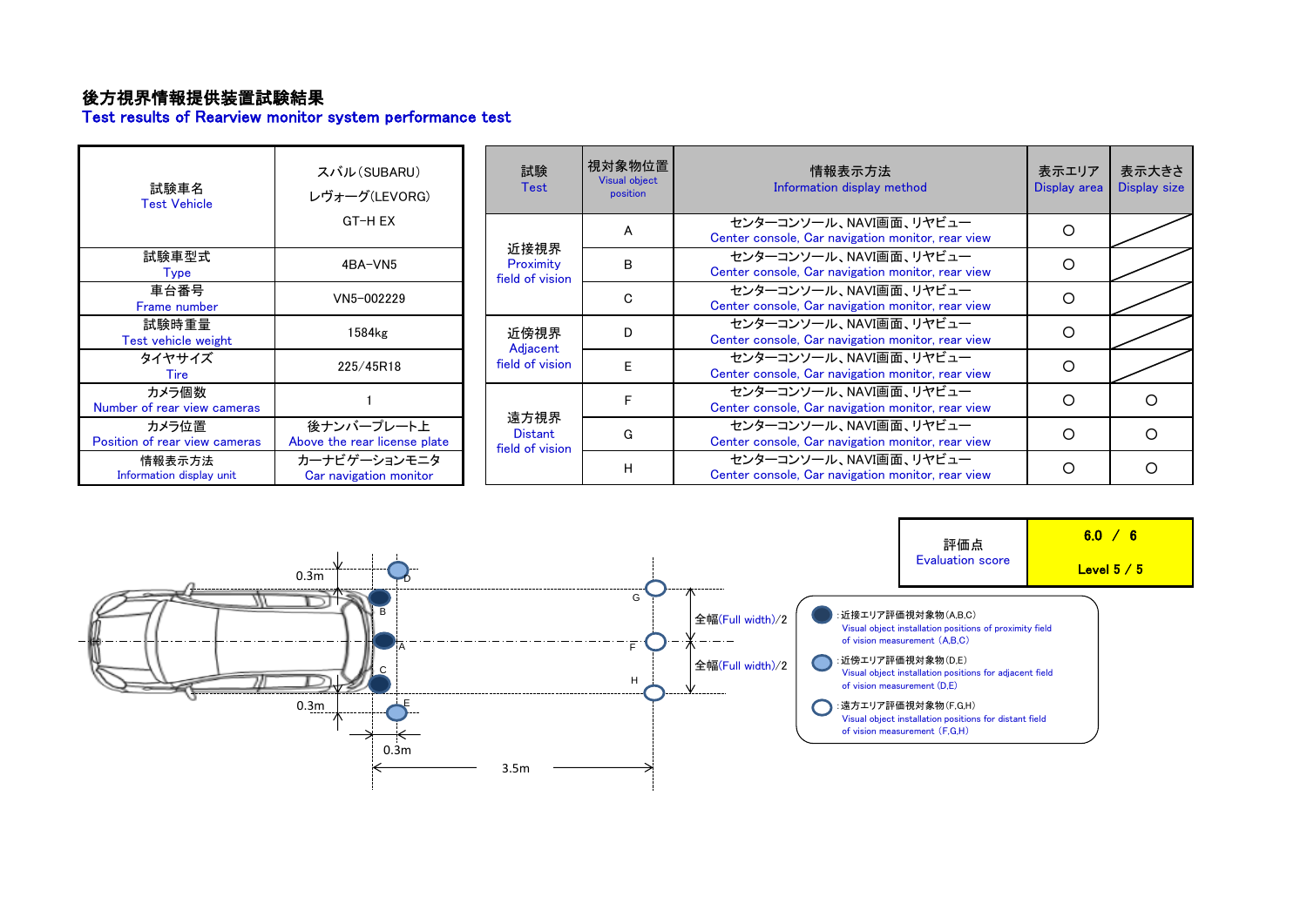# 後方視界情報提供装置試験結果

Test results of Rearview monitor system performance test

| 試験車名<br><b>Test Vehicle</b>            | スバル(SUBARU)<br>レヴォーグ(LEVORG)               | 試験<br><b>Test</b>                         | 視対象物位置<br><b>Visual object</b><br>position | 情報表示方法<br>Information display method                                        | 表示エリア<br>Display area | 表示大きさ<br><b>Display size</b> |
|----------------------------------------|--------------------------------------------|-------------------------------------------|--------------------------------------------|-----------------------------------------------------------------------------|-----------------------|------------------------------|
|                                        | GT-H EX                                    |                                           | A                                          | センターコンソール、NAVI画面、リヤビュー<br>Center console, Car navigation monitor, rear view | Ω                     |                              |
| 試験車型式<br>Type                          | 4BA-VN5                                    | 近接視界<br>Proximity<br>field of vision      | B                                          | センターコンソール、NAVI画面、リヤビュー<br>Center console, Car navigation monitor, rear view | O                     |                              |
| 車台番号<br>Frame number                   | VN5-002229                                 |                                           | C.                                         | センターコンソール、NAVI画面、リヤビュー<br>Center console, Car navigation monitor, rear view | O                     |                              |
| 試験時重量<br>Test vehicle weight           | 1584kg                                     | 近傍視界                                      | D                                          | センターコンソール、NAVI画面、リヤビュー<br>Center console, Car navigation monitor, rear view | Ω                     |                              |
| タイヤサイズ<br>Tire                         | 225/45R18                                  | Adjacent<br>field of vision               | E                                          | センターコンソール、NAVI画面、リヤビュー<br>Center console, Car navigation monitor, rear view | O                     |                              |
| カメラ個数<br>Number of rear view cameras   |                                            |                                           |                                            | センターコンソール、NAVI画面、リヤビュー<br>Center console, Car navigation monitor, rear view | Ω                     | ∩                            |
| カメラ位置<br>Position of rear view cameras | 後ナンバープレート上<br>Above the rear license plate | 遠方視界<br><b>Distant</b><br>field of vision | G                                          | センターコンソール、NAVI画面、リヤビュー<br>Center console, Car navigation monitor, rear view | Ω                     |                              |
| 情報表示方法<br>Information display unit     | カーナビゲーションモニタ<br>Car navigation monitor     |                                           | H                                          | センターコンソール、NAVI画面、リヤビュー<br>Center console, Car navigation monitor, rear view | Ω                     | ∩                            |

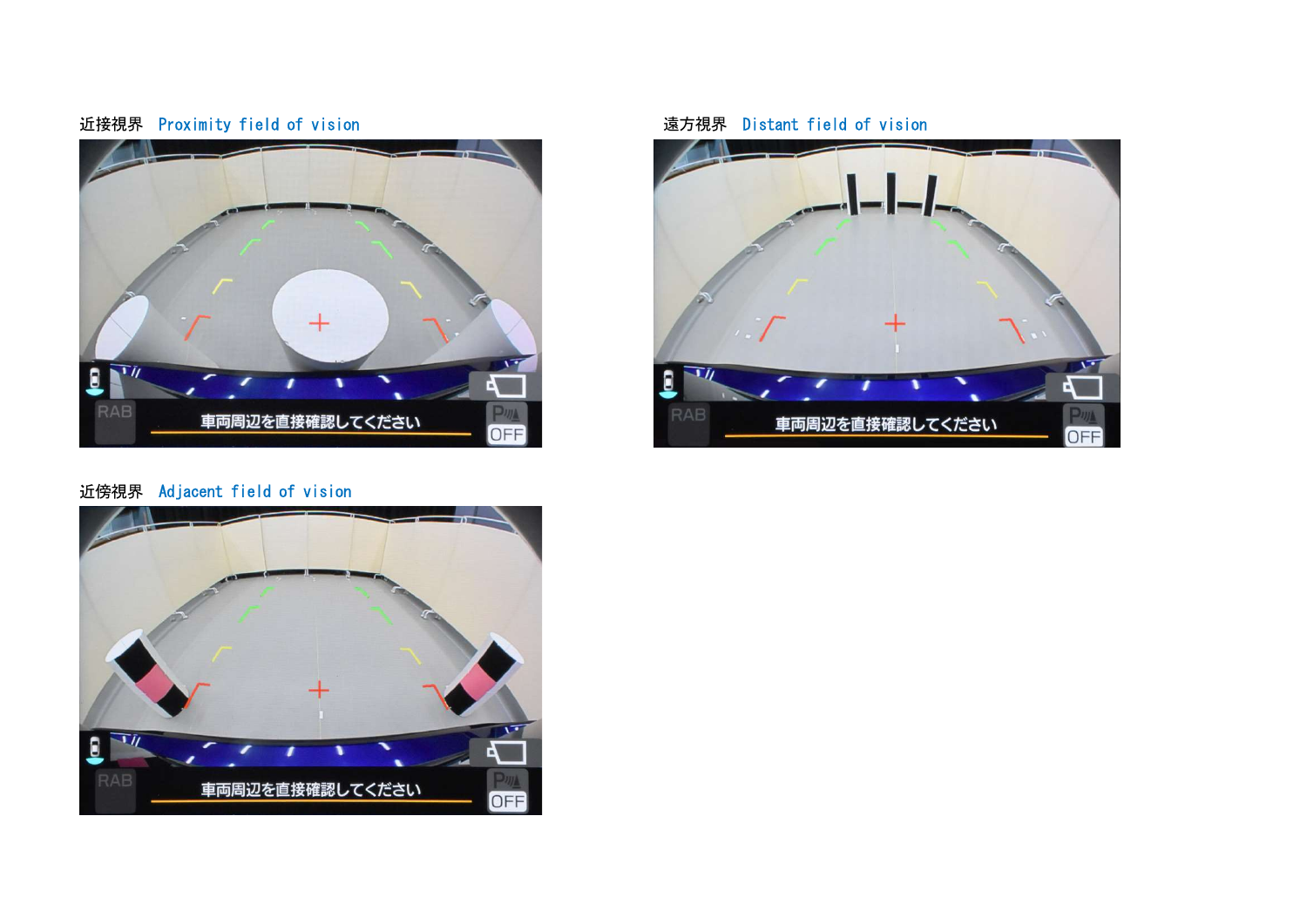



# 近傍視界 Adjacent field of vision



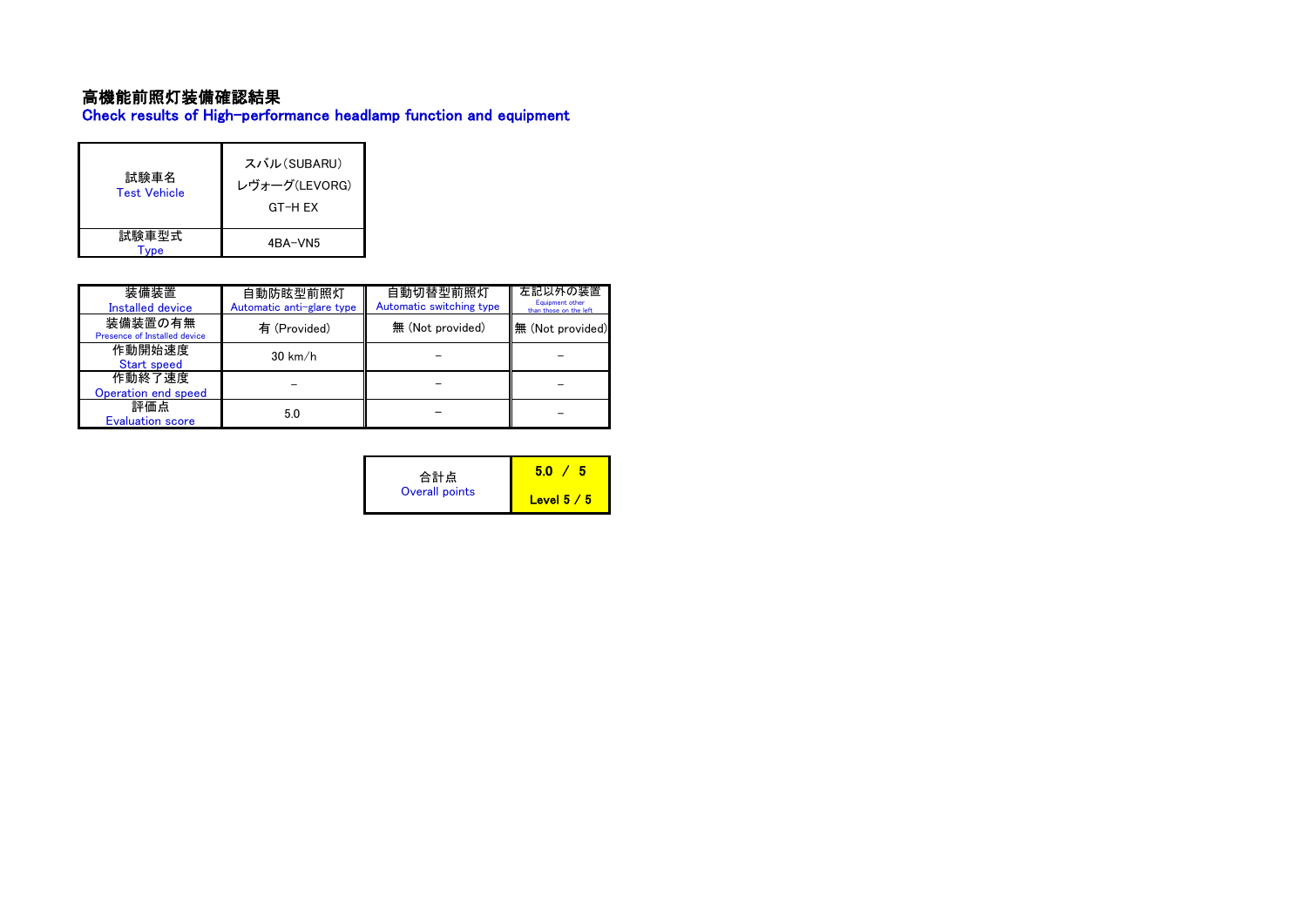# 高機能前照灯装備確認結果

Check results of High-performance headlamp function and equipment

| 試験車名<br><b>Test Vehicle</b> | スバル(SUBARU)<br>レヴォーグ(LEVORG)<br>GT-H FX |
|-----------------------------|-----------------------------------------|
| 試験車型式                       | 4BA-VN5                                 |

| 装備装置<br><b>Installed device</b>         | 自動防眩型前照灯<br>Automatic anti-glare type | 自動切替型前照灯<br>Automatic switching type | 左記以外の装置<br>Equipment other<br>than those on the left |
|-----------------------------------------|---------------------------------------|--------------------------------------|------------------------------------------------------|
| 装備装置の有無<br>Presence of Installed device | 有 (Provided)                          | 無 (Not provided)                     | 無 (Not provided)                                     |
| 作動開始速度<br>Start speed                   | $30 \text{ km/h}$                     |                                      |                                                      |
| 作動終了速度<br>Operation end speed           |                                       |                                      |                                                      |
| 評価点<br><b>Evaluation score</b>          | 5.0                                   |                                      |                                                      |

| 合計点            | 50          |  |
|----------------|-------------|--|
| Overall points | Level $5/5$ |  |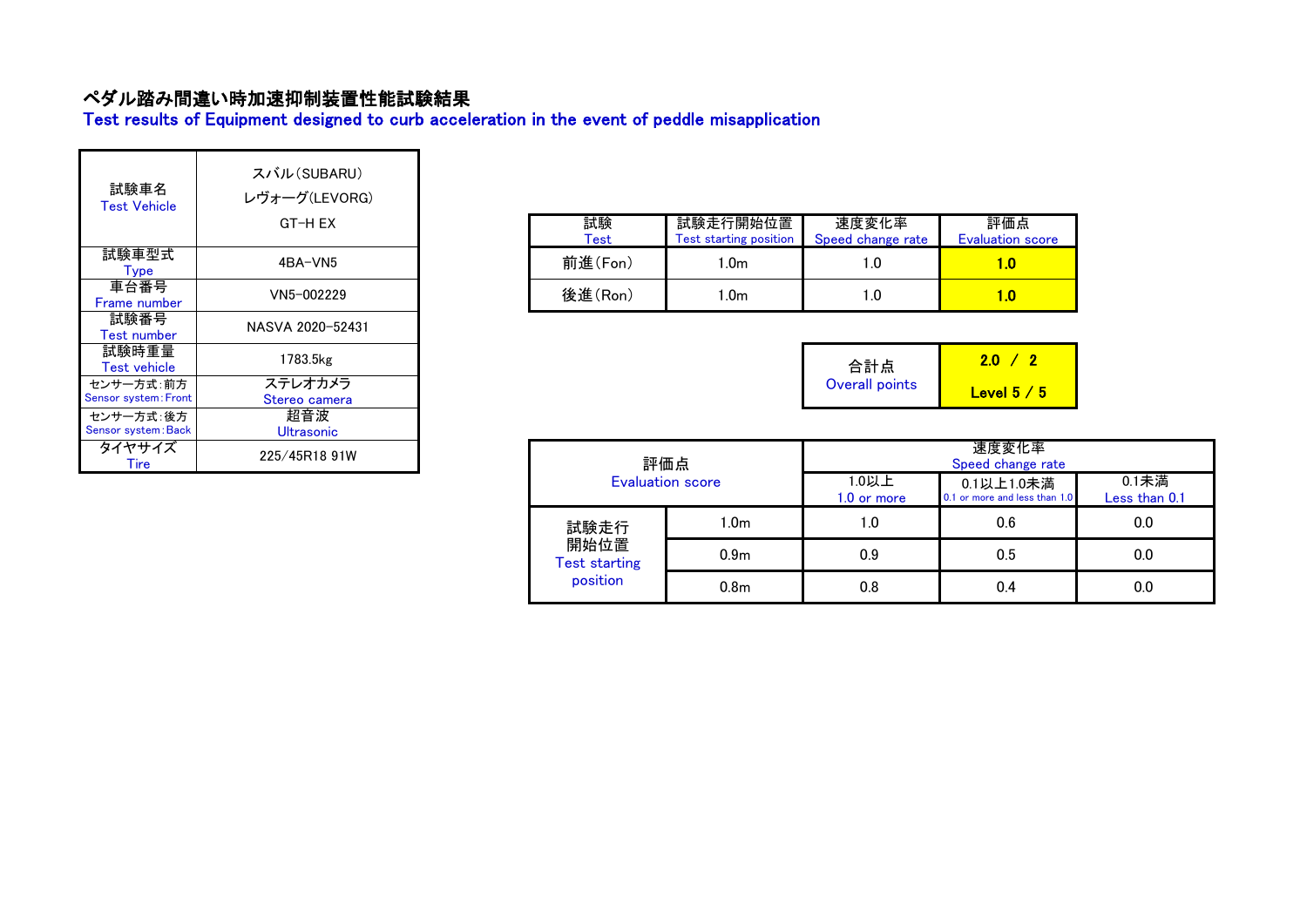# ペダル踏み間違い時加速抑制装置性能試験結果

Test results of Equipment designed to curb acceleration in the event of peddle misapplication

| 試験車名<br><b>Test Vehicle</b>              | スバル(SUBARU)<br>レヴォーグ(LEVORG)<br>GT-H EX |
|------------------------------------------|-----------------------------------------|
| 試験車型式<br>Type                            | 4BA-VN5                                 |
| 車台番号<br>Frame number                     | VN5-002229                              |
| 試験番号<br><b>Test number</b>               | NASVA 2020-52431                        |
| 試験時重量<br><b>Test vehicle</b>             | 1783.5kg                                |
| センサー方式:前方<br><b>Sensor system: Front</b> | ステレオカメラ<br>Stereo camera                |
| センサー方式:後方<br>Sensor system: Back         | 超音波<br>Ultrasonic                       |
| タイヤサイズ<br>Tire                           | 225/45R18 91W                           |

| 試験<br>Test | 試験走行開始位置<br><b>Test starting position</b> | 速度変化率<br>Speed change rate | 評価点<br><b>Evaluation score</b> |
|------------|-------------------------------------------|----------------------------|--------------------------------|
| 前進(Fon)    | l.0m                                      |                            | 1.0                            |
| 後進(Ron)    | .0m                                       |                            | LΟ                             |

| 合計点            | 2.0         |  |
|----------------|-------------|--|
| Overall points | Level $5/5$ |  |

| 225/45R18 91W | 評価点                          |                  |                      | 速度変化率<br>Speed change rate                  |                        |
|---------------|------------------------------|------------------|----------------------|---------------------------------------------|------------------------|
|               | <b>Evaluation score</b>      |                  | 1.0以上<br>1.0 or more | 0.1以上1.0未満<br>0.1 or more and less than 1.0 | 0.1未満<br>Less than 0.1 |
|               | 試験走行                         | 1.0 <sub>m</sub> | 1.0                  | 0.6                                         | 0.0                    |
|               | 開始位置<br><b>Test starting</b> | 0.9 <sub>m</sub> | 0.9                  | 0.5                                         | 0.0                    |
|               | position                     | 0.8 <sub>m</sub> | 0.8                  | 0.4                                         | 0.0                    |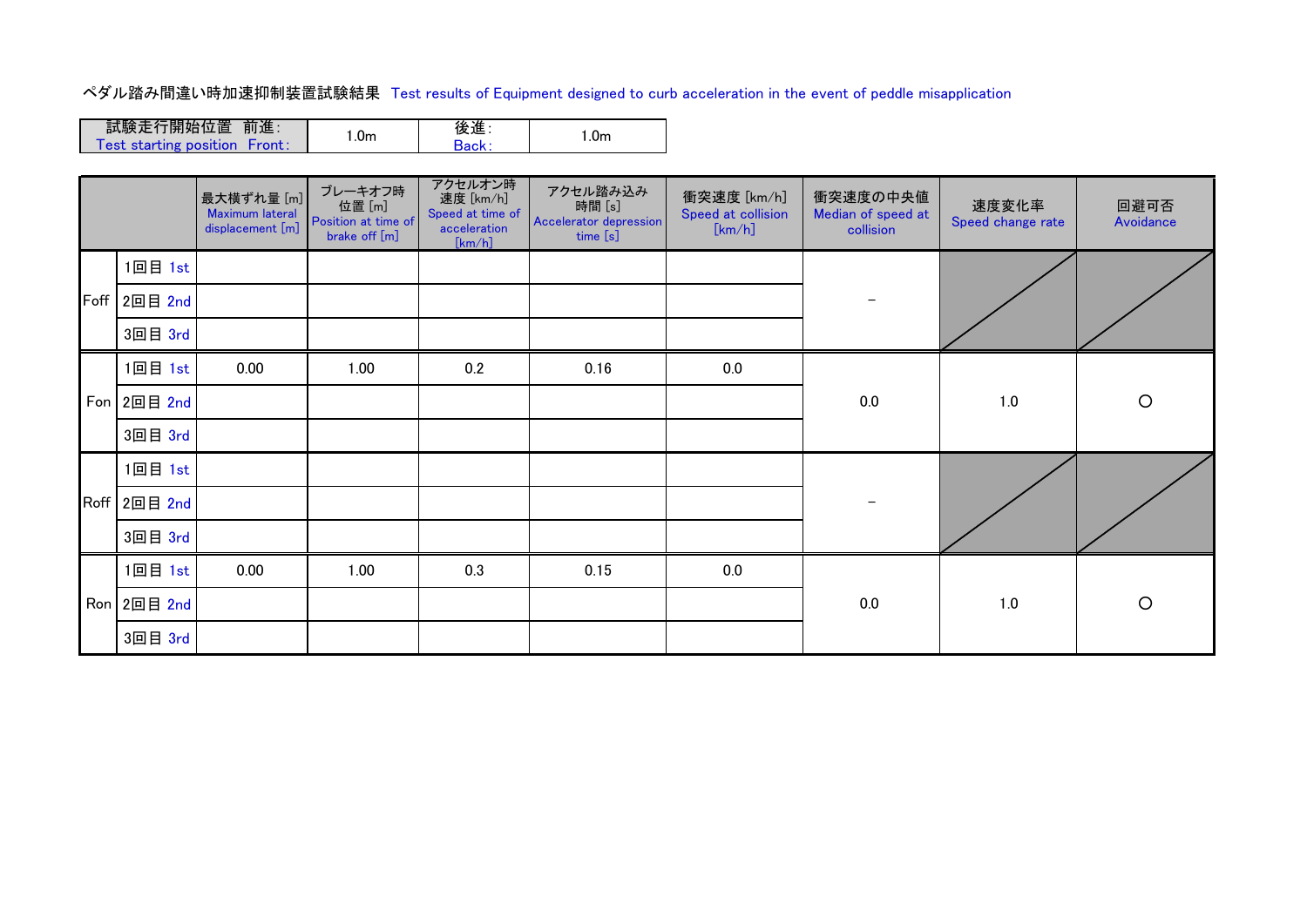ペダル踏み間違い時加速抑制装置試験結果 Test results of Equipment designed to curb acceleration in the event of peddle misapplication

| 試験走行開始位置 前進:                                  |     | 後進    | .0m |
|-----------------------------------------------|-----|-------|-----|
| Test starting position $\backslash$<br>Front: | .0m | Back: |     |

|  |              | 最大横ずれ量 [m]<br>Maximum lateral<br>displacement [m] | ブレーキオフ時<br>位置 [m]<br>Position at time of<br>brake off [m] | アクセルオン時<br>速度 [km/h]<br>Speed at time of<br>acceleration<br>[km/h] | アクセル踏み込み<br>時間 [s]<br>Accelerator depression<br>time [s] | 衝突速度 [km/h]<br>Speed at collision<br>[km/h] | 衝突速度の中央値<br>Median of speed at<br>collision | 速度変化率<br>Speed change rate | 回避可否<br>Avoidance |
|--|--------------|---------------------------------------------------|-----------------------------------------------------------|--------------------------------------------------------------------|----------------------------------------------------------|---------------------------------------------|---------------------------------------------|----------------------------|-------------------|
|  | 1回目 1st      |                                                   |                                                           |                                                                    |                                                          |                                             |                                             |                            |                   |
|  | Foff 2回目 2nd |                                                   |                                                           |                                                                    |                                                          |                                             |                                             |                            |                   |
|  | 3回目 3rd      |                                                   |                                                           |                                                                    |                                                          |                                             |                                             |                            |                   |
|  | 1回目 1st      | 0.00                                              | 1.00                                                      | 0.2                                                                | 0.16                                                     | 0.0                                         |                                             |                            |                   |
|  | Fon 2回目 2nd  |                                                   |                                                           |                                                                    |                                                          |                                             | 0.0                                         | 1.0                        | $\circ$           |
|  | 3回目 3rd      |                                                   |                                                           |                                                                    |                                                          |                                             |                                             |                            |                   |
|  | 1回目 1st      |                                                   |                                                           |                                                                    |                                                          |                                             |                                             |                            |                   |
|  | Roff 2回目 2nd |                                                   |                                                           |                                                                    |                                                          |                                             |                                             |                            |                   |
|  | 3回目 3rd      |                                                   |                                                           |                                                                    |                                                          |                                             |                                             |                            |                   |
|  | 1回目 1st      | 0.00                                              | 1.00                                                      | 0.3                                                                | 0.15                                                     | 0.0                                         |                                             |                            |                   |
|  | Ron 2回目 2nd  |                                                   |                                                           |                                                                    |                                                          |                                             | 0.0                                         | $1.0$                      | $\circ$           |
|  | 3回目 3rd      |                                                   |                                                           |                                                                    |                                                          |                                             |                                             |                            |                   |